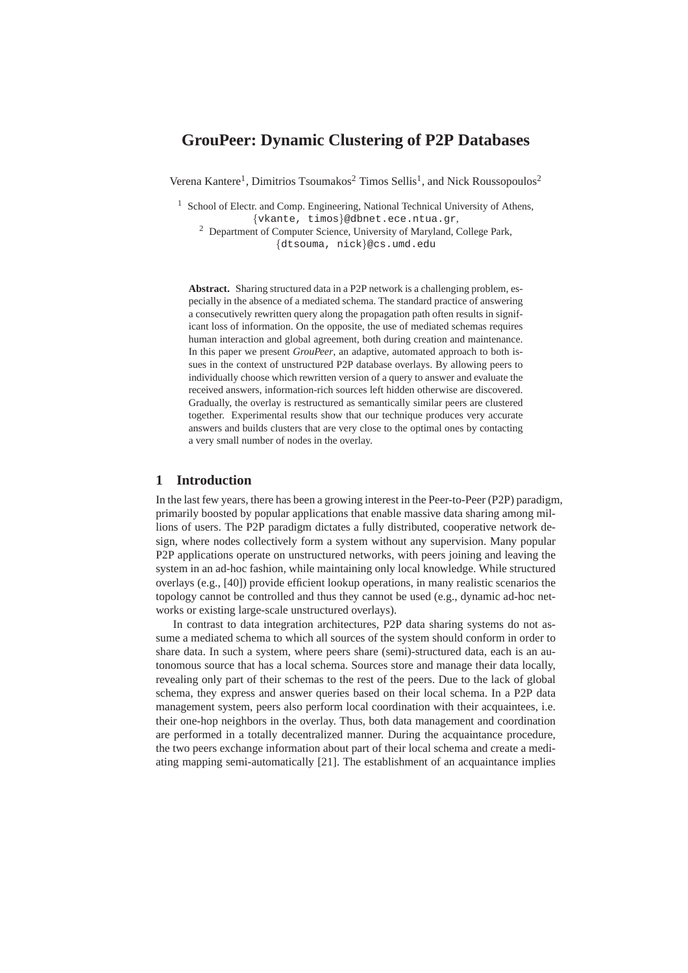# **GrouPeer: Dynamic Clustering of P2P Databases**

Verena Kantere<sup>1</sup>, Dimitrios Tsoumakos<sup>2</sup> Timos Sellis<sup>1</sup>, and Nick Roussopoulos<sup>2</sup>

<sup>1</sup> School of Electr. and Comp. Engineering, National Technical University of Athens, {vkante, timos}@dbnet.ece.ntua.gr,

<sup>2</sup> Department of Computer Science, University of Maryland, College Park, {dtsouma, nick}@cs.umd.edu

**Abstract.** Sharing structured data in a P2P network is a challenging problem, especially in the absence of a mediated schema. The standard practice of answering a consecutively rewritten query along the propagation path often results in significant loss of information. On the opposite, the use of mediated schemas requires human interaction and global agreement, both during creation and maintenance. In this paper we present *GrouPeer*, an adaptive, automated approach to both issues in the context of unstructured P2P database overlays. By allowing peers to individually choose which rewritten version of a query to answer and evaluate the received answers, information-rich sources left hidden otherwise are discovered. Gradually, the overlay is restructured as semantically similar peers are clustered together. Experimental results show that our technique produces very accurate answers and builds clusters that are very close to the optimal ones by contacting a very small number of nodes in the overlay.

# **1 Introduction**

In the last few years, there has been a growing interest in the Peer-to-Peer (P2P) paradigm, primarily boosted by popular applications that enable massive data sharing among millions of users. The P2P paradigm dictates a fully distributed, cooperative network design, where nodes collectively form a system without any supervision. Many popular P2P applications operate on unstructured networks, with peers joining and leaving the system in an ad-hoc fashion, while maintaining only local knowledge. While structured overlays (e.g., [40]) provide efficient lookup operations, in many realistic scenarios the topology cannot be controlled and thus they cannot be used (e.g., dynamic ad-hoc networks or existing large-scale unstructured overlays).

In contrast to data integration architectures, P2P data sharing systems do not assume a mediated schema to which all sources of the system should conform in order to share data. In such a system, where peers share (semi)-structured data, each is an autonomous source that has a local schema. Sources store and manage their data locally, revealing only part of their schemas to the rest of the peers. Due to the lack of global schema, they express and answer queries based on their local schema. In a P2P data management system, peers also perform local coordination with their acquaintees, i.e. their one-hop neighbors in the overlay. Thus, both data management and coordination are performed in a totally decentralized manner. During the acquaintance procedure, the two peers exchange information about part of their local schema and create a mediating mapping semi-automatically [21]. The establishment of an acquaintance implies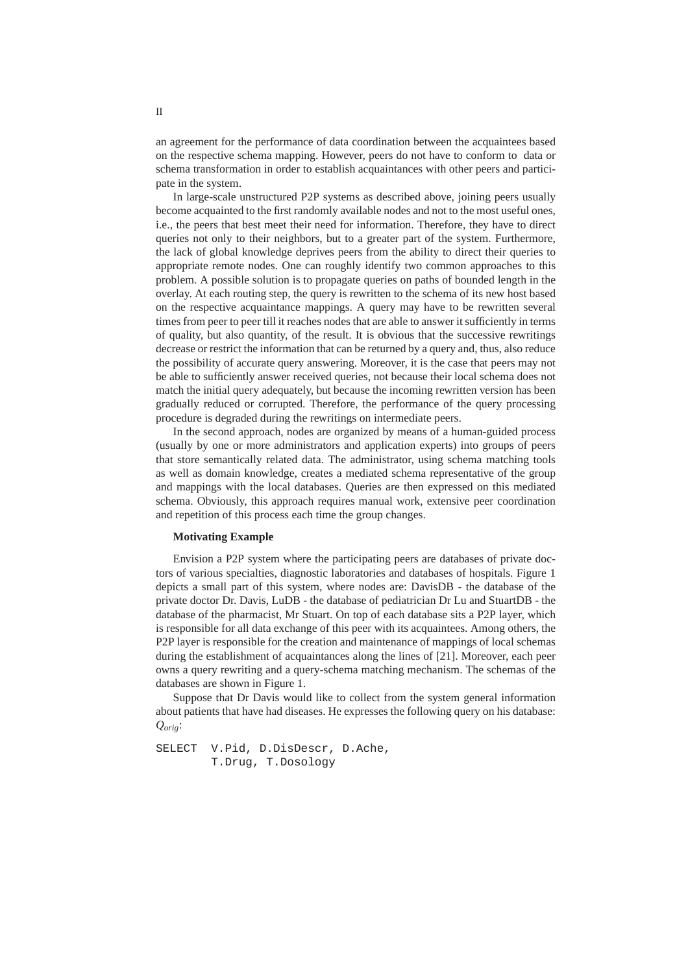an agreement for the performance of data coordination between the acquaintees based on the respective schema mapping. However, peers do not have to conform to data or schema transformation in order to establish acquaintances with other peers and participate in the system.

In large-scale unstructured P2P systems as described above, joining peers usually become acquainted to the first randomly available nodes and not to the most useful ones, i.e., the peers that best meet their need for information. Therefore, they have to direct queries not only to their neighbors, but to a greater part of the system. Furthermore, the lack of global knowledge deprives peers from the ability to direct their queries to appropriate remote nodes. One can roughly identify two common approaches to this problem. A possible solution is to propagate queries on paths of bounded length in the overlay. At each routing step, the query is rewritten to the schema of its new host based on the respective acquaintance mappings. A query may have to be rewritten several times from peer to peer till it reaches nodes that are able to answer it sufficiently in terms of quality, but also quantity, of the result. It is obvious that the successive rewritings decrease or restrict the information that can be returned by a query and, thus, also reduce the possibility of accurate query answering. Moreover, it is the case that peers may not be able to sufficiently answer received queries, not because their local schema does not match the initial query adequately, but because the incoming rewritten version has been gradually reduced or corrupted. Therefore, the performance of the query processing procedure is degraded during the rewritings on intermediate peers.

In the second approach, nodes are organized by means of a human-guided process (usually by one or more administrators and application experts) into groups of peers that store semantically related data. The administrator, using schema matching tools as well as domain knowledge, creates a mediated schema representative of the group and mappings with the local databases. Queries are then expressed on this mediated schema. Obviously, this approach requires manual work, extensive peer coordination and repetition of this process each time the group changes.

### **Motivating Example**

Envision a P2P system where the participating peers are databases of private doctors of various specialties, diagnostic laboratories and databases of hospitals. Figure 1 depicts a small part of this system, where nodes are: DavisDB - the database of the private doctor Dr. Davis, LuDB - the database of pediatrician Dr Lu and StuartDB - the database of the pharmacist, Mr Stuart. On top of each database sits a P2P layer, which is responsible for all data exchange of this peer with its acquaintees. Among others, the P2P layer is responsible for the creation and maintenance of mappings of local schemas during the establishment of acquaintances along the lines of [21]. Moreover, each peer owns a query rewriting and a query-schema matching mechanism. The schemas of the databases are shown in Figure 1.

Suppose that Dr Davis would like to collect from the system general information about patients that have had diseases. He expresses the following query on his database: *Qorig*:

SELECT V.Pid, D.DisDescr, D.Ache, T.Drug, T.Dosology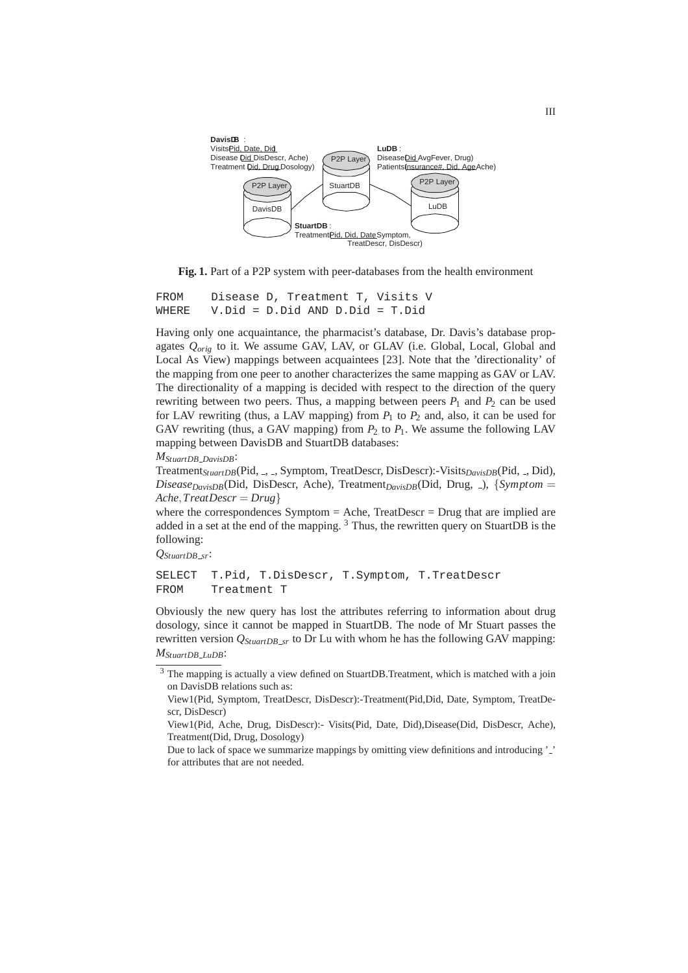

**Fig. 1.** Part of a P2P system with peer-databases from the health environment

```
FROM Disease D, Treatment T, Visits V
WHERE V.Did = D.Did AND D.Did = T.Did
```
Having only one acquaintance, the pharmacist's database, Dr. Davis's database propagates *Qorig* to it. We assume GAV, LAV, or GLAV (i.e. Global, Local, Global and Local As View) mappings between acquaintees [23]. Note that the 'directionality' of the mapping from one peer to another characterizes the same mapping as GAV or LAV. The directionality of a mapping is decided with respect to the direction of the query rewriting between two peers. Thus, a mapping between peers  $P_1$  and  $P_2$  can be used for LAV rewriting (thus, a LAV mapping) from  $P_1$  to  $P_2$  and, also, it can be used for GAV rewriting (thus, a GAV mapping) from  $P_2$  to  $P_1$ . We assume the following LAV mapping between DavisDB and StuartDB databases:

*MStuartDB DavisDB*:

Treatment<sub>*StuartDB*</sub>(Pid, <sub>-2</sub>, Symptom, TreatDescr, DisDescr):-Visits<sub>DavisDB</sub>(Pid, <sub>-2</sub>, Did),  $Disease_{DavisDB}$ (Did, DisDescr, Ache), Treatment<sub>*DavisDB*</sub>(Did, Drug,  $\Box$ ), {*Symptom* = *Ache*,*TreatDescr* = *Drug*}

where the correspondences Symptom  $=$  Ache, TreatDescr  $=$  Drug that are implied are added in a set at the end of the mapping.  $3$  Thus, the rewritten query on StuartDB is the following:

*QStuartDB sr*:

SELECT T.Pid, T.DisDescr, T.Symptom, T.TreatDescr FROM Treatment T

Obviously the new query has lost the attributes referring to information about drug dosology, since it cannot be mapped in StuartDB. The node of Mr Stuart passes the rewritten version *QStuartDB sr* to Dr Lu with whom he has the following GAV mapping: *MStuartDB LuDB*:

<sup>3</sup> The mapping is actually a view defined on StuartDB.Treatment, which is matched with a join on DavisDB relations such as:

View1(Pid, Symptom, TreatDescr, DisDescr):-Treatment(Pid,Did, Date, Symptom, TreatDescr, DisDescr)

View1(Pid, Ache, Drug, DisDescr):- Visits(Pid, Date, Did),Disease(Did, DisDescr, Ache), Treatment(Did, Drug, Dosology)

Due to lack of space we summarize mappings by omitting view definitions and introducing '\_' for attributes that are not needed.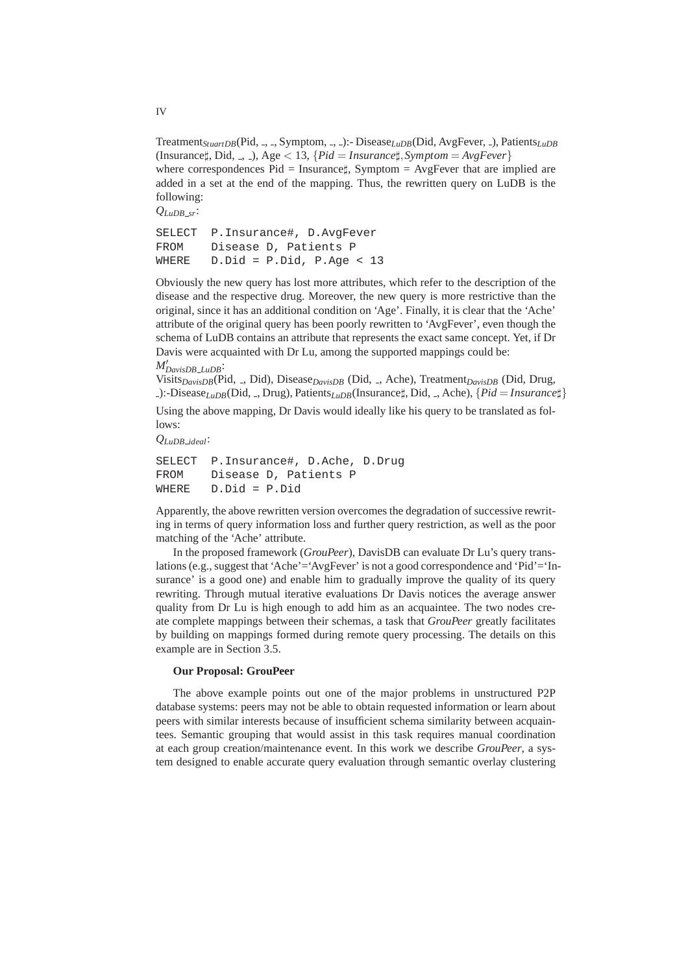Treatment<sub>StuartDB</sub>(Pid, ..., Symptom, ...): Disease<sub>LuDB</sub>(Did, AvgFever, ...), Patients<sub>LuDB</sub> (Insurance♯, Did, , ), Age < 13, {*Pid* = *Insurance*♯,*Symptom* = *AvgFever*} where correspondences Pid = Insurance $\sharp$ , Symptom = AvgFever that are implied are added in a set at the end of the mapping. Thus, the rewritten query on LuDB is the following:

 $Q_{L \mu DB\_sr}$ 

```
SELECT P.Insurance#, D.AvgFever
FROM Disease D, Patients P
WHERE D.Did = P.Did, P.Age < 13
```
Obviously the new query has lost more attributes, which refer to the description of the disease and the respective drug. Moreover, the new query is more restrictive than the original, since it has an additional condition on 'Age'. Finally, it is clear that the 'Ache' attribute of the original query has been poorly rewritten to 'AvgFever', even though the schema of LuDB contains an attribute that represents the exact same concept. Yet, if Dr Davis were acquainted with Dr Lu, among the supported mappings could be: *M*′ *DavisDB LuDB*:

Visits<sub>DavisDB</sub>(Pid, ., Did), Disease<sub>DavisDB</sub> (Did, ., Ache), Treatment<sub>DavisDB</sub> (Did, Drug, ):-Disease*LuDB*(Did, , Drug), Patients*LuDB*(Insurance♯, Did, , Ache), {*Pid* = *Insurance*♯}

Using the above mapping, Dr Davis would ideally like his query to be translated as follows:

*QLuDB ideal*:

```
SELECT P.Insurance#, D.Ache, D.Drug
FROM Disease D, Patients P
WHERE D.Did = P.Did
```
Apparently, the above rewritten version overcomes the degradation of successive rewriting in terms of query information loss and further query restriction, as well as the poor matching of the 'Ache' attribute.

In the proposed framework (*GrouPeer*), DavisDB can evaluate Dr Lu's query translations (e.g., suggest that 'Ache'='AvgFever' is not a good correspondence and 'Pid'='Insurance' is a good one) and enable him to gradually improve the quality of its query rewriting. Through mutual iterative evaluations Dr Davis notices the average answer quality from Dr Lu is high enough to add him as an acquaintee. The two nodes create complete mappings between their schemas, a task that *GrouPeer* greatly facilitates by building on mappings formed during remote query processing. The details on this example are in Section 3.5.

### **Our Proposal: GrouPeer**

The above example points out one of the major problems in unstructured P2P database systems: peers may not be able to obtain requested information or learn about peers with similar interests because of insufficient schema similarity between acquaintees. Semantic grouping that would assist in this task requires manual coordination at each group creation/maintenance event. In this work we describe *GrouPeer*, a system designed to enable accurate query evaluation through semantic overlay clustering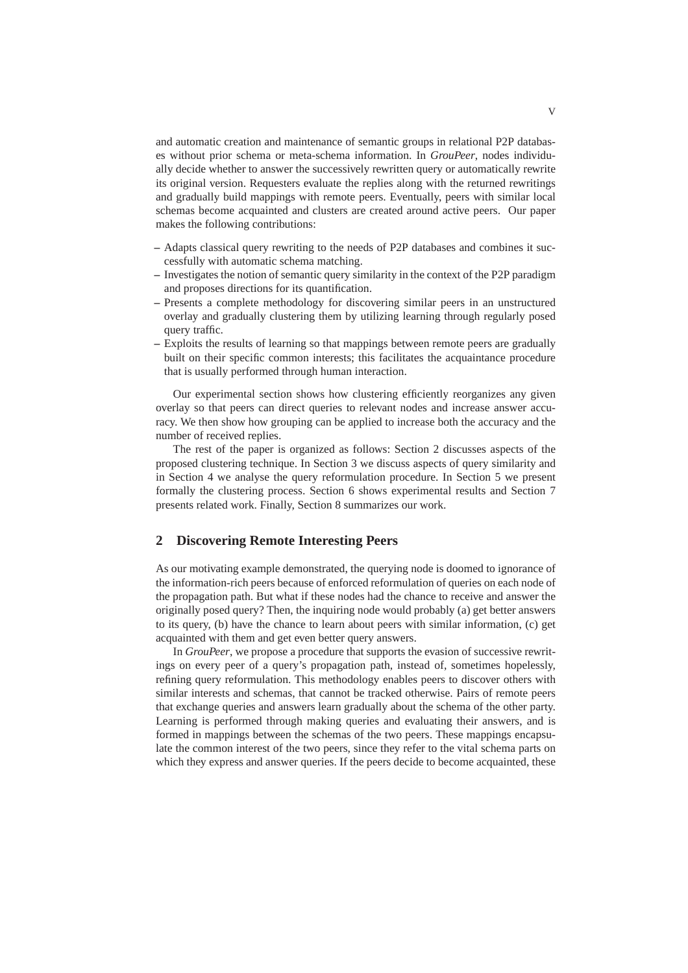and automatic creation and maintenance of semantic groups in relational P2P databases without prior schema or meta-schema information. In *GrouPeer*, nodes individually decide whether to answer the successively rewritten query or automatically rewrite its original version. Requesters evaluate the replies along with the returned rewritings and gradually build mappings with remote peers. Eventually, peers with similar local schemas become acquainted and clusters are created around active peers. Our paper makes the following contributions:

- **–** Adapts classical query rewriting to the needs of P2P databases and combines it successfully with automatic schema matching.
- **–** Investigates the notion of semantic query similarity in the context of the P2P paradigm and proposes directions for its quantification.
- **–** Presents a complete methodology for discovering similar peers in an unstructured overlay and gradually clustering them by utilizing learning through regularly posed query traffic.
- **–** Exploits the results of learning so that mappings between remote peers are gradually built on their specific common interests; this facilitates the acquaintance procedure that is usually performed through human interaction.

Our experimental section shows how clustering efficiently reorganizes any given overlay so that peers can direct queries to relevant nodes and increase answer accuracy. We then show how grouping can be applied to increase both the accuracy and the number of received replies.

The rest of the paper is organized as follows: Section 2 discusses aspects of the proposed clustering technique. In Section 3 we discuss aspects of query similarity and in Section 4 we analyse the query reformulation procedure. In Section 5 we present formally the clustering process. Section 6 shows experimental results and Section 7 presents related work. Finally, Section 8 summarizes our work.

## **2 Discovering Remote Interesting Peers**

As our motivating example demonstrated, the querying node is doomed to ignorance of the information-rich peers because of enforced reformulation of queries on each node of the propagation path. But what if these nodes had the chance to receive and answer the originally posed query? Then, the inquiring node would probably (a) get better answers to its query, (b) have the chance to learn about peers with similar information, (c) get acquainted with them and get even better query answers.

In *GrouPeer*, we propose a procedure that supports the evasion of successive rewritings on every peer of a query's propagation path, instead of, sometimes hopelessly, refining query reformulation. This methodology enables peers to discover others with similar interests and schemas, that cannot be tracked otherwise. Pairs of remote peers that exchange queries and answers learn gradually about the schema of the other party. Learning is performed through making queries and evaluating their answers, and is formed in mappings between the schemas of the two peers. These mappings encapsulate the common interest of the two peers, since they refer to the vital schema parts on which they express and answer queries. If the peers decide to become acquainted, these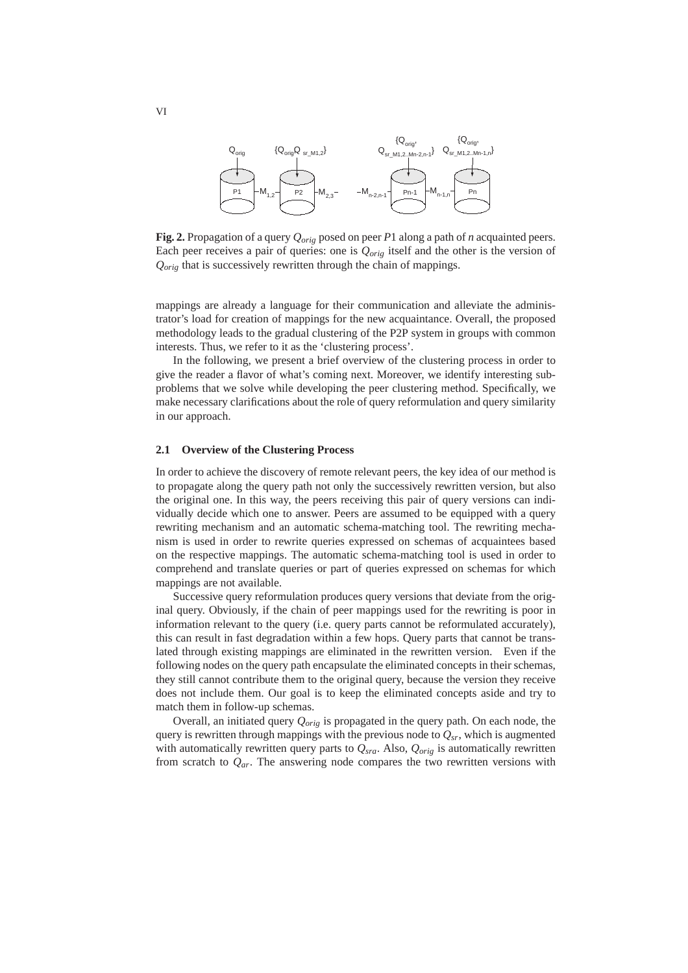

**Fig. 2.** Propagation of a query *Qorig* posed on peer *P*1 along a path of *n* acquainted peers. Each peer receives a pair of queries: one is *Qorig* itself and the other is the version of  $Q<sub>orig</sub>$  that is successively rewritten through the chain of mappings.

mappings are already a language for their communication and alleviate the administrator's load for creation of mappings for the new acquaintance. Overall, the proposed methodology leads to the gradual clustering of the P2P system in groups with common interests. Thus, we refer to it as the 'clustering process'.

In the following, we present a brief overview of the clustering process in order to give the reader a flavor of what's coming next. Moreover, we identify interesting subproblems that we solve while developing the peer clustering method. Specifically, we make necessary clarifications about the role of query reformulation and query similarity in our approach.

### **2.1 Overview of the Clustering Process**

In order to achieve the discovery of remote relevant peers, the key idea of our method is to propagate along the query path not only the successively rewritten version, but also the original one. In this way, the peers receiving this pair of query versions can individually decide which one to answer. Peers are assumed to be equipped with a query rewriting mechanism and an automatic schema-matching tool. The rewriting mechanism is used in order to rewrite queries expressed on schemas of acquaintees based on the respective mappings. The automatic schema-matching tool is used in order to comprehend and translate queries or part of queries expressed on schemas for which mappings are not available.

Successive query reformulation produces query versions that deviate from the original query. Obviously, if the chain of peer mappings used for the rewriting is poor in information relevant to the query (i.e. query parts cannot be reformulated accurately), this can result in fast degradation within a few hops. Query parts that cannot be translated through existing mappings are eliminated in the rewritten version. Even if the following nodes on the query path encapsulate the eliminated concepts in their schemas, they still cannot contribute them to the original query, because the version they receive does not include them. Our goal is to keep the eliminated concepts aside and try to match them in follow-up schemas.

Overall, an initiated query *Qorig* is propagated in the query path. On each node, the query is rewritten through mappings with the previous node to *Qsr*, which is augmented with automatically rewritten query parts to *Qsra*. Also, *Qorig* is automatically rewritten from scratch to  $Q_{ar}$ . The answering node compares the two rewritten versions with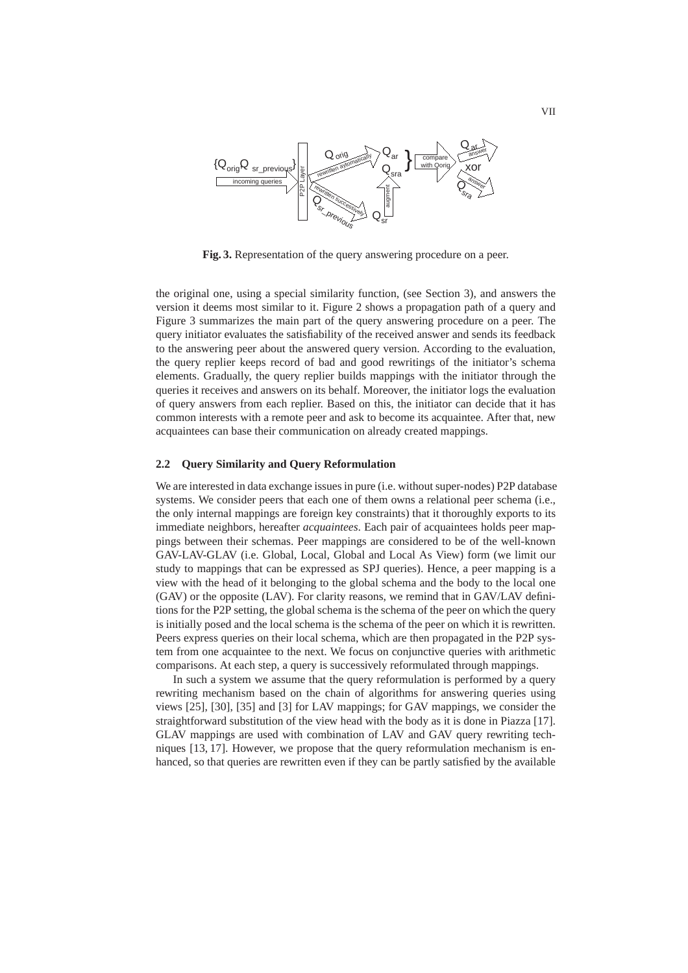

**Fig. 3.** Representation of the query answering procedure on a peer.

the original one, using a special similarity function, (see Section 3), and answers the version it deems most similar to it. Figure 2 shows a propagation path of a query and Figure 3 summarizes the main part of the query answering procedure on a peer. The query initiator evaluates the satisfiability of the received answer and sends its feedback to the answering peer about the answered query version. According to the evaluation, the query replier keeps record of bad and good rewritings of the initiator's schema elements. Gradually, the query replier builds mappings with the initiator through the queries it receives and answers on its behalf. Moreover, the initiator logs the evaluation of query answers from each replier. Based on this, the initiator can decide that it has common interests with a remote peer and ask to become its acquaintee. After that, new acquaintees can base their communication on already created mappings.

### **2.2 Query Similarity and Query Reformulation**

We are interested in data exchange issues in pure (i.e. without super-nodes) P2P database systems. We consider peers that each one of them owns a relational peer schema (i.e., the only internal mappings are foreign key constraints) that it thoroughly exports to its immediate neighbors, hereafter *acquaintees*. Each pair of acquaintees holds peer mappings between their schemas. Peer mappings are considered to be of the well-known GAV-LAV-GLAV (i.e. Global, Local, Global and Local As View) form (we limit our study to mappings that can be expressed as SPJ queries). Hence, a peer mapping is a view with the head of it belonging to the global schema and the body to the local one (GAV) or the opposite (LAV). For clarity reasons, we remind that in GAV/LAV definitions for the P2P setting, the global schema is the schema of the peer on which the query is initially posed and the local schema is the schema of the peer on which it is rewritten. Peers express queries on their local schema, which are then propagated in the P2P system from one acquaintee to the next. We focus on conjunctive queries with arithmetic comparisons. At each step, a query is successively reformulated through mappings.

In such a system we assume that the query reformulation is performed by a query rewriting mechanism based on the chain of algorithms for answering queries using views [25], [30], [35] and [3] for LAV mappings; for GAV mappings, we consider the straightforward substitution of the view head with the body as it is done in Piazza [17]. GLAV mappings are used with combination of LAV and GAV query rewriting techniques [13, 17]. However, we propose that the query reformulation mechanism is enhanced, so that queries are rewritten even if they can be partly satisfied by the available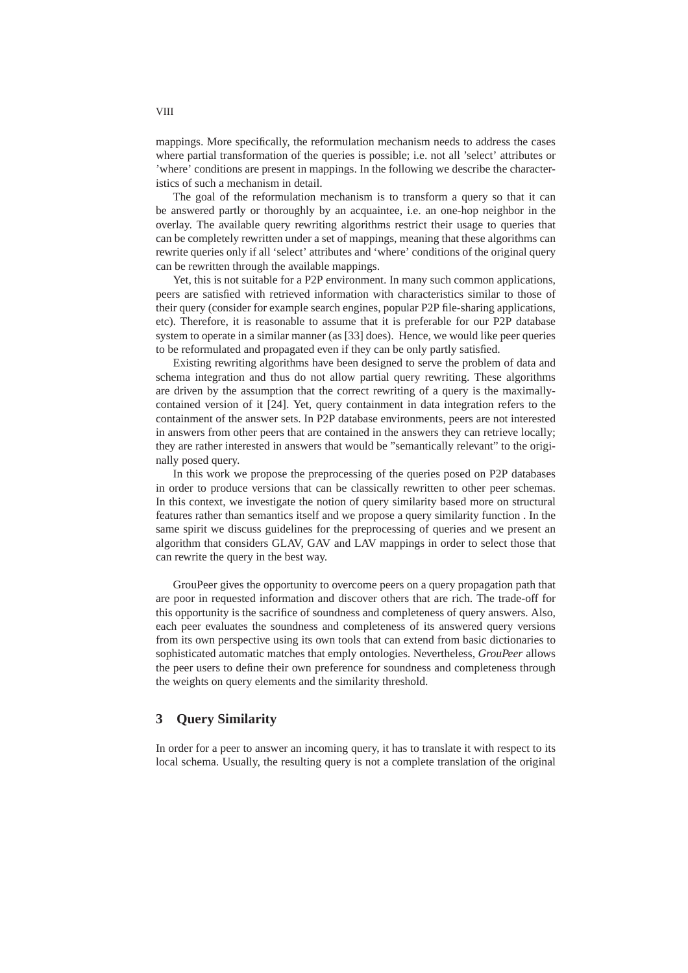mappings. More specifically, the reformulation mechanism needs to address the cases where partial transformation of the queries is possible; i.e. not all 'select' attributes or 'where' conditions are present in mappings. In the following we describe the characteristics of such a mechanism in detail.

The goal of the reformulation mechanism is to transform a query so that it can be answered partly or thoroughly by an acquaintee, i.e. an one-hop neighbor in the overlay. The available query rewriting algorithms restrict their usage to queries that can be completely rewritten under a set of mappings, meaning that these algorithms can rewrite queries only if all 'select' attributes and 'where' conditions of the original query can be rewritten through the available mappings.

Yet, this is not suitable for a P2P environment. In many such common applications, peers are satisfied with retrieved information with characteristics similar to those of their query (consider for example search engines, popular P2P file-sharing applications, etc). Therefore, it is reasonable to assume that it is preferable for our P2P database system to operate in a similar manner (as [33] does). Hence, we would like peer queries to be reformulated and propagated even if they can be only partly satisfied.

Existing rewriting algorithms have been designed to serve the problem of data and schema integration and thus do not allow partial query rewriting. These algorithms are driven by the assumption that the correct rewriting of a query is the maximallycontained version of it [24]. Yet, query containment in data integration refers to the containment of the answer sets. In P2P database environments, peers are not interested in answers from other peers that are contained in the answers they can retrieve locally; they are rather interested in answers that would be "semantically relevant" to the originally posed query.

In this work we propose the preprocessing of the queries posed on P2P databases in order to produce versions that can be classically rewritten to other peer schemas. In this context, we investigate the notion of query similarity based more on structural features rather than semantics itself and we propose a query similarity function . In the same spirit we discuss guidelines for the preprocessing of queries and we present an algorithm that considers GLAV, GAV and LAV mappings in order to select those that can rewrite the query in the best way.

GrouPeer gives the opportunity to overcome peers on a query propagation path that are poor in requested information and discover others that are rich. The trade-off for this opportunity is the sacrifice of soundness and completeness of query answers. Also, each peer evaluates the soundness and completeness of its answered query versions from its own perspective using its own tools that can extend from basic dictionaries to sophisticated automatic matches that emply ontologies. Nevertheless, *GrouPeer* allows the peer users to define their own preference for soundness and completeness through the weights on query elements and the similarity threshold.

## **3 Query Similarity**

In order for a peer to answer an incoming query, it has to translate it with respect to its local schema. Usually, the resulting query is not a complete translation of the original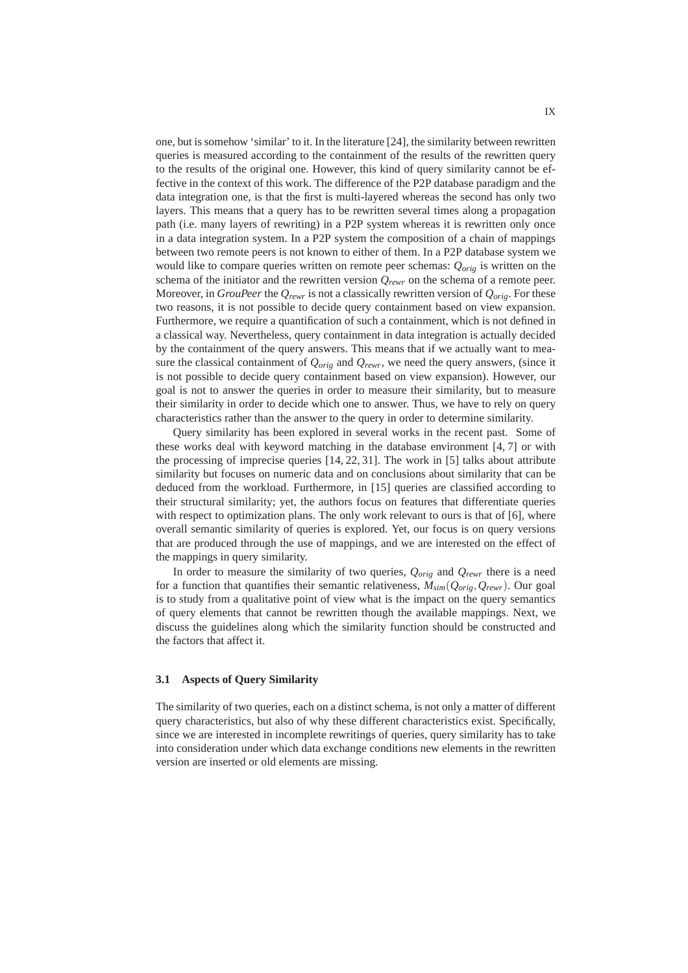one, but is somehow 'similar' to it. In the literature [24], the similarity between rewritten queries is measured according to the containment of the results of the rewritten query to the results of the original one. However, this kind of query similarity cannot be effective in the context of this work. The difference of the P2P database paradigm and the data integration one, is that the first is multi-layered whereas the second has only two layers. This means that a query has to be rewritten several times along a propagation path (i.e. many layers of rewriting) in a P2P system whereas it is rewritten only once in a data integration system. In a P2P system the composition of a chain of mappings between two remote peers is not known to either of them. In a P2P database system we would like to compare queries written on remote peer schemas: *Qorig* is written on the schema of the initiator and the rewritten version *Qrewr* on the schema of a remote peer. Moreover, in *GrouPeer* the *Qrewr* is not a classically rewritten version of *Qorig*. For these two reasons, it is not possible to decide query containment based on view expansion. Furthermore, we require a quantification of such a containment, which is not defined in a classical way. Nevertheless, query containment in data integration is actually decided by the containment of the query answers. This means that if we actually want to measure the classical containment of *Qorig* and *Qrewr*, we need the query answers, (since it is not possible to decide query containment based on view expansion). However, our goal is not to answer the queries in order to measure their similarity, but to measure their similarity in order to decide which one to answer. Thus, we have to rely on query characteristics rather than the answer to the query in order to determine similarity.

Query similarity has been explored in several works in the recent past. Some of these works deal with keyword matching in the database environment [4, 7] or with the processing of imprecise queries [14, 22, 31]. The work in [5] talks about attribute similarity but focuses on numeric data and on conclusions about similarity that can be deduced from the workload. Furthermore, in [15] queries are classified according to their structural similarity; yet, the authors focus on features that differentiate queries with respect to optimization plans. The only work relevant to ours is that of [6], where overall semantic similarity of queries is explored. Yet, our focus is on query versions that are produced through the use of mappings, and we are interested on the effect of the mappings in query similarity.

In order to measure the similarity of two queries,  $Q_{orig}$  and  $Q_{rewr}$  there is a need for a function that quantifies their semantic relativeness, *Msim*(*Qorig*,*Qrewr*). Our goal is to study from a qualitative point of view what is the impact on the query semantics of query elements that cannot be rewritten though the available mappings. Next, we discuss the guidelines along which the similarity function should be constructed and the factors that affect it.

#### **3.1 Aspects of Query Similarity**

The similarity of two queries, each on a distinct schema, is not only a matter of different query characteristics, but also of why these different characteristics exist. Specifically, since we are interested in incomplete rewritings of queries, query similarity has to take into consideration under which data exchange conditions new elements in the rewritten version are inserted or old elements are missing.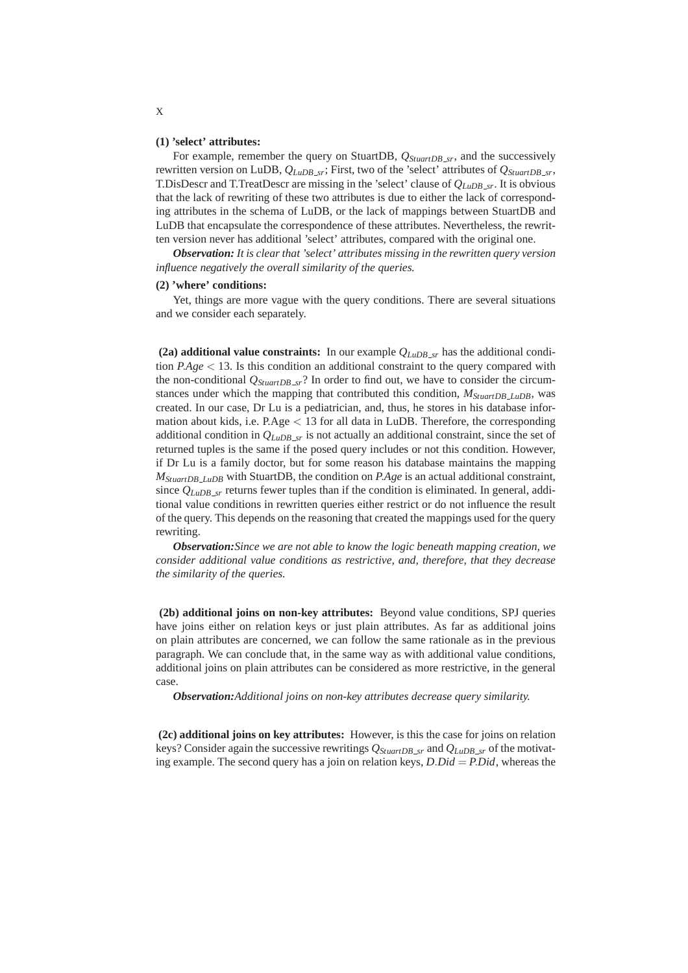#### **(1) 'select' attributes:**

For example, remember the query on StuartDB, *QStuartDB sr*, and the successively rewritten version on LuDB, *QLuDB sr*; First, two of the 'select' attributes of *QStuartDB sr*, T.DisDescr and T.TreatDescr are missing in the 'select' clause of  $Q_{L uDB \, sr}$ . It is obvious that the lack of rewriting of these two attributes is due to either the lack of corresponding attributes in the schema of LuDB, or the lack of mappings between StuartDB and LuDB that encapsulate the correspondence of these attributes. Nevertheless, the rewritten version never has additional 'select' attributes, compared with the original one.

*Observation: It is clear that 'select' attributes missing in the rewritten query version influence negatively the overall similarity of the queries.*

#### **(2) 'where' conditions:**

Yet, things are more vague with the query conditions. There are several situations and we consider each separately.

**(2a) additional value constraints:** In our example  $Q_{\text{L}uDB\text{-}sr}$  has the additional condition *P*.*Age* < 13. Is this condition an additional constraint to the query compared with the non-conditional *QStuartDB sr*? In order to find out, we have to consider the circumstances under which the mapping that contributed this condition, *MStuartDB LuDB*, was created. In our case, Dr Lu is a pediatrician, and, thus, he stores in his database information about kids, i.e.  $P \text{Age} < 13$  for all data in LuDB. Therefore, the corresponding additional condition in  $Q_{L \mu DB \, sr}$  is not actually an additional constraint, since the set of returned tuples is the same if the posed query includes or not this condition. However, if Dr Lu is a family doctor, but for some reason his database maintains the mapping *MStuartDB LuDB* with StuartDB, the condition on *P*.*Age* is an actual additional constraint, since  $Q_{L \mu DB \rightarrow r}$  returns fewer tuples than if the condition is eliminated. In general, additional value conditions in rewritten queries either restrict or do not influence the result of the query. This depends on the reasoning that created the mappings used for the query rewriting.

*Observation:Since we are not able to know the logic beneath mapping creation, we consider additional value conditions as restrictive, and, therefore, that they decrease the similarity of the queries.*

**(2b) additional joins on non-key attributes:** Beyond value conditions, SPJ queries have joins either on relation keys or just plain attributes. As far as additional joins on plain attributes are concerned, we can follow the same rationale as in the previous paragraph. We can conclude that, in the same way as with additional value conditions, additional joins on plain attributes can be considered as more restrictive, in the general case.

*Observation:Additional joins on non-key attributes decrease query similarity.*

**(2c) additional joins on key attributes:** However, is this the case for joins on relation keys? Consider again the successive rewritings *QStuartDB sr* and *QLuDB sr* of the motivating example. The second query has a join on relation keys,  $D.Did = P.Did$ , whereas the

X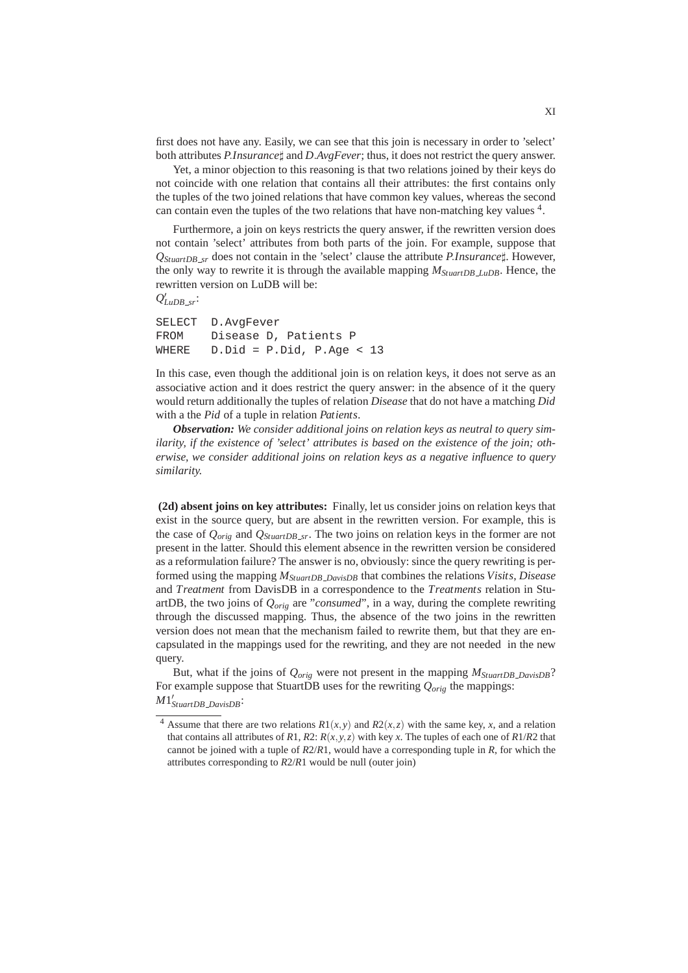first does not have any. Easily, we can see that this join is necessary in order to 'select' both attributes *P*.*Insurance*♯ and *D*.*AvgFever*; thus, it does not restrict the query answer.

Yet, a minor objection to this reasoning is that two relations joined by their keys do not coincide with one relation that contains all their attributes: the first contains only the tuples of the two joined relations that have common key values, whereas the second can contain even the tuples of the two relations that have non-matching key values  $4$ .

Furthermore, a join on keys restricts the query answer, if the rewritten version does not contain 'select' attributes from both parts of the join. For example, suppose that *QStuartDB sr* does not contain in the 'select' clause the attribute *P*.*Insurance*♯. However, the only way to rewrite it is through the available mapping *MStuartDB LuDB*. Hence, the rewritten version on LuDB will be:

*Q* ′ *LuDB sr*:

SELECT D.AvgFever FROM Disease D, Patients P WHERE D.Did = P.Did, P.Age < 13

In this case, even though the additional join is on relation keys, it does not serve as an associative action and it does restrict the query answer: in the absence of it the query would return additionally the tuples of relation *Disease* that do not have a matching *Did* with a the *Pid* of a tuple in relation *Patients*.

*Observation: We consider additional joins on relation keys as neutral to query similarity, if the existence of 'select' attributes is based on the existence of the join; otherwise, we consider additional joins on relation keys as a negative influence to query similarity.*

**(2d) absent joins on key attributes:** Finally, let us consider joins on relation keys that exist in the source query, but are absent in the rewritten version. For example, this is the case of  $Q_{\text{orig}}$  and  $Q_{\text{StuartDB-sr}}$ . The two joins on relation keys in the former are not present in the latter. Should this element absence in the rewritten version be considered as a reformulation failure? The answer is no, obviously: since the query rewriting is performed using the mapping *MStuartDB DavisDB* that combines the relations *Visits*, *Disease* and *Treatment* from DavisDB in a correspondence to the *Treatments* relation in StuartDB, the two joins of *Qorig* are "*consumed*", in a way, during the complete rewriting through the discussed mapping. Thus, the absence of the two joins in the rewritten version does not mean that the mechanism failed to rewrite them, but that they are encapsulated in the mappings used for the rewriting, and they are not needed in the new query.

But, what if the joins of *Qorig* were not present in the mapping *MStuartDB DavisDB*? For example suppose that StuartDB uses for the rewriting *Qorig* the mappings: *M*1 ′ *StuartDB DavisDB*:

<sup>&</sup>lt;sup>4</sup> Assume that there are two relations  $R1(x, y)$  and  $R2(x, z)$  with the same key, *x*, and a relation that contains all attributes of  $R1, R2$ :  $R(x, y, z)$  with key *x*. The tuples of each one of  $R1/R2$  that cannot be joined with a tuple of *R*2/*R*1, would have a corresponding tuple in *R*, for which the attributes corresponding to *R*2/*R*1 would be null (outer join)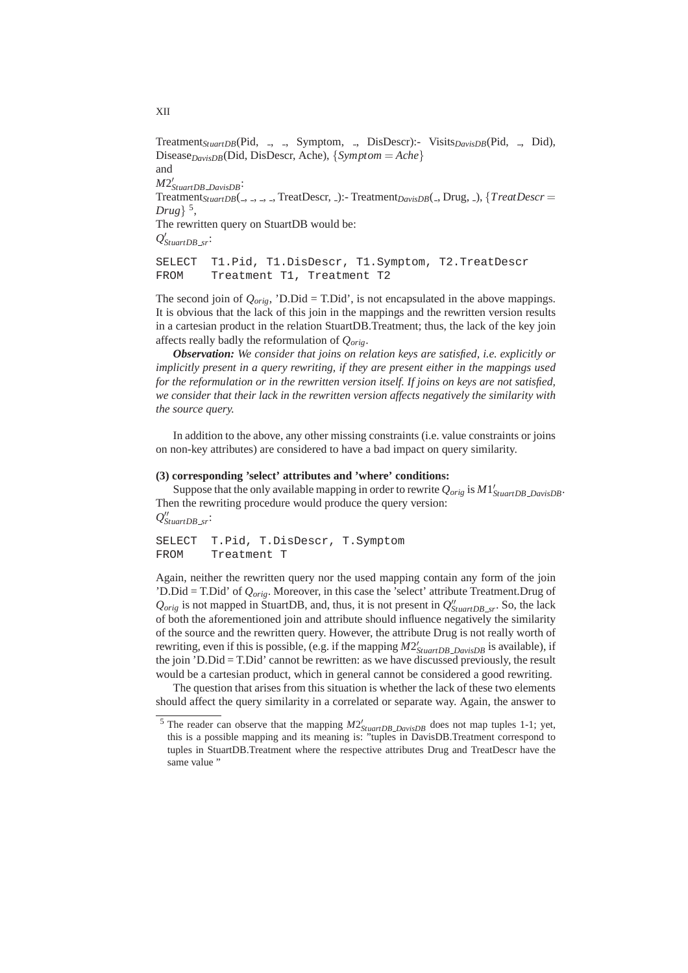```
Treatment<sub>StuartDB</sub>(Pid, -, -, Symptom, -, DisDescr):- Visits<sub>DavisDB</sub>(Pid, -, Did),
DiseaseDavisDB(Did, DisDescr, Ache), {Symptom = Ache}
and
M2
′
StuartDB DavisDB:
Treatment<sub>StuartDB(-, -, -, -, TreatDescr, -):- Treatment<sub>DavisDB</sub>(-, Drug, -), {TreatDescr =</sub>
Drug}
5
,
The rewritten query on StuartDB would be:
Q
′
StuartDB sr:
SELECT T1.Pid, T1.DisDescr, T1.Symptom, T2.TreatDescr
FROM Treatment T1, Treatment T2
```
The second join of  $Q_{orig}$ , 'D.Did = T.Did', is not encapsulated in the above mappings. It is obvious that the lack of this join in the mappings and the rewritten version results in a cartesian product in the relation StuartDB.Treatment; thus, the lack of the key join affects really badly the reformulation of *Qorig*.

*Observation: We consider that joins on relation keys are satisfied, i.e. explicitly or implicitly present in a query rewriting, if they are present either in the mappings used for the reformulation or in the rewritten version itself. If joins on keys are not satisfied, we consider that their lack in the rewritten version affects negatively the similarity with the source query.*

In addition to the above, any other missing constraints (i.e. value constraints or joins on non-key attributes) are considered to have a bad impact on query similarity.

#### **(3) corresponding 'select' attributes and 'where' conditions:**

Suppose that the only available mapping in order to rewrite *Qorig* is *M*1 ′ *StuartDB DavisDB*. Then the rewriting procedure would produce the query version: *Q* ′′ *StuartDB sr*:

SELECT T.Pid, T.DisDescr, T.Symptom FROM Treatment T

Again, neither the rewritten query nor the used mapping contain any form of the join 'D.Did = T.Did' of *Qorig*. Moreover, in this case the 'select' attribute Treatment.Drug of  $Q_{orig}$  is not mapped in StuartDB, and, thus, it is not present in  $Q''_{StuartDB\_sr}$ . So, the lack of both the aforementioned join and attribute should influence negatively the similarity of the source and the rewritten query. However, the attribute Drug is not really worth of rewriting, even if this is possible, (e.g. if the mapping *M*2 ′ *StuartDB DavisDB* is available), if the join 'D.Did = T.Did' cannot be rewritten: as we have discussed previously, the result would be a cartesian product, which in general cannot be considered a good rewriting.

The question that arises from this situation is whether the lack of these two elements should affect the query similarity in a correlated or separate way. Again, the answer to

XII

<sup>&</sup>lt;sup>5</sup> The reader can observe that the mapping  $M2'_{StuartDB\_DavisDB}$  does not map tuples 1-1; yet, this is a possible mapping and its meaning is: "tuples in DavisDB.Treatment correspond to tuples in StuartDB.Treatment where the respective attributes Drug and TreatDescr have the same value "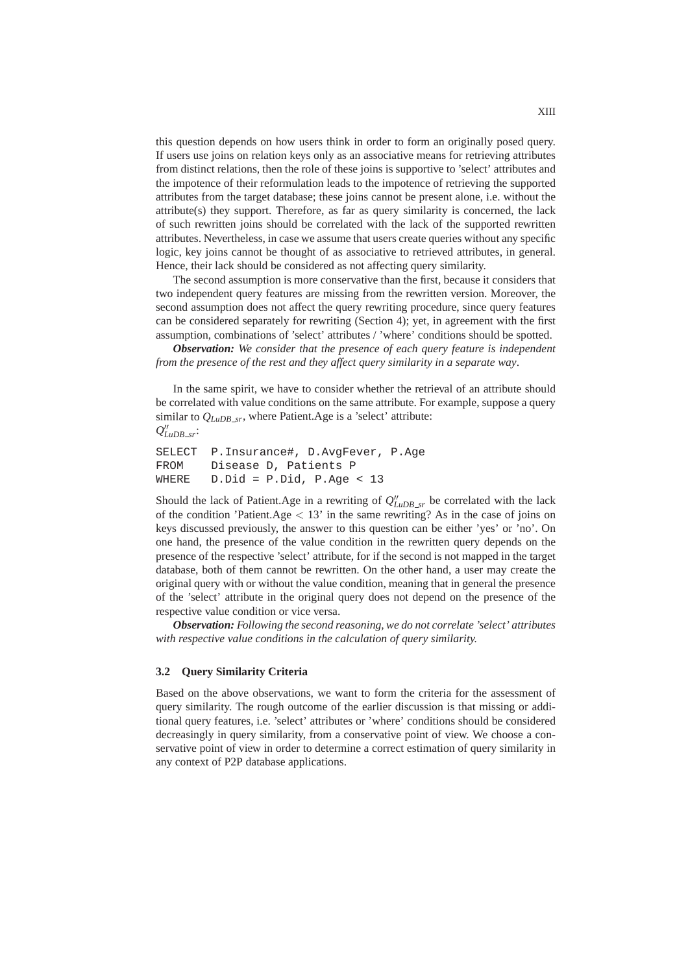this question depends on how users think in order to form an originally posed query. If users use joins on relation keys only as an associative means for retrieving attributes from distinct relations, then the role of these joins is supportive to 'select' attributes and the impotence of their reformulation leads to the impotence of retrieving the supported attributes from the target database; these joins cannot be present alone, i.e. without the attribute(s) they support. Therefore, as far as query similarity is concerned, the lack of such rewritten joins should be correlated with the lack of the supported rewritten attributes. Nevertheless, in case we assume that users create queries without any specific logic, key joins cannot be thought of as associative to retrieved attributes, in general. Hence, their lack should be considered as not affecting query similarity.

The second assumption is more conservative than the first, because it considers that two independent query features are missing from the rewritten version. Moreover, the second assumption does not affect the query rewriting procedure, since query features can be considered separately for rewriting (Section 4); yet, in agreement with the first assumption, combinations of 'select' attributes / 'where' conditions should be spotted.

*Observation: We consider that the presence of each query feature is independent from the presence of the rest and they affect query similarity in a separate way*.

In the same spirit, we have to consider whether the retrieval of an attribute should be correlated with value conditions on the same attribute. For example, suppose a query similar to  $Q_{LuDB}$  *sr*, where Patient. Age is a 'select' attribute: *Q* ′′ *LuDB sr*:

```
SELECT P.Insurance#, D.AvgFever, P.Age
FROM Disease D, Patients P
WHERE D.Did = P.Did, P.Age < 13
```
Should the lack of Patient.Age in a rewriting of  $Q''_{\text{LubB\_sr}}$  be correlated with the lack of the condition 'Patient.Age  $< 13$ ' in the same rewriting? As in the case of joins on keys discussed previously, the answer to this question can be either 'yes' or 'no'. On one hand, the presence of the value condition in the rewritten query depends on the presence of the respective 'select' attribute, for if the second is not mapped in the target database, both of them cannot be rewritten. On the other hand, a user may create the original query with or without the value condition, meaning that in general the presence of the 'select' attribute in the original query does not depend on the presence of the respective value condition or vice versa.

*Observation: Following the second reasoning, we do not correlate 'select' attributes with respective value conditions in the calculation of query similarity.*

### **3.2 Query Similarity Criteria**

Based on the above observations, we want to form the criteria for the assessment of query similarity. The rough outcome of the earlier discussion is that missing or additional query features, i.e. 'select' attributes or 'where' conditions should be considered decreasingly in query similarity, from a conservative point of view. We choose a conservative point of view in order to determine a correct estimation of query similarity in any context of P2P database applications.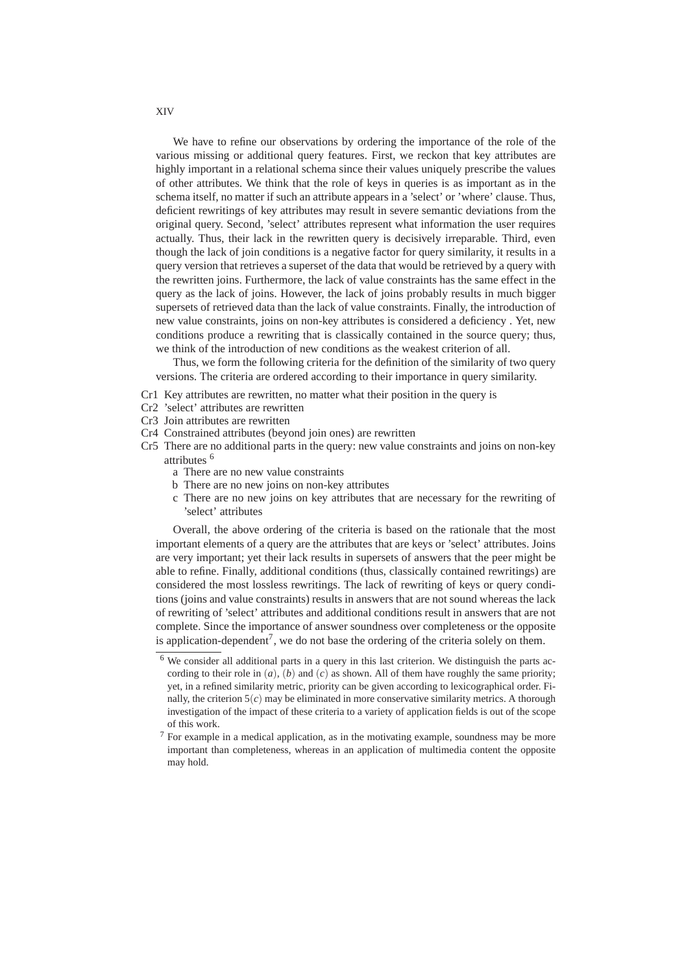We have to refine our observations by ordering the importance of the role of the various missing or additional query features. First, we reckon that key attributes are highly important in a relational schema since their values uniquely prescribe the values of other attributes. We think that the role of keys in queries is as important as in the schema itself, no matter if such an attribute appears in a 'select' or 'where' clause. Thus, deficient rewritings of key attributes may result in severe semantic deviations from the original query. Second, 'select' attributes represent what information the user requires actually. Thus, their lack in the rewritten query is decisively irreparable. Third, even though the lack of join conditions is a negative factor for query similarity, it results in a query version that retrieves a superset of the data that would be retrieved by a query with the rewritten joins. Furthermore, the lack of value constraints has the same effect in the query as the lack of joins. However, the lack of joins probably results in much bigger supersets of retrieved data than the lack of value constraints. Finally, the introduction of new value constraints, joins on non-key attributes is considered a deficiency . Yet, new conditions produce a rewriting that is classically contained in the source query; thus, we think of the introduction of new conditions as the weakest criterion of all.

Thus, we form the following criteria for the definition of the similarity of two query versions. The criteria are ordered according to their importance in query similarity.

- Cr1 Key attributes are rewritten, no matter what their position in the query is
- Cr2 'select' attributes are rewritten
- Cr3 Join attributes are rewritten
- Cr4 Constrained attributes (beyond join ones) are rewritten
- Cr5 There are no additional parts in the query: new value constraints and joins on non-key attributes<sup>6</sup>
	- a There are no new value constraints
	- b There are no new joins on non-key attributes
	- c There are no new joins on key attributes that are necessary for the rewriting of 'select' attributes

Overall, the above ordering of the criteria is based on the rationale that the most important elements of a query are the attributes that are keys or 'select' attributes. Joins are very important; yet their lack results in supersets of answers that the peer might be able to refine. Finally, additional conditions (thus, classically contained rewritings) are considered the most lossless rewritings. The lack of rewriting of keys or query conditions (joins and value constraints) results in answers that are not sound whereas the lack of rewriting of 'select' attributes and additional conditions result in answers that are not complete. Since the importance of answer soundness over completeness or the opposite is application-dependent<sup>7</sup>, we do not base the ordering of the criteria solely on them.

<sup>6</sup> We consider all additional parts in a query in this last criterion. We distinguish the parts according to their role in  $(a)$ ,  $(b)$  and  $(c)$  as shown. All of them have roughly the same priority; yet, in a refined similarity metric, priority can be given according to lexicographical order. Finally, the criterion  $5(c)$  may be eliminated in more conservative similarity metrics. A thorough investigation of the impact of these criteria to a variety of application fields is out of the scope of this work.

<sup>7</sup> For example in a medical application, as in the motivating example, soundness may be more important than completeness, whereas in an application of multimedia content the opposite may hold.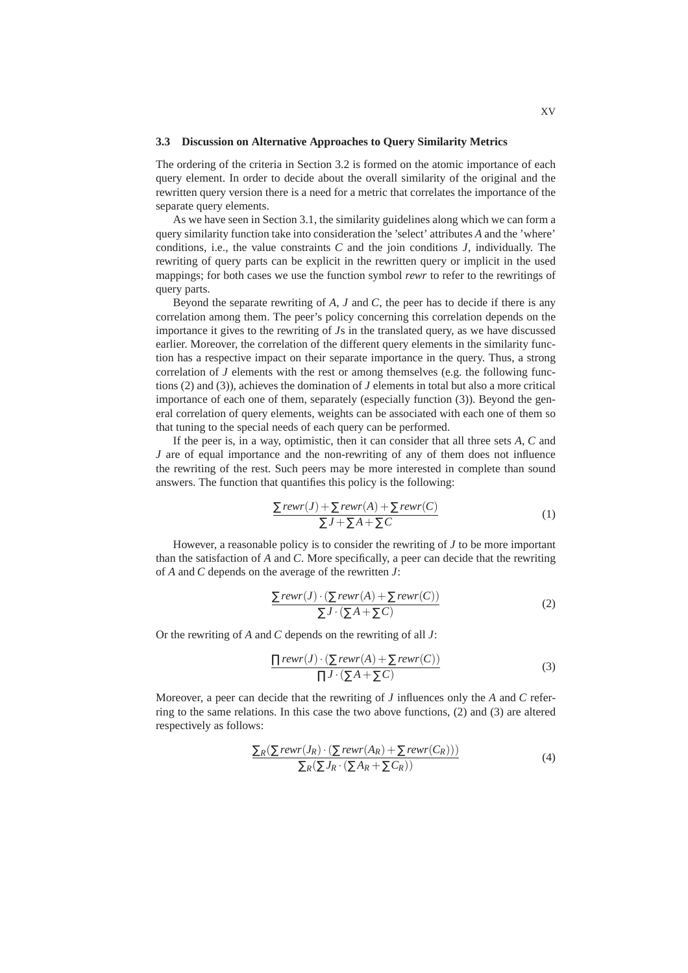#### **3.3 Discussion on Alternative Approaches to Query Similarity Metrics**

The ordering of the criteria in Section 3.2 is formed on the atomic importance of each query element. In order to decide about the overall similarity of the original and the rewritten query version there is a need for a metric that correlates the importance of the separate query elements.

As we have seen in Section 3.1, the similarity guidelines along which we can form a query similarity function take into consideration the 'select' attributes *A* and the 'where' conditions, i.e., the value constraints *C* and the join conditions *J*, individually. The rewriting of query parts can be explicit in the rewritten query or implicit in the used mappings; for both cases we use the function symbol *rewr* to refer to the rewritings of query parts.

Beyond the separate rewriting of *A*, *J* and *C*, the peer has to decide if there is any correlation among them. The peer's policy concerning this correlation depends on the importance it gives to the rewriting of *J*s in the translated query, as we have discussed earlier. Moreover, the correlation of the different query elements in the similarity function has a respective impact on their separate importance in the query. Thus, a strong correlation of *J* elements with the rest or among themselves (e.g. the following functions (2) and (3)), achieves the domination of *J* elements in total but also a more critical importance of each one of them, separately (especially function (3)). Beyond the general correlation of query elements, weights can be associated with each one of them so that tuning to the special needs of each query can be performed.

If the peer is, in a way, optimistic, then it can consider that all three sets *A*, *C* and *J* are of equal importance and the non-rewriting of any of them does not influence the rewriting of the rest. Such peers may be more interested in complete than sound answers. The function that quantifies this policy is the following:

$$
\frac{\sum \text{rewr}(J) + \sum \text{rewr}(A) + \sum \text{rewr}(C)}{\sum J + \sum A + \sum C} \tag{1}
$$

However, a reasonable policy is to consider the rewriting of *J* to be more important than the satisfaction of *A* and *C*. More specifically, a peer can decide that the rewriting of *A* and *C* depends on the average of the rewritten *J*:

$$
\frac{\sum \text{rewr}(J) \cdot (\sum \text{rewr}(A) + \sum \text{rewr}(C))}{\sum J \cdot (\sum A + \sum C)} \tag{2}
$$

Or the rewriting of *A* and *C* depends on the rewriting of all *J*:

$$
\frac{\prod \operatorname{rewr}(J) \cdot (\sum \operatorname{rewr}(A) + \sum \operatorname{rewr}(C))}{\prod J \cdot (\sum A + \sum C)}\tag{3}
$$

Moreover, a peer can decide that the rewriting of *J* influences only the *A* and *C* referring to the same relations. In this case the two above functions, (2) and (3) are altered respectively as follows:

$$
\frac{\sum_{R}(\sum{rewr}(J_{R}) \cdot (\sum{rewr}(A_{R}) + \sum{rewr}(C_{R})))}{\sum_{R}(\sum{J_{R}} \cdot (\sum{A_{R}} + \sum{C_{R}}))}
$$
\n(4)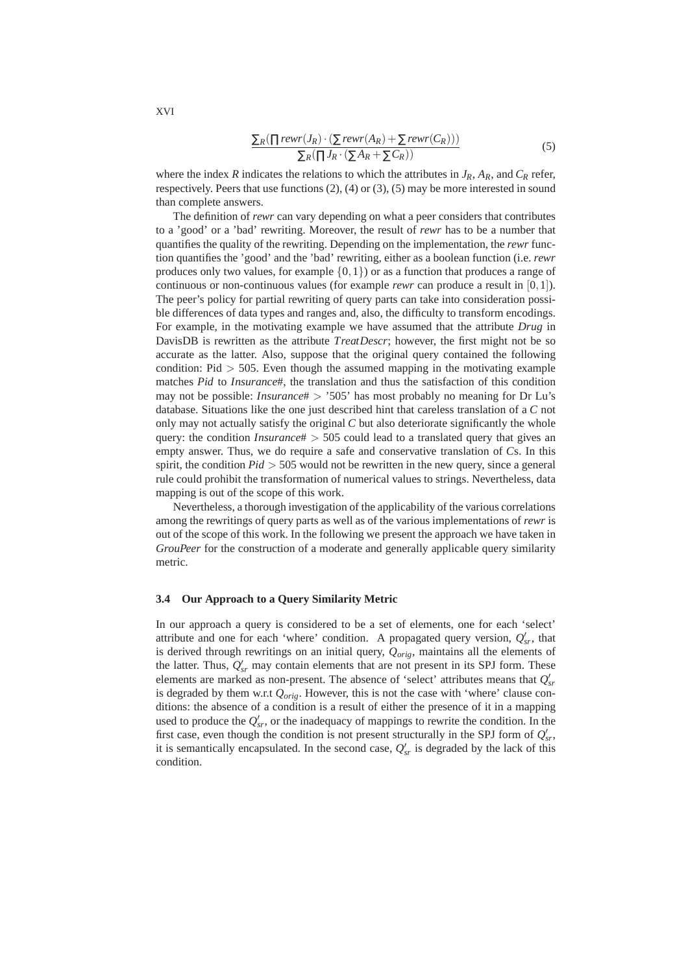$$
\frac{\sum_{R} (\prod{rewr}(J_{R}) \cdot (\sum{rewr}(A_{R}) + \sum{rewr}(C_{R})))}{\sum_{R} (\prod{J_{R}} \cdot (\sum{A_{R}} + \sum{C_{R}}))}
$$
(5)

where the index *R* indicates the relations to which the attributes in  $J_R$ ,  $A_R$ , and  $C_R$  refer, respectively. Peers that use functions (2), (4) or (3), (5) may be more interested in sound than complete answers.

The definition of *rewr* can vary depending on what a peer considers that contributes to a 'good' or a 'bad' rewriting. Moreover, the result of *rewr* has to be a number that quantifies the quality of the rewriting. Depending on the implementation, the *rewr* function quantifies the 'good' and the 'bad' rewriting, either as a boolean function (i.e. *rewr* produces only two values, for example  $\{0,1\}$  or as a function that produces a range of continuous or non-continuous values (for example *rewr* can produce a result in [0,1]). The peer's policy for partial rewriting of query parts can take into consideration possible differences of data types and ranges and, also, the difficulty to transform encodings. For example, in the motivating example we have assumed that the attribute *Drug* in DavisDB is rewritten as the attribute *TreatDescr*; however, the first might not be so accurate as the latter. Also, suppose that the original query contained the following condition: Pid  $>$  505. Even though the assumed mapping in the motivating example matches *Pid* to *Insurance*#, the translation and thus the satisfaction of this condition may not be possible: *Insurance*# > '505' has most probably no meaning for Dr Lu's database. Situations like the one just described hint that careless translation of a *C* not only may not actually satisfy the original *C* but also deteriorate significantly the whole query: the condition *Insurance*# > 505 could lead to a translated query that gives an empty answer. Thus, we do require a safe and conservative translation of *C*s. In this spirit, the condition  $Pid > 505$  would not be rewritten in the new query, since a general rule could prohibit the transformation of numerical values to strings. Nevertheless, data mapping is out of the scope of this work.

Nevertheless, a thorough investigation of the applicability of the various correlations among the rewritings of query parts as well as of the various implementations of *rewr* is out of the scope of this work. In the following we present the approach we have taken in *GrouPeer* for the construction of a moderate and generally applicable query similarity metric.

### **3.4 Our Approach to a Query Similarity Metric**

In our approach a query is considered to be a set of elements, one for each 'select' attribute and one for each 'where' condition. A propagated query version,  $Q'_{sr}$ , that is derived through rewritings on an initial query, *Qorig*, maintains all the elements of the latter. Thus,  $Q'_{sr}$  may contain elements that are not present in its SPJ form. These elements are marked as non-present. The absence of 'select' attributes means that  $Q'_{sr}$ is degraded by them w.r.t *Qorig*. However, this is not the case with 'where' clause conditions: the absence of a condition is a result of either the presence of it in a mapping used to produce the *Q* ′ *sr*, or the inadequacy of mappings to rewrite the condition. In the first case, even though the condition is not present structurally in the SPJ form of  $Q'_{sr}$ , it is semantically encapsulated. In the second case,  $Q'_{sr}$  is degraded by the lack of this condition.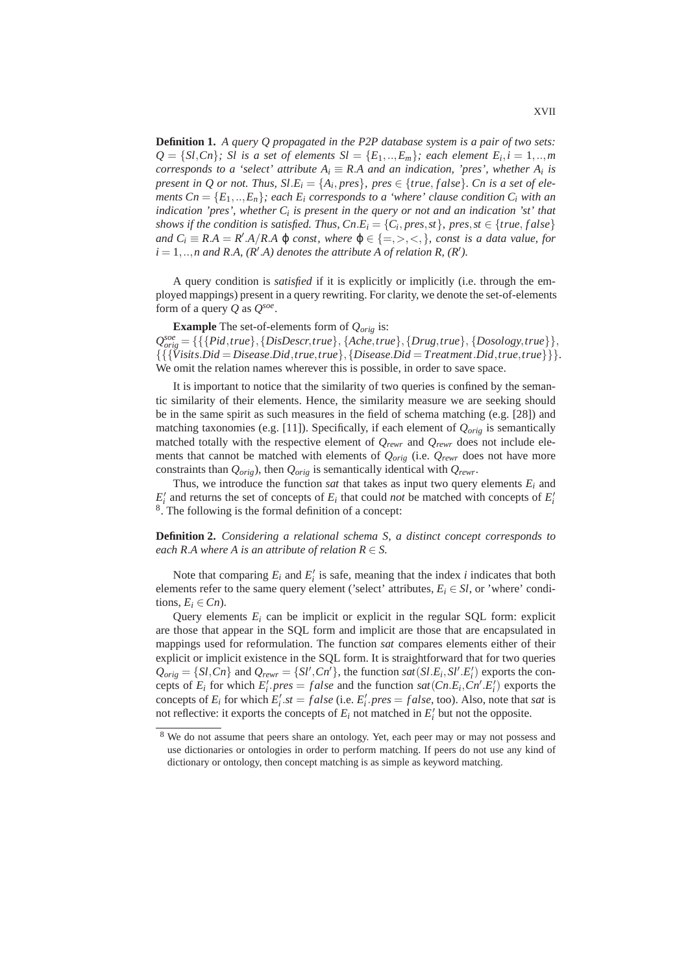**Definition 1.** *A query Q propagated in the P2P database system is a pair of two sets:*  $Q = \{Sl, Ch\}$ ; *Sl* is a set of elements  $Sl = \{E_1, ..., E_m\}$ ; each element  $E_i$ ,  $i = 1, ..., m$ *corresponds to a 'select' attribute*  $A_i \equiv R.A$  *and an indication, 'pres', whether*  $A_i$  *is present in Q or not. Thus,*  $S_l.E_i = \{A_i, pres\}$ *, pres*  $\in \{true, false\}$ *. Cn is a set of elements*  $C_n = \{E_1, \ldots, E_n\}$ *; each*  $E_i$  *corresponds to a 'where' clause condition*  $C_i$  *with an indication 'pres', whether*  $C_i$  *is present in the query or not and an indication 'st' that shows if the condition is satisfied. Thus,*  $Cn.E_i = \{C_i, pres, st\}$ *, pres, st*  $\in \{true, false\}$  $\mathcal{A}$  *and*  $C_i \equiv R.A = R'A/R.A \phi \text{ const}, \text{ where } \phi \in \{=,>,<,\}, \text{ const is a data value, for }$  $i = 1, \ldots, n$  and R.A,  $(R'$ .A) denotes the attribute A of relation R,  $(R')$ .

A query condition is *satisfied* if it is explicitly or implicitly (i.e. through the employed mappings) present in a query rewriting. For clarity, we denote the set-of-elements form of a query  $Q$  as  $Q^{soe}$ .

**Example** The set-of-elements form of *Qorig* is:  $Q_{orig}^{soc} = \{\{\text{Pid}, \text{true}\}, \{\text{DisDescr}, \text{true}\}, \{\text{Ache}, \text{true}\}, \{\text{Drug}, \text{true}\}, \{\text{Dosology}, \text{true}\}\},\$  $\{\{\widetilde{V} \text{isits}. \text{Did} = \text{Disease}. \text{Did}, \text{true}, \text{true}\}, \{\text{Disease}. \text{Did} = \text{Treatment}. \text{Did}, \text{true}, \text{true}\}\}.$ We omit the relation names wherever this is possible, in order to save space.

It is important to notice that the similarity of two queries is confined by the semantic similarity of their elements. Hence, the similarity measure we are seeking should be in the same spirit as such measures in the field of schema matching (e.g. [28]) and matching taxonomies (e.g. [11]). Specifically, if each element of *Qorig* is semantically matched totally with the respective element of  $Q_{\text{rewr}}$  and  $Q_{\text{rewr}}$  does not include elements that cannot be matched with elements of  $Q_{\text{orig}}$  (i.e.  $Q_{\text{rewr}}$  does not have more constraints than *Qorig*), then *Qorig* is semantically identical with *Qrewr*.

Thus, we introduce the function *sat* that takes as input two query elements  $E_i$  and  $E_i'$  and returns the set of concepts of  $E_i$  that could *not* be matched with concepts of  $E_i'$  $8$ . The following is the formal definition of a concept:

**Definition 2.** *Considering a relational schema S, a distinct concept corresponds to each R.A where A is an attribute of relation R*  $\in$  *S.* 

Note that comparing  $E_i$  and  $E'_i$  is safe, meaning that the index *i* indicates that both elements refer to the same query element ('select' attributes,  $E_i \in \mathcal{S}l$ , or 'where' conditions,  $E_i \in C_n$ ).

Query elements  $E_i$  can be implicit or explicit in the regular SQL form: explicit are those that appear in the SQL form and implicit are those that are encapsulated in mappings used for reformulation. The function *sat* compares elements either of their explicit or implicit existence in the SQL form. It is straightforward that for two queries  $Q_{orig} = \{SI, Cn\}$  and  $Q_{rewr} = \{SI', Cn'\}$ , the function *sat*( $SLE_i, Sl'.E'_i$ ) exports the concepts of  $E_i$  for which  $E'_i$ . pres = *false* and the function *sat*(*Cn*.*E<sub>i</sub>*, *Cn'*.*E*<sup>*i*</sup>)</sub> exports the concepts of  $E_i$  for which  $E'_i$   $st = false$  (i.e.  $E'_i$  *pres* = *f alse*, too). Also, note that *sat* is not reflective: it exports the concepts of  $E_i$  not matched in  $E'_i$  but not the opposite.

<sup>8</sup> We do not assume that peers share an ontology. Yet, each peer may or may not possess and use dictionaries or ontologies in order to perform matching. If peers do not use any kind of dictionary or ontology, then concept matching is as simple as keyword matching.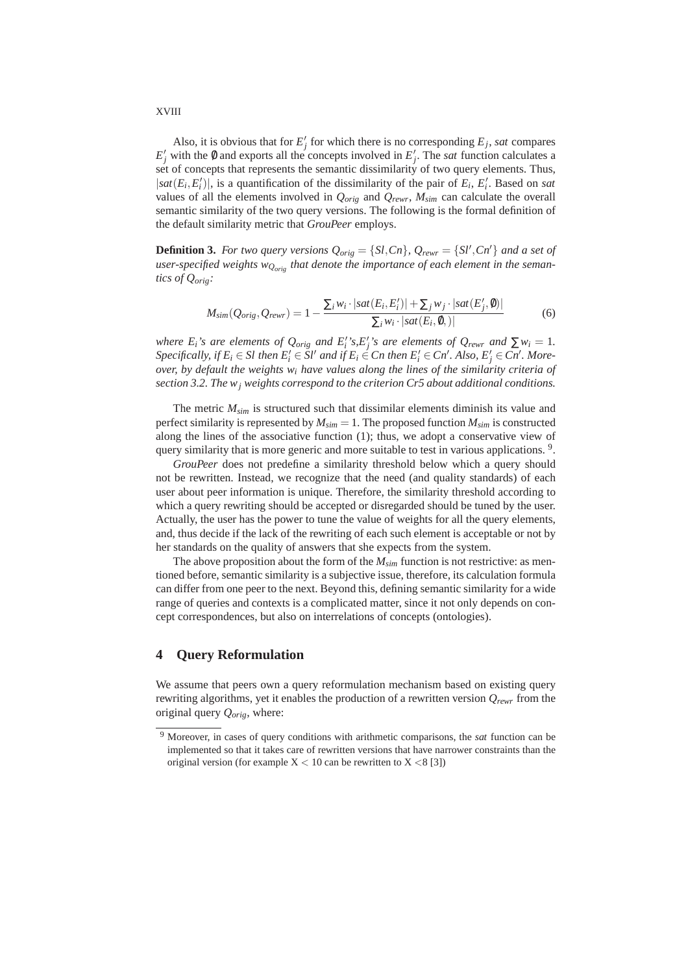Also, it is obvious that for  $E'_j$  for which there is no corresponding  $E_j$ , *sat* compares  $E'_{j}$  with the 0 and exports all the concepts involved in  $E'_{j}$ . The *sat* function calculates a set of concepts that represents the semantic dissimilarity of two query elements. Thus,  $|sat(E_i, E'_i)|$ , is a quantification of the dissimilarity of the pair of  $E_i$ ,  $E'_i$ . Based on *sat* values of all the elements involved in *Qorig* and *Qrewr*, *Msim* can calculate the overall semantic similarity of the two query versions. The following is the formal definition of the default similarity metric that *GrouPeer* employs.

**Definition 3.** For two query versions  $Q_{orig} = \{Sl, Ch\}$ ,  $Q_{rewr} = \{Sl', Ch'\}$  and a set of user-specified weights  $w_{Q_{\text{orie}}}$  that denote the importance of each element in the seman*tics of Qorig:*

$$
M_{sim}(Q_{orig}, Q_{rewr}) = 1 - \frac{\sum_{i} w_i \cdot |sat(E_i, E'_i)| + \sum_{j} w_j \cdot |sat(E'_j, \mathbf{0})|}{\sum_{i} w_i \cdot |sat(E_i, \mathbf{0},)|}
$$
(6)

*where*  $E_i$ 's are elements of  $Q_{orig}$  and  $E_i'$ 's, $E_j'$ 's are elements of  $Q_{rewr}$  and  $\sum w_i = 1$ . *Specifically, if*  $E_i \in S$ *l then*  $E'_i \in S$ *l' and if*  $E_i \in C$ *n then*  $E'_i \in C$ *n'*. Also,  $E'_j \in C$ *n'*. More*over, by default the weights w<sup>i</sup> have values along the lines of the similarity criteria of section 3.2. The w<sup>j</sup> weights correspond to the criterion Cr5 about additional conditions.*

The metric *Msim* is structured such that dissimilar elements diminish its value and perfect similarity is represented by  $M_{sim} = 1$ . The proposed function  $M_{sim}$  is constructed along the lines of the associative function (1); thus, we adopt a conservative view of query similarity that is more generic and more suitable to test in various applications.<sup>9</sup>.

*GrouPeer* does not predefine a similarity threshold below which a query should not be rewritten. Instead, we recognize that the need (and quality standards) of each user about peer information is unique. Therefore, the similarity threshold according to which a query rewriting should be accepted or disregarded should be tuned by the user. Actually, the user has the power to tune the value of weights for all the query elements, and, thus decide if the lack of the rewriting of each such element is acceptable or not by her standards on the quality of answers that she expects from the system.

The above proposition about the form of the  $M_{sim}$  function is not restrictive: as mentioned before, semantic similarity is a subjective issue, therefore, its calculation formula can differ from one peer to the next. Beyond this, defining semantic similarity for a wide range of queries and contexts is a complicated matter, since it not only depends on concept correspondences, but also on interrelations of concepts (ontologies).

## **4 Query Reformulation**

We assume that peers own a query reformulation mechanism based on existing query rewriting algorithms, yet it enables the production of a rewritten version *Qrewr* from the original query *Qorig*, where:

### XVIII

<sup>9</sup> Moreover, in cases of query conditions with arithmetic comparisons, the *sat* function can be implemented so that it takes care of rewritten versions that have narrower constraints than the original version (for example  $X < 10$  can be rewritten to  $X < 8$  [3])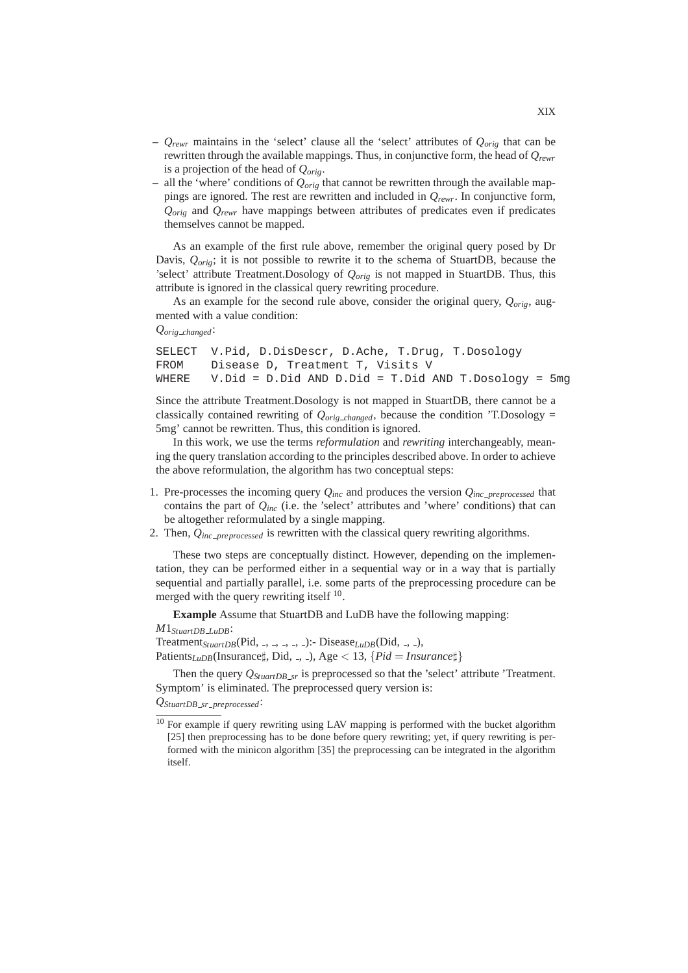- $-Q_{\text{rewr}}$  maintains in the 'select' clause all the 'select' attributes of  $Q_{\text{orig}}$  that can be rewritten through the available mappings. Thus, in conjunctive form, the head of *Qrewr* is a projection of the head of *Qorig*.
- **–** all the 'where' conditions of *Qorig* that cannot be rewritten through the available mappings are ignored. The rest are rewritten and included in *Qrewr*. In conjunctive form, *Qorig* and *Qrewr* have mappings between attributes of predicates even if predicates themselves cannot be mapped.

As an example of the first rule above, remember the original query posed by Dr Davis, *Qorig*; it is not possible to rewrite it to the schema of StuartDB, because the 'select' attribute Treatment.Dosology of *Qorig* is not mapped in StuartDB. Thus, this attribute is ignored in the classical query rewriting procedure.

As an example for the second rule above, consider the original query,  $Q_{\text{orig}}$ , augmented with a value condition:

*Qorig changed*:

```
SELECT V.Pid, D.DisDescr, D.Ache, T.Drug, T.Dosology
FROM Disease D, Treatment T, Visits V
WHERE V.Did = D.Did AND D.Did = T.Did AND T.Dosology = 5mg
```
Since the attribute Treatment.Dosology is not mapped in StuartDB, there cannot be a classically contained rewriting of  $Q_{orig\_changed}$ , because the condition 'T.Dosology = 5mg' cannot be rewritten. Thus, this condition is ignored.

In this work, we use the terms *reformulation* and *rewriting* interchangeably, meaning the query translation according to the principles described above. In order to achieve the above reformulation, the algorithm has two conceptual steps:

- 1. Pre-processes the incoming query  $Q_{inc}$  and produces the version  $Q_{inc\_preprocessed}$  that contains the part of  $Q_{inc}$  (i.e. the 'select' attributes and 'where' conditions) that can be altogether reformulated by a single mapping.
- 2. Then, *Qinc preprocessed* is rewritten with the classical query rewriting algorithms.

These two steps are conceptually distinct. However, depending on the implementation, they can be performed either in a sequential way or in a way that is partially sequential and partially parallel, i.e. some parts of the preprocessing procedure can be merged with the query rewriting itself  $10$ .

**Example** Assume that StuartDB and LuDB have the following mapping:

*M*1*StuartDB LuDB*: Treatment<sub>*StuartDB*</sub>(Pid,  $\rightarrow$   $\rightarrow$   $\rightarrow$   $\rightarrow$   $\rightarrow$  ):- Disease<sub>LuDB</sub>(Did,  $\rightarrow$   $\rightarrow$ ),

Patients<sub>LuDB</sub>(Insurance $\sharp$ , Did, ..., .), Age < 13, {*Pid = Insurance* $\sharp$ }

Then the query  $Q_{\text{StuartDB\_sr}}$  is preprocessed so that the 'select' attribute 'Treatment. Symptom' is eliminated. The preprocessed query version is:

*QStuartDB sr preprocessed*:

<sup>&</sup>lt;sup>10</sup> For example if query rewriting using LAV mapping is performed with the bucket algorithm [25] then preprocessing has to be done before query rewriting; yet, if query rewriting is performed with the minicon algorithm [35] the preprocessing can be integrated in the algorithm itself.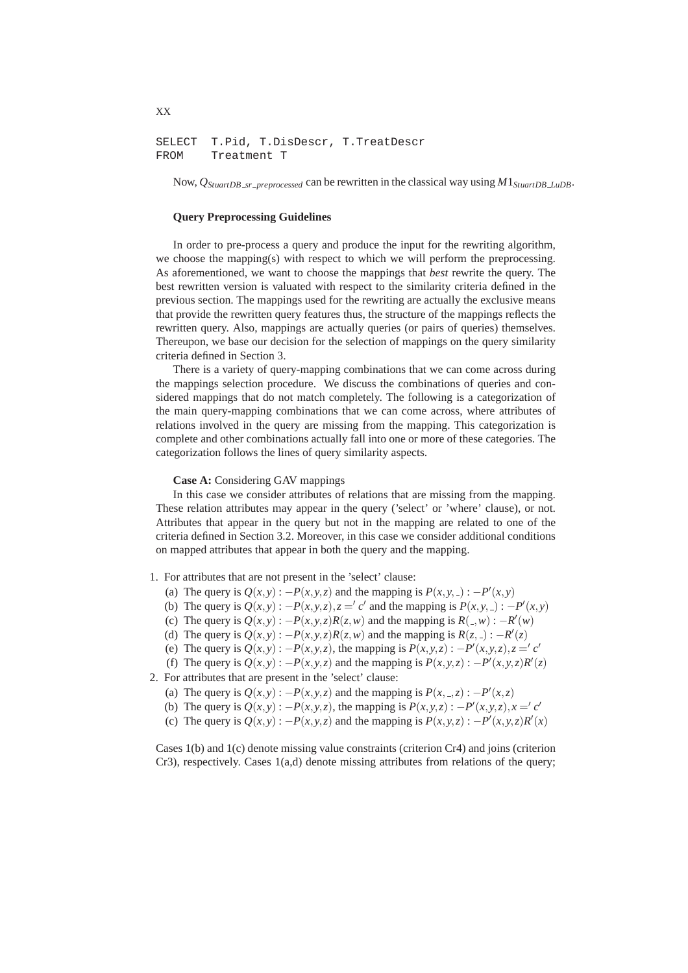SELECT T.Pid, T.DisDescr, T.TreatDescr FROM Treatment T

Now, *QStuartDB sr preprocessed* can be rewritten in the classical way using *M*1*StuartDB LuDB*.

#### **Query Preprocessing Guidelines**

In order to pre-process a query and produce the input for the rewriting algorithm, we choose the mapping(s) with respect to which we will perform the preprocessing. As aforementioned, we want to choose the mappings that *best* rewrite the query. The best rewritten version is valuated with respect to the similarity criteria defined in the previous section. The mappings used for the rewriting are actually the exclusive means that provide the rewritten query features thus, the structure of the mappings reflects the rewritten query. Also, mappings are actually queries (or pairs of queries) themselves. Thereupon, we base our decision for the selection of mappings on the query similarity criteria defined in Section 3.

There is a variety of query-mapping combinations that we can come across during the mappings selection procedure. We discuss the combinations of queries and considered mappings that do not match completely. The following is a categorization of the main query-mapping combinations that we can come across, where attributes of relations involved in the query are missing from the mapping. This categorization is complete and other combinations actually fall into one or more of these categories. The categorization follows the lines of query similarity aspects.

**Case A:** Considering GAV mappings

In this case we consider attributes of relations that are missing from the mapping. These relation attributes may appear in the query ('select' or 'where' clause), or not. Attributes that appear in the query but not in the mapping are related to one of the criteria defined in Section 3.2. Moreover, in this case we consider additional conditions on mapped attributes that appear in both the query and the mapping.

1. For attributes that are not present in the 'select' clause:

- (a) The query is  $Q(x, y)$  :  $-P(x, y, z)$  and the mapping is  $P(x, y, z)$  :  $-P'(x, y)$
- (b) The query is  $Q(x, y)$  :  $-P(x, y, z)$ ,  $z = c'$  and the mapping is  $P(x, y, z)$  :  $-P'(x, y)$
- (c) The query is  $Q(x, y)$  :  $-P(x, y, z)R(z, w)$  and the mapping is  $R(0, w)$  :  $-R'(w)$
- (d) The query is  $Q(x, y)$ :  $-P(x, y, z)R(z, w)$  and the mapping is  $R(z, z)$ :  $-R'(z)$
- (e) The query is  $Q(x, y)$  :  $-P(x, y, z)$ , the mapping is  $P(x, y, z)$  :  $-P'(x, y, z)$ ,  $z = c'$
- (f) The query is  $Q(x, y)$  :  $-P(x, y, z)$  and the mapping is  $P(x, y, z)$  :  $-P'(x, y, z)R'(z)$

2. For attributes that are present in the 'select' clause:

- (a) The query is  $Q(x, y)$  :  $-P(x, y, z)$  and the mapping is  $P(x, z, z)$  :  $-P'(x, z)$
- (b) The query is  $Q(x, y)$  :  $-P(x, y, z)$ , the mapping is  $P(x, y, z)$  :  $-P'(x, y, z)$ ,  $x = c'$
- (c) The query is  $Q(x, y)$  :  $-P(x, y, z)$  and the mapping is  $P(x, y, z)$  :  $-P'(x, y, z)R'(x)$

Cases 1(b) and 1(c) denote missing value constraints (criterion Cr4) and joins (criterion Cr3), respectively. Cases 1(a,d) denote missing attributes from relations of the query;

XX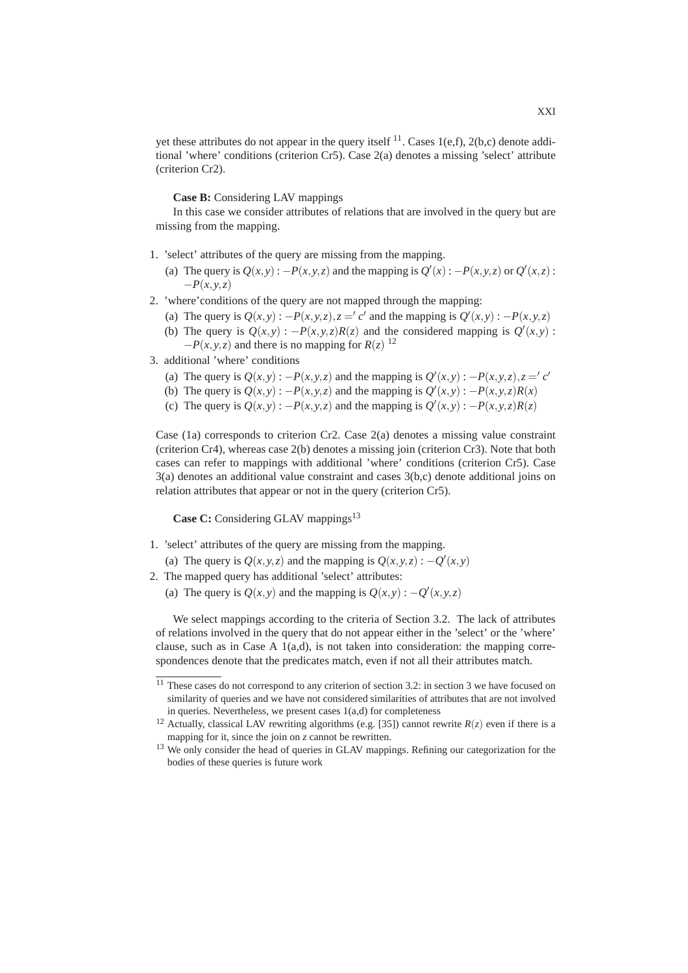yet these attributes do not appear in the query itself  $^{11}$ . Cases 1(e,f), 2(b,c) denote additional 'where' conditions (criterion Cr5). Case 2(a) denotes a missing 'select' attribute (criterion Cr2).

**Case B:** Considering LAV mappings

In this case we consider attributes of relations that are involved in the query but are missing from the mapping.

- 1. 'select' attributes of the query are missing from the mapping.
	- (a) The query is  $Q(x, y)$ :  $-P(x, y, z)$  and the mapping is  $Q'(x)$ :  $-P(x, y, z)$  or  $Q'(x, z)$ : −*P*(*x*,*y*,*z*)
- 2. 'where'conditions of the query are not mapped through the mapping:
	- (a) The query is  $Q(x, y)$  :  $-P(x, y, z)$ ,  $z = c'$  and the mapping is  $Q'(x, y)$  :  $-P(x, y, z)$ (b) The query is  $Q(x, y)$  :  $-P(x, y, z)R(z)$  and the considered mapping is  $Q'(x, y)$  :  $-P(x, y, z)$  and there is no mapping for  $R(z)$ <sup>12</sup>
- 3. additional 'where' conditions
	- (a) The query is  $Q(x, y)$  :  $-P(x, y, z)$  and the mapping is  $Q'(x, y)$  :  $-P(x, y, z)$ ,  $z = c'$
	- (b) The query is  $Q(x, y)$  :  $-P(x, y, z)$  and the mapping is  $Q'(x, y)$  :  $-P(x, y, z)R(x)$
	- (c) The query is  $Q(x, y)$  :  $-P(x, y, z)$  and the mapping is  $Q'(x, y)$  :  $-P(x, y, z)R(z)$

Case (1a) corresponds to criterion Cr2. Case 2(a) denotes a missing value constraint (criterion Cr4), whereas case 2(b) denotes a missing join (criterion Cr3). Note that both cases can refer to mappings with additional 'where' conditions (criterion Cr5). Case  $3(a)$  denotes an additional value constraint and cases  $3(b,c)$  denote additional joins on relation attributes that appear or not in the query (criterion Cr5).

**Case C:** Considering GLAV mappings<sup>13</sup>

- 1. 'select' attributes of the query are missing from the mapping.
	- (a) The query is  $Q(x, y, z)$  and the mapping is  $Q(x, y, z)$  :  $-Q'(x, y)$
- 2. The mapped query has additional 'select' attributes:
	- (a) The query is  $Q(x, y)$  and the mapping is  $Q(x, y)$  :  $-Q'(x, y, z)$

We select mappings according to the criteria of Section 3.2. The lack of attributes of relations involved in the query that do not appear either in the 'select' or the 'where' clause, such as in Case A  $1(a,d)$ , is not taken into consideration: the mapping correspondences denote that the predicates match, even if not all their attributes match.

<sup>&</sup>lt;sup>11</sup> These cases do not correspond to any criterion of section 3.2: in section 3 we have focused on similarity of queries and we have not considered similarities of attributes that are not involved in queries. Nevertheless, we present cases 1(a,d) for completeness

<sup>&</sup>lt;sup>12</sup> Actually, classical LAV rewriting algorithms (e.g. [35]) cannot rewrite  $R(z)$  even if there is a mapping for it, since the join on *z* cannot be rewritten.

<sup>&</sup>lt;sup>13</sup> We only consider the head of queries in GLAV mappings. Refining our categorization for the bodies of these queries is future work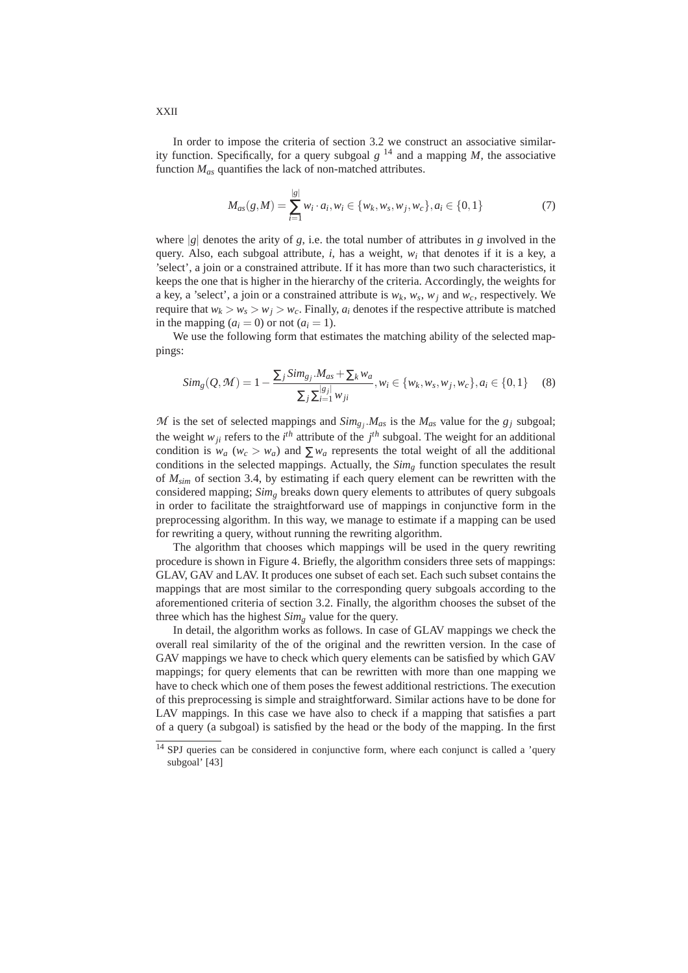In order to impose the criteria of section 3.2 we construct an associative similarity function. Specifically, for a query subgoal  $g<sup>14</sup>$  and a mapping *M*, the associative function *Mas* quantifies the lack of non-matched attributes.

$$
M_{as}(g,M) = \sum_{i=1}^{|g|} w_i \cdot a_i, w_i \in \{w_k, w_s, w_j, w_c\}, a_i \in \{0,1\}
$$
 (7)

where  $|g|$  denotes the arity of *g*, i.e. the total number of attributes in *g* involved in the query. Also, each subgoal attribute, *i*, has a weight, *w<sup>i</sup>* that denotes if it is a key, a 'select', a join or a constrained attribute. If it has more than two such characteristics, it keeps the one that is higher in the hierarchy of the criteria. Accordingly, the weights for a key, a 'select', a join or a constrained attribute is  $w_k$ ,  $w_s$ ,  $w_j$  and  $w_c$ , respectively. We require that  $w_k > w_s > w_i > w_c$ . Finally,  $a_i$  denotes if the respective attribute is matched in the mapping  $(a_i = 0)$  or not  $(a_i = 1)$ .

We use the following form that estimates the matching ability of the selected mappings:

$$
Sim_{g}(Q, \mathcal{M}) = 1 - \frac{\sum_{j} Sim_{g_j} M_{as} + \sum_{k} w_a}{\sum_{j} \sum_{i=1}^{|g_j|} w_{ji}}, w_i \in \{w_k, w_s, w_j, w_c\}, a_i \in \{0, 1\}
$$
 (8)

 $M$  is the set of selected mappings and  $Sim_{g_j}$ .  $M_{as}$  is the  $M_{as}$  value for the  $g_j$  subgoal; the weight  $w_{ji}$  refers to the *i*<sup>th</sup> attribute of the *j*<sup>th</sup> subgoal. The weight for an additional condition is  $w_a$  ( $w_c > w_a$ ) and  $\sum w_a$  represents the total weight of all the additional conditions in the selected mappings. Actually, the  $Sim<sub>g</sub>$  function speculates the result of *Msim* of section 3.4, by estimating if each query element can be rewritten with the considered mapping; *Sim<sup>g</sup>* breaks down query elements to attributes of query subgoals in order to facilitate the straightforward use of mappings in conjunctive form in the preprocessing algorithm. In this way, we manage to estimate if a mapping can be used for rewriting a query, without running the rewriting algorithm.

The algorithm that chooses which mappings will be used in the query rewriting procedure is shown in Figure 4. Briefly, the algorithm considers three sets of mappings: GLAV, GAV and LAV. It produces one subset of each set. Each such subset contains the mappings that are most similar to the corresponding query subgoals according to the aforementioned criteria of section 3.2. Finally, the algorithm chooses the subset of the three which has the highest *Sim<sup>g</sup>* value for the query.

In detail, the algorithm works as follows. In case of GLAV mappings we check the overall real similarity of the of the original and the rewritten version. In the case of GAV mappings we have to check which query elements can be satisfied by which GAV mappings; for query elements that can be rewritten with more than one mapping we have to check which one of them poses the fewest additional restrictions. The execution of this preprocessing is simple and straightforward. Similar actions have to be done for LAV mappings. In this case we have also to check if a mapping that satisfies a part of a query (a subgoal) is satisfied by the head or the body of the mapping. In the first

XXII

<sup>&</sup>lt;sup>14</sup> SPJ queries can be considered in conjunctive form, where each conjunct is called a 'query subgoal' [43]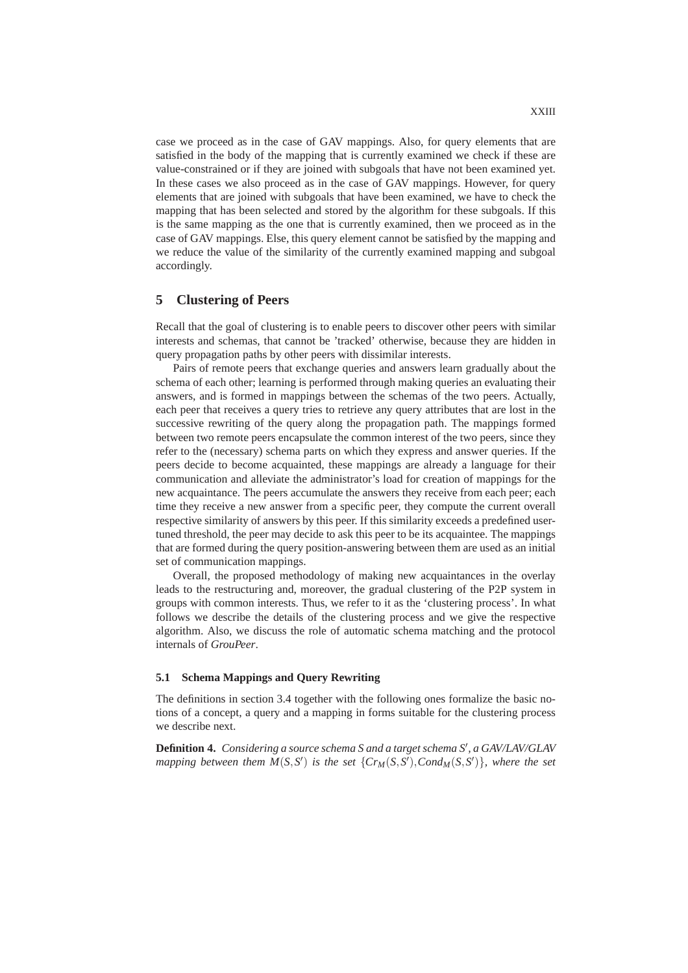case we proceed as in the case of GAV mappings. Also, for query elements that are satisfied in the body of the mapping that is currently examined we check if these are value-constrained or if they are joined with subgoals that have not been examined yet. In these cases we also proceed as in the case of GAV mappings. However, for query elements that are joined with subgoals that have been examined, we have to check the mapping that has been selected and stored by the algorithm for these subgoals. If this is the same mapping as the one that is currently examined, then we proceed as in the case of GAV mappings. Else, this query element cannot be satisfied by the mapping and we reduce the value of the similarity of the currently examined mapping and subgoal accordingly.

### **5 Clustering of Peers**

Recall that the goal of clustering is to enable peers to discover other peers with similar interests and schemas, that cannot be 'tracked' otherwise, because they are hidden in query propagation paths by other peers with dissimilar interests.

Pairs of remote peers that exchange queries and answers learn gradually about the schema of each other; learning is performed through making queries an evaluating their answers, and is formed in mappings between the schemas of the two peers. Actually, each peer that receives a query tries to retrieve any query attributes that are lost in the successive rewriting of the query along the propagation path. The mappings formed between two remote peers encapsulate the common interest of the two peers, since they refer to the (necessary) schema parts on which they express and answer queries. If the peers decide to become acquainted, these mappings are already a language for their communication and alleviate the administrator's load for creation of mappings for the new acquaintance. The peers accumulate the answers they receive from each peer; each time they receive a new answer from a specific peer, they compute the current overall respective similarity of answers by this peer. If this similarity exceeds a predefined usertuned threshold, the peer may decide to ask this peer to be its acquaintee. The mappings that are formed during the query position-answering between them are used as an initial set of communication mappings.

Overall, the proposed methodology of making new acquaintances in the overlay leads to the restructuring and, moreover, the gradual clustering of the P2P system in groups with common interests. Thus, we refer to it as the 'clustering process'. In what follows we describe the details of the clustering process and we give the respective algorithm. Also, we discuss the role of automatic schema matching and the protocol internals of *GrouPeer*.

### **5.1 Schema Mappings and Query Rewriting**

The definitions in section 3.4 together with the following ones formalize the basic notions of a concept, a query and a mapping in forms suitable for the clustering process we describe next.

**Definition 4.** *Considering a source schema S and a target schema S*′ *, a GAV/LAV/GLAV mapping between them*  $M(S, S')$  *is the set*  ${Cr_M(S, S'), Cond_M(S, S')}$ , where the set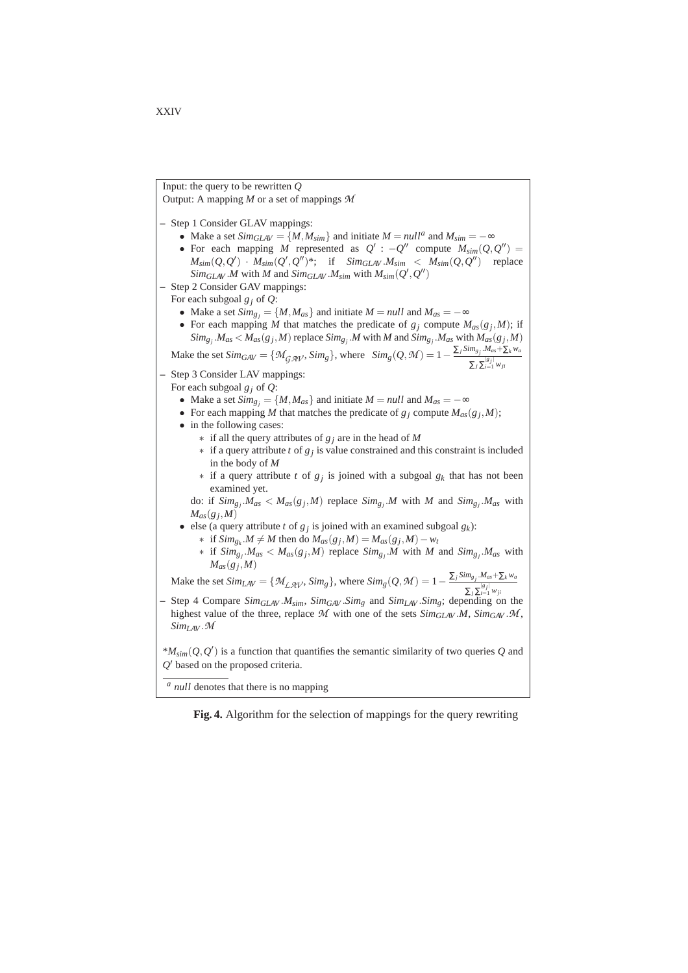Input: the query to be rewritten *Q* Output: A mapping *M* or a set of mappings *M* **–** Step 1 Consider GLAV mappings: • Make a set  $Sim_{GLAV} = \{M, M_{sim}\}$  and initiate  $M = null^a$  and  $M_{sim} = -\infty$ • For each mapping *M* represented as  $Q'$  :  $-Q''$  compute  $M_{sim}(Q,Q'')$  =  $M_{sim}(Q,Q')$  ·  $M_{sim}(Q',Q'')^*;$  if *Sim<sub>GLAV</sub>* . $M_{sim}$  <  $M_{sim}(Q,Q'')$  replace *Sim<sub>GLAV</sub>* .*M* with *M* and *Sim<sub>GLAV</sub>* .*M*<sub>*sim*</sub> with  $M_{sim}(Q', Q'')$ **–** Step 2 Consider GAV mappings: For each subgoal *gj* of *Q*: • Make a set  $Sim_{g_i} = \{M, M_{as}\}\$ and initiate  $M = null$  and  $M_{as} = -\infty$ • For each mapping *M* that matches the predicate of  $g_j$  compute  $M_{as}(g_j, M)$ ; if  $Sim_{g_j}.M_{as} < M_{as}(g_j, M)$  replace  $Sim_{g_j}.M$  with M and  $Sim_{g_j}.M_{as}$  with  $M_{as}(g_j, M)$ Make the set  $Sim_{GAV} = \{ \mathcal{M}_{\mathcal{GAV}}, Sim_{g} \}$ , where  $Sim_{g}(Q, \mathcal{M}) = 1 - \frac{\sum_{j} Sim_{gj} M_{as} + \sum_{k} w_{a}}{\sum_{j} |S_{j}|}$  $\sum_j \sum_{i=1}^{\infty} w_{ji}$  $|g_j|$ **–** Step 3 Consider LAV mappings: For each subgoal *gj* of *Q*: • Make a set  $Sim_{g_i} = \{M, M_{as}\}\$ and initiate  $M = null$  and  $M_{as} = -\infty$ • For each mapping *M* that matches the predicate of  $g_j$  compute  $M_{as}(g_j, M)$ ; • in the following cases: ∗ if all the query attributes of *gj* are in the head of *M* ∗ if a query attribute *t* of *gj* is value constrained and this constraint is included in the body of *M* ∗ if a query attribute *t* of *gj* is joined with a subgoal *g<sup>k</sup>* that has not been examined yet. do: if  $Sim_{g_j}$ ,  $M_{as} < M_{as}(g_j, M)$  replace  $Sim_{g_j}$ . M with M and  $Sim_{g_j}$ . M<sub>as</sub> with  $M_{as}(g_j,M)$ • else (a query attribute *t* of  $g_j$  is joined with an examined subgoal  $g_k$ ): ∗ if  $Sim_{g_k} M \neq M$  then do  $M_{as}(g_j, M) = M_{as}(g_j, M) - w_t$ ∗ if  $Sim_{g_j}$ .*M*<sub>as</sub> < *M*<sub>as</sub>(*gj*,*M*) replace  $Sim_{g_j}$ .*M* with *M* and  $Sim_{g_j}$ .*M*<sub>as</sub> with  $M_{as}(g_j,M)$ Make the set  $Sim_{LAV} = \{M_{LAV}, Sim_g\}$ , where  $Sim_g(Q, M) = 1 - \frac{\sum_j Sim_{g_j} M_{as} + \sum_k w_a}{\sum_j \frac{|g_j|}{\sum_j \frac{|g_j|}{\sum_j \frac{|g_j|}{\sum_j \frac{|g_j|}{\sum_j \frac{|g_j|}{\sum_j \frac{|g_j|}{\sum_j \frac{|g_j|}{\sum_j \frac{|g_j|}{\sum_j \frac{|g_j|}{\sum_j \frac{|g_j|}{\sum_j \frac{|g_j|}{\sum_j \frac{|g_j|}{\sum_j \frac{|g_j|}{\sum_j \frac{|g_j|}{\sum_j \frac{|g_j|$  $\sum_j \sum_{i=1}^{|g_j|} w_{ji}$ **–** Step 4 Compare *SimGLAV* .*Msim*, *SimGAV* .*Sim<sup>g</sup>* and *SimLAV* .*Simg*; depending on the highest value of the three, replace  $M$  with one of the sets  $\textit{Sim}_{\textit{GLAV}} M$ ,  $\textit{Sim}_{\textit{GAN}} M$ , *SimLAV* .*M* \**Msim*(*Q*,*Q* ′ ) is a function that quantifies the semantic similarity of two queries *Q* and *Q* ′ based on the proposed criteria.

*<sup>a</sup> null* denotes that there is no mapping

**Fig. 4.** Algorithm for the selection of mappings for the query rewriting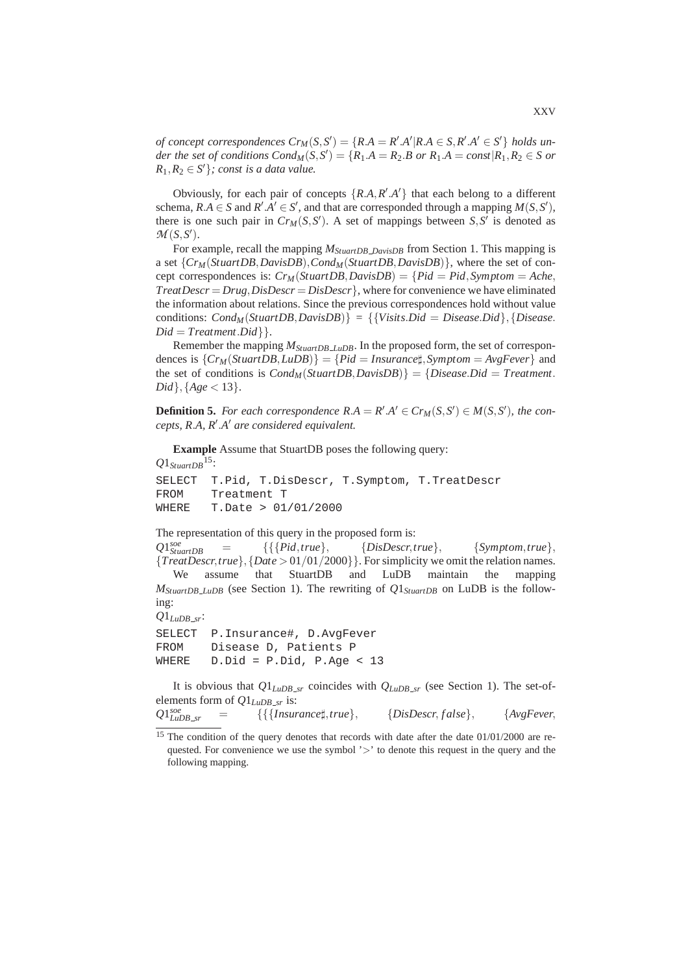*of concept correspondences*  $Cr_M(S, S') = \{RA = R'.A'|RA \in S, R'.A' \in S'\}$  *holds under the set of conditions*  $Cond_M(S, S') = \{R_1.A = R_2.B \text{ or } R_1.A = const | R_1, R_2 \in S \text{ or } R_2 \}$  $R_1, R_2 \in S'$ ; const is a data value.

Obviously, for each pair of concepts  $\{R.A, R'A'\}$  that each belong to a different schema,  $R.A \in S$  and  $R'A' \in S'$ , and that are corresponded through a mapping  $M(S, S')$ , there is one such pair in  $Cr_M(S, S')$ . A set of mappings between  $S, S'$  is denoted as  $\mathcal{M}(S, S').$ 

For example, recall the mapping *MStuartDB DavisDB* from Section 1. This mapping is a set {*CrM*(*StuartDB*,*DavisDB*),*CondM*(*StuartDB*,*DavisDB*)}, where the set of concept correspondences is:  $Cr_M(StuartDB, DavisDB) = {Pid = Pid, Symptom = Ache,}$  $TreatDescri = Drug, DisDescri = DisDescri$ , where for convenience we have eliminated the information about relations. Since the previous correspondences hold without value  $\{cond_{M}(StuartDB, DavisDB)\} = \{\{Visits.Did = Disease.Did\}, \{Disease.\}$  $Did = Treatment.Did$  $\}.$ 

Remember the mapping *MStuartDB LuDB*. In the proposed form, the set of correspondences is  $\{Cr_M(StuartDB, LubB)\} = \{Pid = Insurance\{Symptom = AvgFever\}$  and the set of conditions is  $Cond_M(StuartDB, DavisDB)$ } = {*Disease.Did = Treatment*. *Did*},{*Age* < 13}.

**Definition 5.** For each correspondence  $R.A = R'A' \in Cr_M(S, S') \in M(S, S')$ , the con*cepts, R*.*A, R*′ .*A* ′ *are considered equivalent.*

**Example** Assume that StuartDB poses the following query:

 $Q1$ *StuartDB*<sup>15</sup>: SELECT T.Pid, T.DisDescr, T.Symptom, T.TreatDescr FROM Treatment T WHERE T.Date > 01/01/2000

The representation of this query in the proposed form is:

*Q*1 *soe*  ${Pid, true}, \qquad {DisDescr, true}, \qquad {Symptom, true},$ {*TreatDescr*,*true*},{*Date* > 01/01/2000}}. For simplicity we omit the relation names. We assume that StuartDB and LuDB maintain the mapping  $M_{StuartDB\_{L}uDB}$  (see Section 1). The rewriting of  $Q1_{StuartDB}$  on LuDB is the following:

 $Q1_{LuDB\_sr}$ 

SELECT P.Insurance#, D.AvgFever FROM Disease D, Patients P WHERE D.Did = P.Did, P.Age < 13

It is obvious that  $Q1_{L\mu DB\_{ST}}$  coincides with  $Q_{L\mu DB\_{ST}}$  (see Section 1). The set-ofelements form of  $Q1_{LuDB}$  *sr* is:

```
Q1
soe
                     LuDB sr = {{{Insurance♯,true}, {DisDescr, f alse}, {AvgFever,
```
<sup>&</sup>lt;sup>15</sup> The condition of the query denotes that records with date after the date 01/01/2000 are requested. For convenience we use the symbol '>' to denote this request in the query and the following mapping.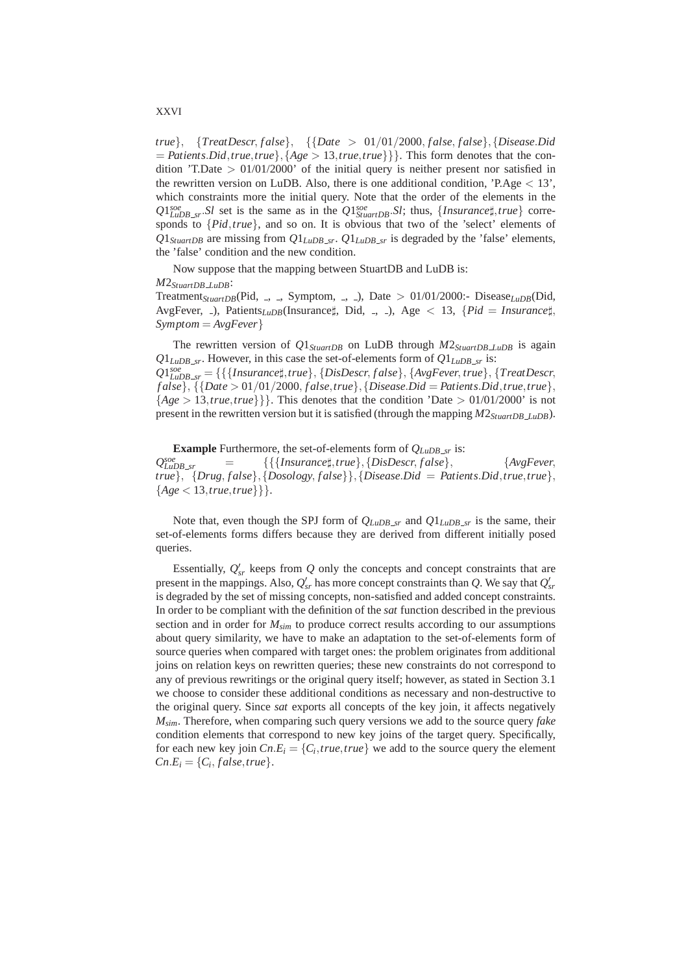*true*}, {*TreatDescr*, *f alse*}, {{*Date* > 01/01/2000, *f alse*, *f alse*},{*Disease*.*Did* = *Patients*.*Did*,*true*,*true*},{*Age* > 13,*true*,*true*}}}. This form denotes that the condition 'T.Date > 01/01/2000' of the initial query is neither present nor satisfied in the rewritten version on LuDB. Also, there is one additional condition, 'P.Age < 13', which constraints more the initial query. Note that the order of the elements in the *Q*1 *soe LuDB sr*.*Sl* set is the same as in the *Q*1 *soe StuartDB*.*Sl*; thus, {*Insurance*♯,*true*} corresponds to {*Pid*,*true*}, and so on. It is obvious that two of the 'select' elements of  $Q1_{StuartDB}$  are missing from  $Q1_{LuDB\_sr}$ .  $Q1_{LuDB\_sr}$  is degraded by the 'false' elements, the 'false' condition and the new condition.

Now suppose that the mapping between StuartDB and LuDB is: *M*2*StuartDB LuDB*:

Treatment<sub>*StuartDB*(Pid,  $\Box$ ,  $\Box$ , Symptom,  $\Box$ ,  $\Box$ ), Date  $> 01/01/2000$ :- Disease<sub>LuDB</sub>(Did,</sub> AvgFever,  $\Box$ ), Patients<sub>LuDB</sub>(Insurance $\sharp$ , Did,  $\Box$ ,  $\Box$ ), Age  $\angle$  13, {*Pid = Insurance* $\sharp$ , *Symptom* = *AvgFever*}

The rewritten version of *Q*1*StuartDB* on LuDB through *M*2*StuartDB LuDB* is again  $Q_1$ <sub>*LuDB sr*</sub>. However, in this case the set-of-elements form of  $Q_1$ <sub>*LuDB <sub>sr</sub>* is:</sub> *Q*1 *soe LuDB sr* = {{{*Insurance*♯,*true*}, {*DisDescr*, *f alse*}, {*AvgFever*, *true*}, {*TreatDescr*,  $false\}, \{\{\text{Date} > 01/01/2000, \text{false}, \text{true}\}, \{\text{Disease}.Did = \text{Patients}.Did, \text{true}\},\}$  ${Age > 13, true, true}$ }}. This denotes that the condition 'Date > 01/01/2000' is not present in the rewritten version but it is satisfied (through the mapping  $M2_{StuartDB Lulp}$ ).

**Example** Furthermore, the set-of-elements form of  $Q_{\text{L} \mu \text{D} \text{B} \text{D} \text{s} \text{r}}$  is: *Q soe*  $=$  {{*{Insurance*t},*true*},*{DisDescr, false}, {AvgFever,}*  $true$ ,  ${Drug, false}$ ,  ${Dosology, false}$ ,  ${Disease}.Did = Patients. Did, true, true}$ , {*Age* < 13,*true*,*true*}}}.

Note that, even though the SPJ form of  $Q_{L \mu DB \, sr}$  and  $Q1_{L \mu DB \, sr}$  is the same, their set-of-elements forms differs because they are derived from different initially posed queries.

Essentially,  $Q'_{sr}$  keeps from  $Q$  only the concepts and concept constraints that are present in the mappings. Also,  $Q'_{sr}$  has more concept constraints than  $Q$ . We say that  $Q'_{sr}$ is degraded by the set of missing concepts, non-satisfied and added concept constraints. In order to be compliant with the definition of the *sat* function described in the previous section and in order for *Msim* to produce correct results according to our assumptions about query similarity, we have to make an adaptation to the set-of-elements form of source queries when compared with target ones: the problem originates from additional joins on relation keys on rewritten queries; these new constraints do not correspond to any of previous rewritings or the original query itself; however, as stated in Section 3.1 we choose to consider these additional conditions as necessary and non-destructive to the original query. Since *sat* exports all concepts of the key join, it affects negatively *Msim*. Therefore, when comparing such query versions we add to the source query *fake* condition elements that correspond to new key joins of the target query. Specifically, for each new key join  $Cn.E_i = \{C_i, true, true\}$  we add to the source query the element  $Cn.E_i = \{C_i, false, true\}.$ 

XXVI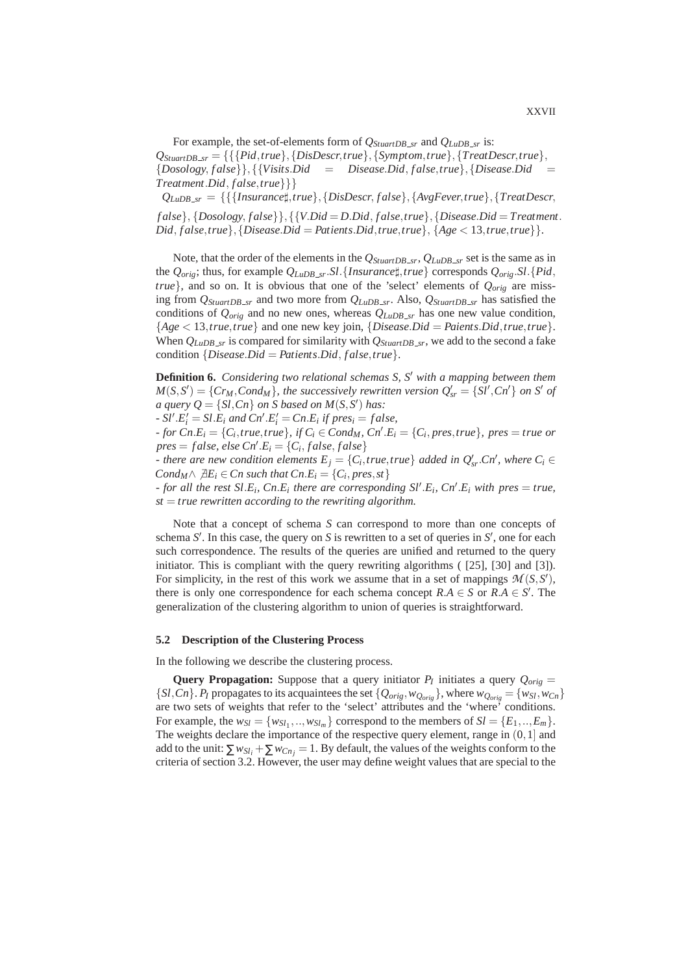For example, the set-of-elements form of  $Q_{\text{StuartDB}}$  and  $Q_{\text{LUDB}}$  *sr* is:

*QStuartDB sr* = {{{*Pid*,*true*},{*DisDescr*,*true*},{*Symptom*,*true*},{*TreatDescr*,*true*}, {*Dosology*, *f alse*}},{{*Visits*.*Did* = *Disease*.*Did*, *f alse*,*true*},{*Disease*.*Did* = *Treatment*.*Did*, *f alse*,*true*}}}

*QLuDB sr* = {{{*Insurance*♯,*true*},{*DisDescr*, *f alse*},{*AvgFever*,*true*},{*TreatDescr*, *f alse*}, {*Dosology*, *f alse*}},{{*V*.*Did* = *D*.*Did*, *f alse*,*true*},{*Disease*.*Did* = *Treatment*.  $Did, false, true\}, \{Disease.Did = Patients.Did, true, true\}, \{Age < 13, true, true\}.$ 

Note, that the order of the elements in the *QStuartDB sr*, *QLuDB sr* set is the same as in the *Qorig*; thus, for example *QLuDB sr*.*Sl*.{*Insurance*♯,*true*} corresponds *Qorig*.*Sl*.{*Pid*, *true*}, and so on. It is obvious that one of the 'select' elements of *Qorig* are missing from *QStuartDB sr* and two more from *QLuDB sr*. Also, *QStuartDB sr* has satisfied the conditions of  $Q_{orig}$  and no new ones, whereas  $Q_{L \mu DB \_sr}$  has one new value condition,  ${Age} < 13, true, true}$  and one new key join,  ${Disease.Did = Paients.Did, true, true}.$ When  $Q_{L \cup DB\_sr}$  is compared for similarity with  $Q_{St \cup artDB\_sr}$ , we add to the second a fake condition  ${Discase}.Did = Patients. Did, false, true}.$ 

**Definition 6.** *Considering two relational schemas S, S*′ *with a mapping between them*  $M(S, S') = \{Cr_M, Cond_M\}$ , the successively rewritten version  $Q'_{sr} = \{Sl', Cn'\}$  on  $S'$  of *a query*  $Q = \{Sl, Ch\}$  *on S based on M*(*S*, *S*<sup> $\prime$ </sup>) *has*:

*- Sl'*. $E'_i = S_l$ .*E<sub>i</sub>* and  $Cn'$ . $E'_i = C_n$ .*E<sub>i</sub>* if pres<sub>i</sub> = false,

- for  $C_nE_i = \{C_i, true, true\}$ , if  $C_i \in Cond_M$ ,  $C_n'.E_i = \{C_i, pres, true\}$ , pres = true or  $pres = false$ ,  $else$   $Cn'$ . $E_i = \{C_i, false, false\}$ 

*-* there are new condition elements  $E_j = \{C_i, true, true\}$  added in  $Q'_{sr}$ . Cn', where  $C_i \in$  $Cond_M \wedge \overline{AE_i} \in Cn$  such that  $Cn.E_i = \{C_i, pres, st\}$ 

*- for all the rest Sl.E<sub>i</sub>*, *Cn.E<sub>i</sub> there are corresponding Sl'.E<sub>i</sub>*, *Cn'.E<sub>i</sub> with pres = true, st* = *true rewritten according to the rewriting algorithm.*

Note that a concept of schema *S* can correspond to more than one concepts of schema *S* ′ . In this case, the query on *S* is rewritten to a set of queries in *S* ′ , one for each such correspondence. The results of the queries are unified and returned to the query initiator. This is compliant with the query rewriting algorithms ( [25], [30] and [3]). For simplicity, in the rest of this work we assume that in a set of mappings  $\mathcal{M}(S, S')$ , there is only one correspondence for each schema concept  $R.A \in S$  or  $R.A \in S'$ . The generalization of the clustering algorithm to union of queries is straightforward.

### **5.2 Description of the Clustering Process**

In the following we describe the clustering process.

**Query Propagation:** Suppose that a query initiator  $P_I$  initiates a query  $Q_{orig}$  =  ${S}$ *l*, *Cn*}. *P<sub>I</sub>* propagates to its acquaintees the set  ${Q_{orig}, w_{Q_{orig}}}$ , where  $w_{Q_{orig}} = {w_{SI}, w_{Ch}}$ are two sets of weights that refer to the 'select' attributes and the 'where' conditions. For example, the  $w_{SI} = \{w_{SI_1}, \ldots, w_{SI_m}\}$  correspond to the members of  $SI = \{E_1, \ldots, E_m\}$ . The weights declare the importance of the respective query element, range in  $(0,1]$  and add to the unit:  $\sum w_{SI} + \sum w_{Cn} = 1$ . By default, the values of the weights conform to the criteria of section 3.2. However, the user may define weight values that are special to the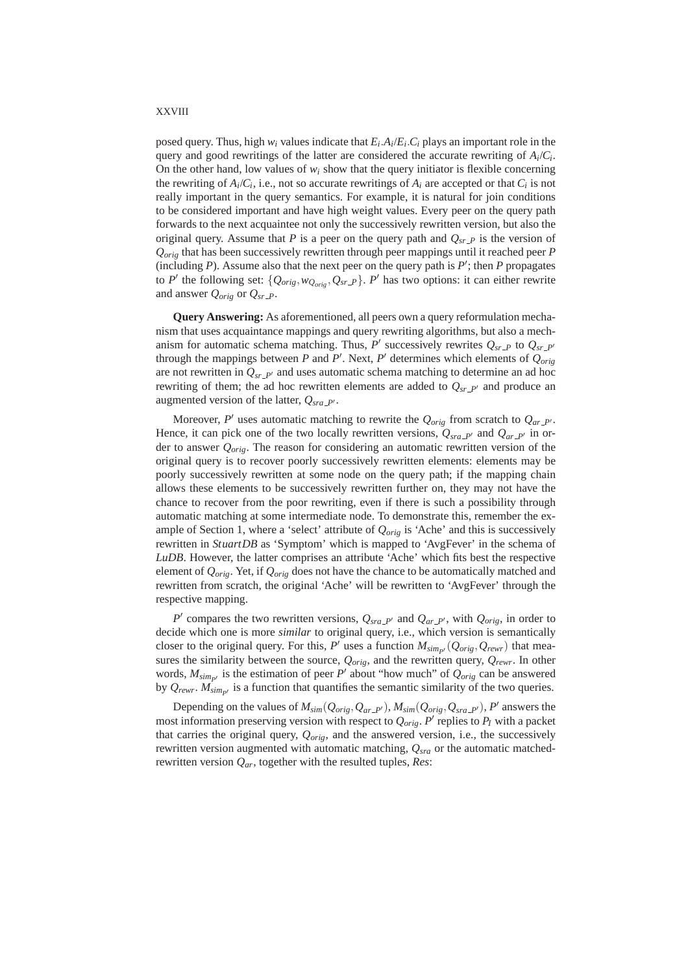posed query. Thus, high *w<sup>i</sup>* values indicate that *E<sup>i</sup>* .*A<sup>i</sup>* /*E<sup>i</sup>* .*C<sup>i</sup>* plays an important role in the query and good rewritings of the latter are considered the accurate rewriting of *A<sup>i</sup>* /*Ci* . On the other hand, low values of  $w_i$  show that the query initiator is flexible concerning the rewriting of  $A_i/C_i$ , i.e., not so accurate rewritings of  $A_i$  are accepted or that  $C_i$  is not really important in the query semantics. For example, it is natural for join conditions to be considered important and have high weight values. Every peer on the query path forwards to the next acquaintee not only the successively rewritten version, but also the original query. Assume that *P* is a peer on the query path and  $Q_{sr,P}$  is the version of *Qorig* that has been successively rewritten through peer mappings until it reached peer *P* (including  $P$ ). Assume also that the next peer on the query path is  $P'$ ; then  $P$  propagates to *P*<sup> $\prime$ </sup> the following set: { $Q_{orig}$ ,  $w_{Q_{orig}}$ ,  $Q_{sr}$ }. *P*<sup> $\prime$ </sup> has two options: it can either rewrite and answer *Qorig* or *Qsr <sup>P</sup>*.

**Query Answering:** As aforementioned, all peers own a query reformulation mechanism that uses acquaintance mappings and query rewriting algorithms, but also a mechanism for automatic schema matching. Thus,  $P'$  successively rewrites  $Q_{sr}P$  to  $Q_{sr}P'$ through the mappings between *P* and *P'*. Next, *P'* determines which elements of  $Q_{orig}$ are not rewritten in  $Q_{sr,P'}$  and uses automatic schema matching to determine an ad hoc rewriting of them; the ad hoc rewritten elements are added to  $Q_{sr}$   $_{P'}$  and produce an augmented version of the latter,  $Q_{sra-P}$ .

Moreover,  $P'$  uses automatic matching to rewrite the  $Q_{orig}$  from scratch to  $Q_{ar}P'$ . Hence, it can pick one of the two locally rewritten versions,  $Q_{sra} P'$  and  $Q_{ar} P'$  in order to answer *Qorig*. The reason for considering an automatic rewritten version of the original query is to recover poorly successively rewritten elements: elements may be poorly successively rewritten at some node on the query path; if the mapping chain allows these elements to be successively rewritten further on, they may not have the chance to recover from the poor rewriting, even if there is such a possibility through automatic matching at some intermediate node. To demonstrate this, remember the example of Section 1, where a 'select' attribute of *Qorig* is 'Ache' and this is successively rewritten in *StuartDB* as 'Symptom' which is mapped to 'AvgFever' in the schema of *LuDB*. However, the latter comprises an attribute 'Ache' which fits best the respective element of *Qorig*. Yet, if *Qorig* does not have the chance to be automatically matched and rewritten from scratch, the original 'Ache' will be rewritten to 'AvgFever' through the respective mapping.

 $P'$  compares the two rewritten versions,  $Q_{sra-P'}$  and  $Q_{ar-P'}$ , with  $Q_{orig}$ , in order to decide which one is more *similar* to original query, i.e., which version is semantically closer to the original query. For this,  $P'$  uses a function  $M_{sim_{P'}}(Q_{orig}, Q_{rewr})$  that measures the similarity between the source, *Qorig*, and the rewritten query, *Qrewr*. In other words,  $M_{sim_{P'}}$  is the estimation of peer  $P'$  about "how much" of  $Q_{orig}$  can be answered by  $Q_{\text{rewr}}$ .  $M_{\text{sim}_{P'}}$  is a function that quantifies the semantic similarity of the two queries.

Depending on the values of  $M_{sim}(Q_{orig}, Q_{ar\_P'})$ ,  $M_{sim}(Q_{orig}, Q_{sra\_P'})$ ,  $P'$  answers the most information preserving version with respect to  $Q_{orig}$ . P' replies to  $P_I$  with a packet that carries the original query, *Qorig*, and the answered version, i.e., the successively rewritten version augmented with automatic matching, *Qsra* or the automatic matchedrewritten version *Qar*, together with the resulted tuples, *Res*: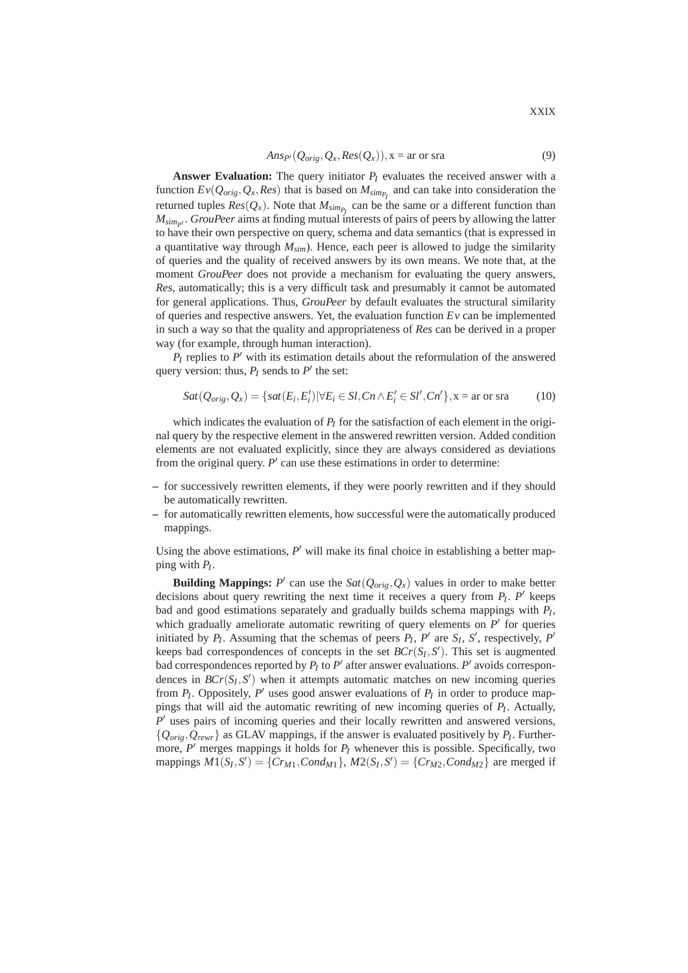$$
Ans_{P'}(Q_{orig}, Q_x, Res(Q_x)), x = \text{ar or sra}
$$
\n(9)

**Answer Evaluation:** The query initiator  $P_I$  evaluates the received answer with a function  $Ev(Q_{orig}, Q_x, Res)$  that is based on  $M_{simp}$  and can take into consideration the returned tuples  $Res(Q_x)$ . Note that  $M_{simp}$  can be the same or a different function than *MsimP*′ . *GrouPeer* aims at finding mutual interests of pairs of peers by allowing the latter to have their own perspective on query, schema and data semantics (that is expressed in a quantitative way through *Msim*). Hence, each peer is allowed to judge the similarity of queries and the quality of received answers by its own means. We note that, at the moment *GrouPeer* does not provide a mechanism for evaluating the query answers, *Res*, automatically; this is a very difficult task and presumably it cannot be automated for general applications. Thus, *GrouPeer* by default evaluates the structural similarity of queries and respective answers. Yet, the evaluation function  $Ev$  can be implemented in such a way so that the quality and appropriateness of *Res* can be derived in a proper way (for example, through human interaction).

*P<sup>I</sup>* replies to *P* ′ with its estimation details about the reformulation of the answered query version: thus,  $P_I$  sends to  $P'$  the set:

$$
Sat(Q_{orig}, Q_x) = \{sat(E_i, E'_i) | \forall E_i \in SI, Cn \wedge E'_i \in SI', Cn'\}, x = \text{ar or sra}
$$
 (10)

which indicates the evaluation of  $P<sub>I</sub>$  for the satisfaction of each element in the original query by the respective element in the answered rewritten version. Added condition elements are not evaluated explicitly, since they are always considered as deviations from the original query.  $P'$  can use these estimations in order to determine:

- **–** for successively rewritten elements, if they were poorly rewritten and if they should be automatically rewritten.
- **–** for automatically rewritten elements, how successful were the automatically produced mappings.

Using the above estimations,  $P'$  will make its final choice in establishing a better mapping with *P<sup>I</sup>* .

**Building Mappings:**  $P'$  can use the  $Sat(Q_{orig}, Q_x)$  values in order to make better decisions about query rewriting the next time it receives a query from  $P_I$ .  $P'$  keeps bad and good estimations separately and gradually builds schema mappings with *P<sup>I</sup>* , which gradually ameliorate automatic rewriting of query elements on P' for queries initiated by  $P_I$ . Assuming that the schemas of peers  $P_I$ ,  $P'$  are  $S_I$ ,  $S'$ , respectively,  $P'$ keeps bad correspondences of concepts in the set  $BCr(S_I, S')$ . This set is augmented bad correspondences reported by  $P_I$  to  $P'$  after answer evaluations.  $P'$  avoids correspondences in  $BCr(S_I, S')$  when it attempts automatic matches on new incoming queries from  $P_I$ . Oppositely,  $P'$  uses good answer evaluations of  $P_I$  in order to produce mappings that will aid the automatic rewriting of new incoming queries of *P<sup>I</sup>* . Actually,  $P'$  uses pairs of incoming queries and their locally rewritten and answered versions,  ${Q_{orig}, Q_{rewr}}$  as GLAV mappings, if the answer is evaluated positively by  $P_I$ . Furthermore, *P* ′ merges mappings it holds for *P<sup>I</sup>* whenever this is possible. Specifically, two mappings  $M1(S_I, S') = \{Cr_{M1}, Cond_{M1}\}, M2(S_I, S') = \{Cr_{M2}, Cond_{M2}\}$  are merged if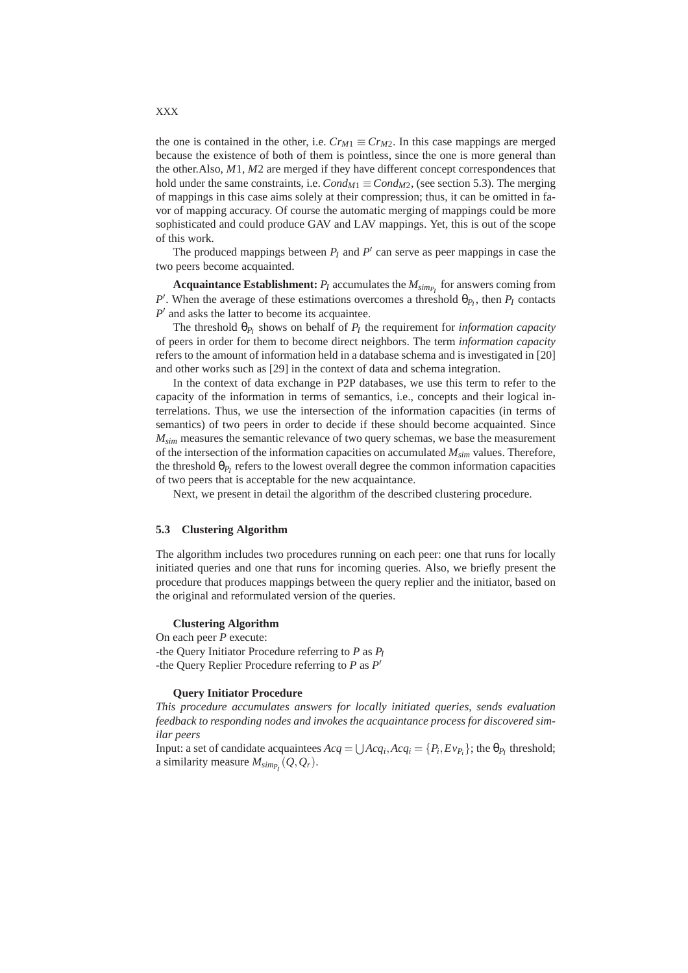the one is contained in the other, i.e.  $C_{rM1} \equiv C_{rM2}$ . In this case mappings are merged because the existence of both of them is pointless, since the one is more general than the other.Also, *M*1, *M*2 are merged if they have different concept correspondences that hold under the same constraints, i.e.  $Cond_{M1} \equiv Cond_{M2}$ , (see section 5.3). The merging of mappings in this case aims solely at their compression; thus, it can be omitted in favor of mapping accuracy. Of course the automatic merging of mappings could be more sophisticated and could produce GAV and LAV mappings. Yet, this is out of the scope of this work.

The produced mappings between  $P_I$  and  $P'$  can serve as peer mappings in case the two peers become acquainted.

**Acquaintance Establishment:**  $P_I$  accumulates the  $M_{simp_I}$  for answers coming from *P*<sup> $\prime$ </sup>. When the average of these estimations overcomes a threshold  $\theta_{P_I}$ , then  $P_I$  contacts  $P'$  and asks the latter to become its acquaintee.

The threshold  $\theta_{P_I}$  shows on behalf of  $P_I$  the requirement for *information capacity* of peers in order for them to become direct neighbors. The term *information capacity* refers to the amount of information held in a database schema and is investigated in [20] and other works such as [29] in the context of data and schema integration.

In the context of data exchange in P2P databases, we use this term to refer to the capacity of the information in terms of semantics, i.e., concepts and their logical interrelations. Thus, we use the intersection of the information capacities (in terms of semantics) of two peers in order to decide if these should become acquainted. Since  $M_{sim}$  measures the semantic relevance of two query schemas, we base the measurement of the intersection of the information capacities on accumulated *Msim* values. Therefore, the threshold  $\theta_{P_I}$  refers to the lowest overall degree the common information capacities of two peers that is acceptable for the new acquaintance.

Next, we present in detail the algorithm of the described clustering procedure.

### **5.3 Clustering Algorithm**

The algorithm includes two procedures running on each peer: one that runs for locally initiated queries and one that runs for incoming queries. Also, we briefly present the procedure that produces mappings between the query replier and the initiator, based on the original and reformulated version of the queries.

### **Clustering Algorithm**

On each peer *P* execute: -the Query Initiator Procedure referring to *P* as *P<sup>I</sup>* -the Query Replier Procedure referring to *P* as *P* ′

#### **Query Initiator Procedure**

*This procedure accumulates answers for locally initiated queries, sends evaluation feedback to responding nodes and invokes the acquaintance process for discovered similar peers*

Input: a set of candidate acquaintees  $Acq = \bigcup Acq_i, Acq_i = \{P_i, Ev_{P_i}\}\;$ ; the  $\theta_{P_I}$  threshold; a similarity measure  $M_{simp}^{\prime}(Q,Q_r)$ .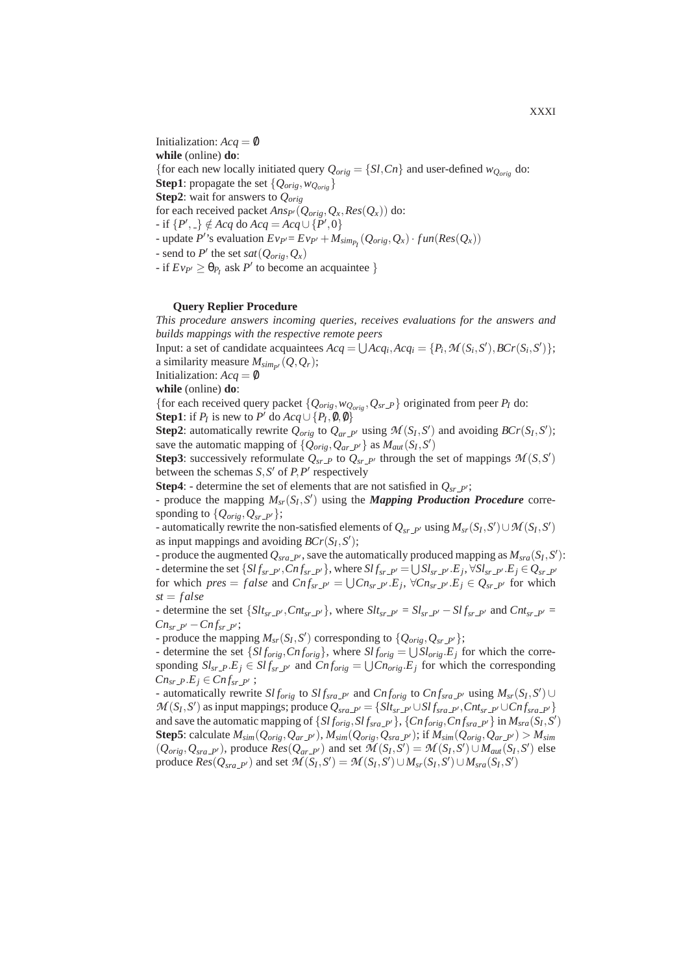Initialization:  $Acq = \emptyset$ **while** (online) **do**: {for each new locally initiated query  $Q_{orig} = \{SI, Cn\}$  and user-defined  $w_{Q_{orig}}$  do: **Step1**: propagate the set  $\{Q_{orig}, w_{O_{orig}}\}$ **Step2**: wait for answers to *Qorig* for each received packet  $Ans_{P'}(Q_{orig}, Q_x, Res(Q_x))$  do: - if  $\{P', -\} \notin \text{Acq}$  do  $\text{Acq} = \text{Acq} \cup \{\overline{P}', 0\}$ - update *P*<sup> $\prime$ </sup>'s evaluation  $Ev_{P} = Ev_{P'} + M_{simp} (Q_{orig}, Q_x) \cdot \text{fun}(Res(Q_x))$ - send to  $P'$  the set  $sat(Q_{orig}, Q_x)$  $-\text{ if } Ev_{P'} \geq \theta_{P_I} \text{ ask } P' \text{ to become an acquaintance } \}$ 

### **Query Replier Procedure**

*This procedure answers incoming queries, receives evaluations for the answers and builds mappings with the respective remote peers*

Input: a set of candidate acquaintees  $Acq = \bigcup Acq_i, Acq_i = \{P_i, \mathcal{M}(S_i, S'), BCr(S_i, S')\};$ a similarity measure  $M_{\text{sim}_{P}}(Q, Q_r)$ ;

Initialization:  $Acq = \emptyset$ 

**while** (online) **do**:

{for each received query packet  $\{Q_{orig}, w_{Q_{orig}}, Q_{sr} \}$  originated from peer  $P_I$  do: **Step1**: if *P<sub>I</sub>* is new to *P*<sup>*'*</sup> do  $Acq \cup \{P_I, \emptyset, \emptyset\}$ 

**Step2**: automatically rewrite  $Q_{orig}$  to  $Q_{ar}P'$  using  $\mathcal{M}(S_I, S')$  and avoiding  $BCr(S_I, S')$ ; save the automatic mapping of  $\{Q_{orig}, Q_{ar} P' \}$  as  $M_{aut}(S_I, S')$ 

**Step3**: successively reformulate  $Q_{sr}P$  to  $Q_{sr}P'$  through the set of mappings  $\mathcal{M}(S, S')$ between the schemas  $S, S'$  of  $P, P'$  respectively

**Step4**: - determine the set of elements that are not satisfied in  $Q_{sr} P'$ ;

- produce the mapping *Msr*(*S<sup>I</sup>* ,*S* ′ ) using the *Mapping Production Procedure* corresponding to  $\{Q_{orig}, Q_{sr} \}$ ;

- automatically rewrite the non-satisfied elements of  $Q_{sr}$ <sub>*P*′</sub> using  $M_{sr}(S_I, S') \cup M(S_I, S')$ as input mappings and avoiding  $BCr(S_I, S')$ ;

- produce the augmented  $Q_{sra\_P}$ <sup>*i*</sup>, save the automatically produced mapping as  $M_{sra}(S_I, S')$ : - determine the set  $\{Slf_{sr\_P'},Cnf_{sr\_P'}\}$ , where  $Slf_{sr\_P'} = \bigcup Sl_{sr\_P'}, E_j, \forall Sl_{sr\_P'}, E_j \in Q_{sr\_P'}$ for which  $pres = false$  and  $Cnf_{sr\_P'} = \bigcup Cn_{sr\_P'} \cdot E_j$ ,  $\forall Cn_{sr\_P'} \cdot E_j \in Q_{sr\_P'}$  for which *st* = *f alse*

- determine the set  $\{Slt_{sr}P',Cnt_{sr}P'\}$ , where  $Slt_{sr}P' = Slt_{sr}P' - Slt_{sr}P'$  and  $Cnt_{sr}P' = Surt_{sr}P'$  $Cn_{sr} - P' - Cnf_{sr} - P'$ ;

- produce the mapping  $M_{sr}(S_I, S')$  corresponding to  $\{Q_{orig}, Q_{sr\_P'}\}$ ;

- determine the set  $\{SIf_{orig}, Cnf_{orig}\}$ , where  $SIf_{orig} = \bigcup Sl_{orig}.E_j$  for which the corresponding  $Sl_{sr}P.E_j \in Slf_{sr}P'$  and  $Cnf_{orig} = \bigcup Cn_{orig}.E_j$  for which the corresponding  $Cn_{sr}P.E_i \in Cnf_{sr}P'$ ;

- automatically rewrite  $SIf_{orig}$  to  $SIf_{sra\_P'}$  and  $Cnf_{orig}$  to  $Cnf_{sra\_P'}$  using  $M_{sr}(S_I, S') \cup$  $\mathcal{M}(S_I, S')$  as input mappings; produce  $Q_{sra\_P'} = \{Slt_{sr\_P'} \cup Slf_{sra\_P'}, Cnt_{sr\_P'} \cup Cnf_{sra\_P'}\}$ and save the automatic mapping of  $\{Slf_{orig}, Slf_{star\_P'}\}, \{Cnf_{orig}, Cnf_{sra\_P'}\}$  in  $M_{sra}(S_I, S')$ **Step5**: calculate  $M_{sim}(Q_{orig}, Q_{ar-P})$ ,  $M_{sim}(Q_{orig}, Q_{sra-P})$ ; if  $M_{sim}(Q_{orig}, Q_{ar-P}) > M_{sim}$  $(Q_{orig}, Q_{sra\_P'})$ , produce  $Res(Q_{ar\_P'})$  and set  $\mathcal{M}(S_I, S') = \mathcal{M}(S_I, S') \cup M_{aut}(S_I, S')$  else produce  $Res(Q_{sra\_P'})$  and set  $\mathcal{M}(S_I, S') = \mathcal{M}(S_I, S') \cup M_{sr}(S_I, S') \cup M_{sra}(S_I, S')$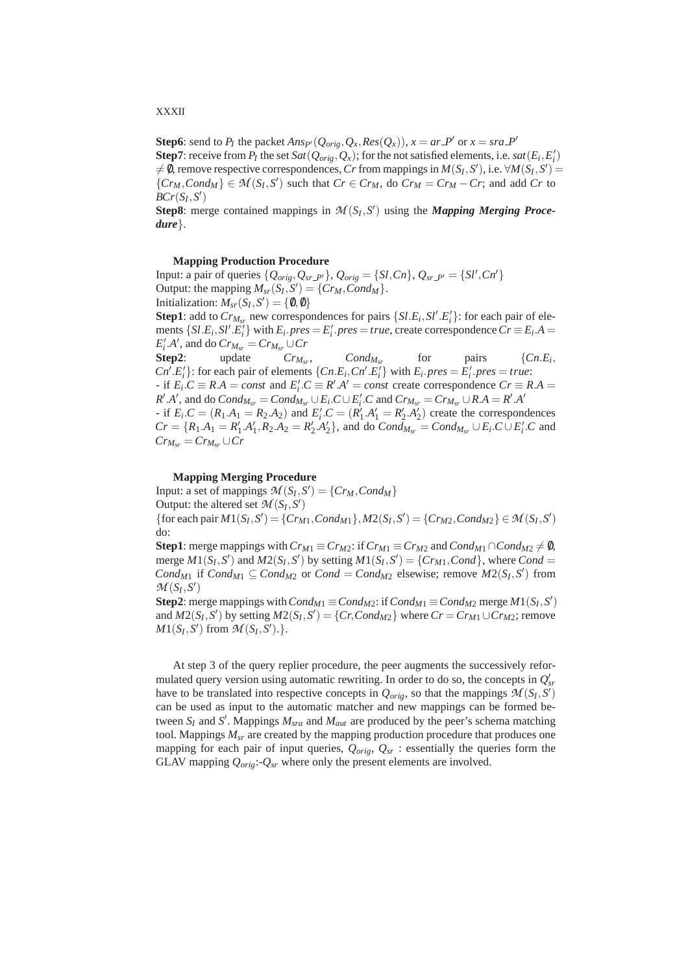### XXXII

**Step6**: send to  $P_I$  the packet  $Ans_{P'}(Q_{orig}, Q_x, Res(Q_x))$ ,  $x = ar P'$  or  $x = sra P'$ **Step7**: receive from  $P_I$  the set  $Sat(Q_{orig}, Q_x)$ ; for the not satisfied elements, i.e.  $sat(E_i, E'_i)$  $\neq$  0, remove respective correspondences, *Cr* from mappings in  $M(S_I, S')$ , i.e.  $\forall M(S_I, S')$  ${Cr_M, Cond_M} \in M(S_I, S')$  such that  $Cr \in Cr_M$ , do  $Cr_M = Cr_M - Cr$ ; and add  $Cr$  to  $BCr(S_I, S')$ 

**Step8**: merge contained mappings in  $\mathcal{M}(S_I, S')$  using the *Mapping Merging Procedure*}.

### **Mapping Production Procedure**

Input: a pair of queries  $\{Q_{orig}, Q_{sr\_P'}\}, Q_{orig} = \{Sl, Ch\}, Q_{sr\_P'} = \{Sl', Ch'\}$ Output: the mapping  $M_{sr}(S_I, S') = \{Cr_M, Cond_M\}.$ Initialization:  $M_{sr}(S_I, S') = \{0, 0\}$ **Step1**: add to  $Cr_{M_{sr}}$  new correspondences for pairs  $\{SI.E_i, SI'.E'_i\}$ : for each pair of elements  $\{S_l.E_i, S_l'.E'_i\}$  with  $E_i.\text{pres} = E'_i.\text{pres} = \text{true}$ , create correspondence  $Cr \equiv E_i.A =$  $E'_i$ .*A'*, and do  $Cr_{M_{sr}} = Cr_{M_{sr}} \cup Cr$ **Step2**: update  $Cr_{M_{sr}}$ ,  $Cond_{M_{sr}}$  for pairs {*Cn.E<sub>i</sub>*  $\{Cn.E_i,$  $Cn'.E'_i$ : for each pair of elements  $\{Cn.E_i, Cn'.E'_i\}$  with  $E_i.pres = E'_i.pres = true$ :  $\cdot$  if  $E_i.C \equiv R.A = const$  and  $E'_i.C \equiv R'A' = const$  create correspondence  $Cr \equiv R.A =$ 

 $R'.A',$  and do  $Cond_{M_{sr}}=Cond_{M_{sr}}\cup E_i.C\cup E_i'.C$  and  $Cr_{M_{sr}}=Cr_{M_{sr}}\cup R.A=R'.A'$ - if  $E_i.C = (R_1.A_1 = R_2.A_2)$  and  $E'_i.C = (R'_1.A'_1 = R'_2.A'_2)$  create the correspondences  $Cr = \{R_1.A_1 = R'_1.A'_1, R_2.A_2 = R'_2.A'_2\}$ , and do  $Cond_{M_{sr}} = Cond_{M_{sr}} \cup E_i.C \cup E'_i.C$  and  $Cr_{M_{sr}} = Cr_{M_{sr}} \cup Cr$ 

### **Mapping Merging Procedure**

Input: a set of mappings  $\mathcal{M}(S_I, S') = \{Cr_M, Cond_M\}$ Output: the altered set  $\mathcal{M}(S_I, S')$ {for each pair  $M1(S_I, S') = \{Cr_{M1}, Cond_{M1}\}, M2(S_I, S') = \{Cr_{M2}, Cond_{M2}\} \in \mathcal{M}(S_I, S')$ do:

**Step1**: merge mappings with  $Cr_{M1} \equiv Cr_{M2}$ : if  $Cr_{M1} \equiv Cr_{M2}$  and  $Cond_{M1} \cap Cond_{M2} \neq \emptyset$ , merge  $M1(S_I, S')$  and  $M2(S_I, S')$  by setting  $M1(S_I, S') = \{Cr_{M1}, Cond\}$ , where  $Cond =$ *Cond*<sub>*M*1</sub></sub> if *Cond*<sub>*M*1</sub> ⊆ *Cond*<sub>*M*2</sub> or *Cond* = *Cond<sub>M2</sub>* elsewise; remove *M*2(*S*<sub>*I*</sub>, *S*<sup>*'*</sup>) from  $\mathcal{M}(S_I, S')$ 

**Step2**: merge mappings with  $Cond_{M1} \equiv Cond_{M2}$ : if  $Cond_{M1} \equiv Cond_{M2}$  merge  $M1(S_I, S')$ and  $M2(S_I, S')$  by setting  $M2(S_I, S') = \{Cr, Cond_{M2}\}\$  where  $Cr = Cr_{M1} \cup Cr_{M2}$ ; remove  $M1(S_I, S')$  from  $\mathcal{M}(S_I, S')$ .}.

At step 3 of the query replier procedure, the peer augments the successively reformulated query version using automatic rewriting. In order to do so, the concepts in  $Q'_{sr}$ have to be translated into respective concepts in  $Q_{orig}$ , so that the mappings  $\mathcal{M}(S_I, S')$ can be used as input to the automatic matcher and new mappings can be formed between *S<sup>I</sup>* and *S* ′ . Mappings *Msra* and *Maut* are produced by the peer's schema matching tool. Mappings *Msr* are created by the mapping production procedure that produces one mapping for each pair of input queries, *Qorig*, *Qsr* : essentially the queries form the GLAV mapping  $Q_{orig}$ : $-Q_{sr}$  where only the present elements are involved.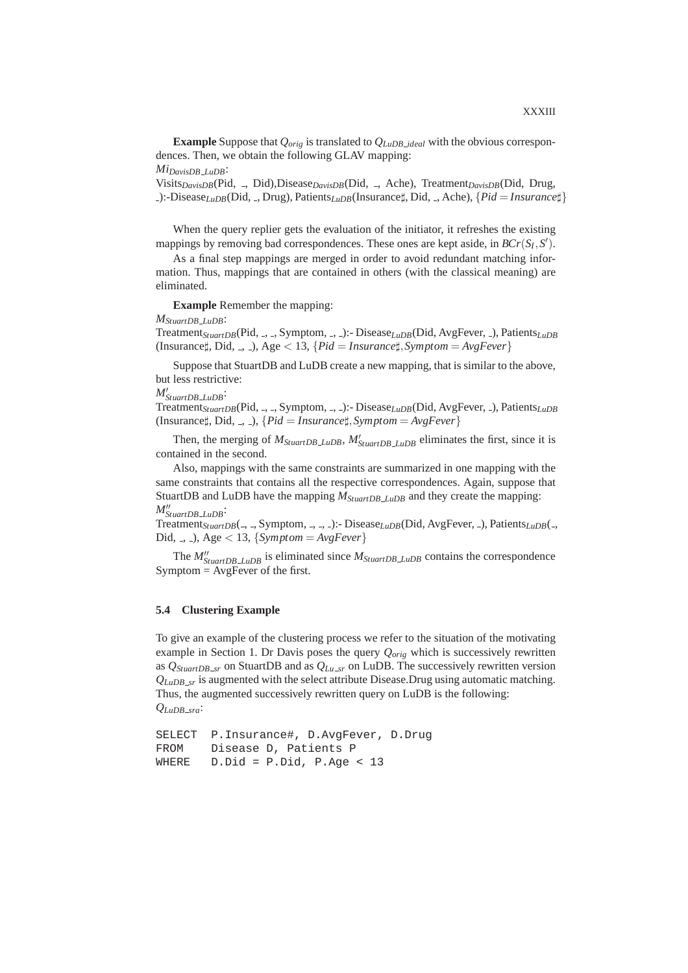**Example** Suppose that *Qorig* is translated to *QLuDB ideal* with the obvious correspondences. Then, we obtain the following GLAV mapping:

*MiDavisDB LuDB*:

Visits<sub>DavisDB</sub>(Pid, ., Did),Disease<sub>DavisDB</sub>(Did, ., Ache), Treatment<sub>DavisDB</sub>(Did, Drug, ):-Disease*LuDB*(Did, , Drug), Patients*LuDB*(Insurance♯, Did, , Ache), {*Pid* = *Insurance*♯}

When the query replier gets the evaluation of the initiator, it refreshes the existing mappings by removing bad correspondences. These ones are kept aside, in  $BCr(S_I, S')$ .

As a final step mappings are merged in order to avoid redundant matching information. Thus, mappings that are contained in others (with the classical meaning) are eliminated.

**Example** Remember the mapping:

*MStuartDB LuDB*:

Treatment<sub>StuartDB</sub>(Pid, <sub>-</sub>, <sub>-</sub>, Symptom, <sub>-</sub>, <sub>-</sub>):- Disease<sub>LuDB</sub>(Did, AvgFever, <sub>-</sub>), Patients<sub>LuDB</sub> (Insurance♯, Did, , ), Age < 13, {*Pid* = *Insurance*♯,*Symptom* = *AvgFever*}

Suppose that StuartDB and LuDB create a new mapping, that is similar to the above, but less restrictive:

*M*′ *StuartDB LuDB*:

Treatment<sub>StuartDB</sub>(Pid, <sub>-</sub>, <sub>-</sub>, Symptom, <sub>-</sub>, <sub>-</sub>):- Disease<sub>LuDB</sub>(Did, AvgFever, <sub>-</sub>), Patients<sub>LuDB</sub> (Insurance♯, Did, , ), {*Pid* = *Insurance*♯,*Symptom* = *AvgFever*}

Then, the merging of *MStuartDB LuDB*, *M*′ *StuartDB LuDB* eliminates the first, since it is contained in the second.

Also, mappings with the same constraints are summarized in one mapping with the same constraints that contains all the respective correspondences. Again, suppose that StuartDB and LuDB have the mapping *MStuartDB LuDB* and they create the mapping: *M*′′ *StuartDB LuDB*:

Treatment<sub>StuartDB</sub>(<sub>-</sub>, \_, Symptom, \_, \_, \_):- Disease<sub>LuDB</sub>(Did, AvgFever, \_), Patients<sub>LuDB</sub>(\_, Did, , ), Age < 13, {*Symptom* = *AvgFever*}

The *M*′′ *StuartDB LuDB* is eliminated since *MStuartDB LuDB* contains the correspondence  $Symptom = AvgFever of the first.$ 

### **5.4 Clustering Example**

To give an example of the clustering process we refer to the situation of the motivating example in Section 1. Dr Davis poses the query *Qorig* which is successively rewritten as  $Q_{\text{StuartDB} \_sr}$  on StuartDB and as  $Q_{\text{Lu}\_sr}$  on LuDB. The successively rewritten version *QLuDB sr* is augmented with the select attribute Disease.Drug using automatic matching. Thus, the augmented successively rewritten query on LuDB is the following: *QLuDB sra*:

```
SELECT P.Insurance#, D.AvgFever, D.Drug
FROM Disease D, Patients P
WHERE D.Did = P.Did, P.Age < 13
```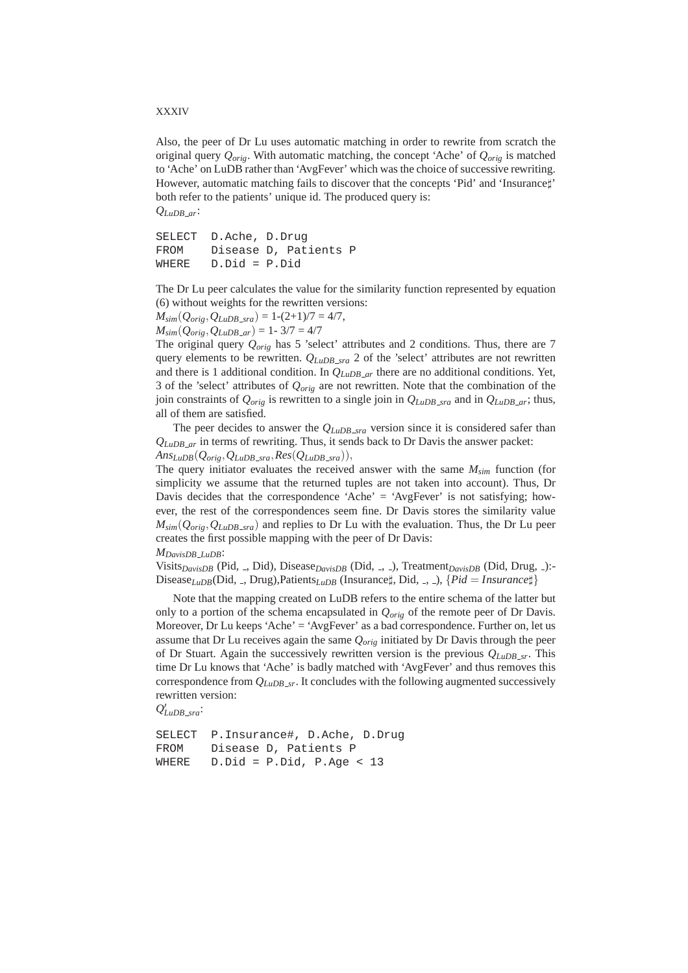#### XXXIV

Also, the peer of Dr Lu uses automatic matching in order to rewrite from scratch the original query *Qorig*. With automatic matching, the concept 'Ache' of *Qorig* is matched to 'Ache' on LuDB rather than 'AvgFever' which was the choice of successive rewriting. However, automatic matching fails to discover that the concepts 'Pid' and 'Insurance¦' both refer to the patients' unique id. The produced query is: *QLuDB ar*:

```
SELECT D.Ache, D.Drug
FROM Disease D, Patients P
WHERE D.Did = P.Did
```
The Dr Lu peer calculates the value for the similarity function represented by equation (6) without weights for the rewritten versions:

 $M_{sim}(Q_{orig}, Q_{LuDB, gra}) = 1-(2+1)/7 = 4/7$ ,  $M_{sim}(Q_{orig}, Q_{LuDB-ar}) = 1 - 3/7 = 4/7$ 

The original query *Qorig* has 5 'select' attributes and 2 conditions. Thus, there are 7 query elements to be rewritten.  $Q_{L \mu DB \text{ }_{\text{}}}$  2 of the 'select' attributes are not rewritten and there is 1 additional condition. In  $Q_{LuDB\_{ar}}$  there are no additional conditions. Yet, 3 of the 'select' attributes of *Qorig* are not rewritten. Note that the combination of the join constraints of  $Q_{orig}$  is rewritten to a single join in  $Q_{L \mu DB\_sra}$  and in  $Q_{L \mu DB\_ar}$ ; thus, all of them are satisfied.

The peer decides to answer the *QLuDB sra* version since it is considered safer than *QLuDB ar* in terms of rewriting. Thus, it sends back to Dr Davis the answer packet:  $Ans_{\text{L}uDB}(Q_{\text{orig}},Q_{\text{L}uDB\_sra},Res(Q_{\text{L}uDB\_sra})),$ 

The query initiator evaluates the received answer with the same *Msim* function (for simplicity we assume that the returned tuples are not taken into account). Thus, Dr Davis decides that the correspondence 'Ache' = 'AvgFever' is not satisfying; however, the rest of the correspondences seem fine. Dr Davis stores the similarity value  $M_{sim}(Q_{orig}, Q_{LuDB\_sra})$  and replies to Dr Lu with the evaluation. Thus, the Dr Lu peer creates the first possible mapping with the peer of Dr Davis:

*MDavisDB LuDB*:

Visits<sub>DavisDB</sub> (Pid, ., Did), Disease<sub>DavisDB</sub> (Did, ., .), Treatment<sub>DavisDB</sub> (Did, Drug, .): Disease<sub>LuDB</sub>(Did, <sub>→</sub>, Drug),Patients<sub>LuDB</sub> (Insurance‡, Did, <sub>→</sub>, <sub>→</sub>), {*Pid* = *Insurance*‡}

Note that the mapping created on LuDB refers to the entire schema of the latter but only to a portion of the schema encapsulated in *Qorig* of the remote peer of Dr Davis. Moreover, Dr Lu keeps 'Ache' = 'AvgFever' as a bad correspondence. Further on, let us assume that Dr Lu receives again the same *Qorig* initiated by Dr Davis through the peer of Dr Stuart. Again the successively rewritten version is the previous  $Q_{L \mu DB \, sr}$ . This time Dr Lu knows that 'Ache' is badly matched with 'AvgFever' and thus removes this correspondence from  $Q_{L \cup DB \rightarrow r}$ . It concludes with the following augmented successively rewritten version:

*Q* ′ *LuDB sra*:

```
SELECT P.Insurance#, D.Ache, D.Drug
FROM Disease D, Patients P
WHERE D.Did = P.Did, P.Age < 13
```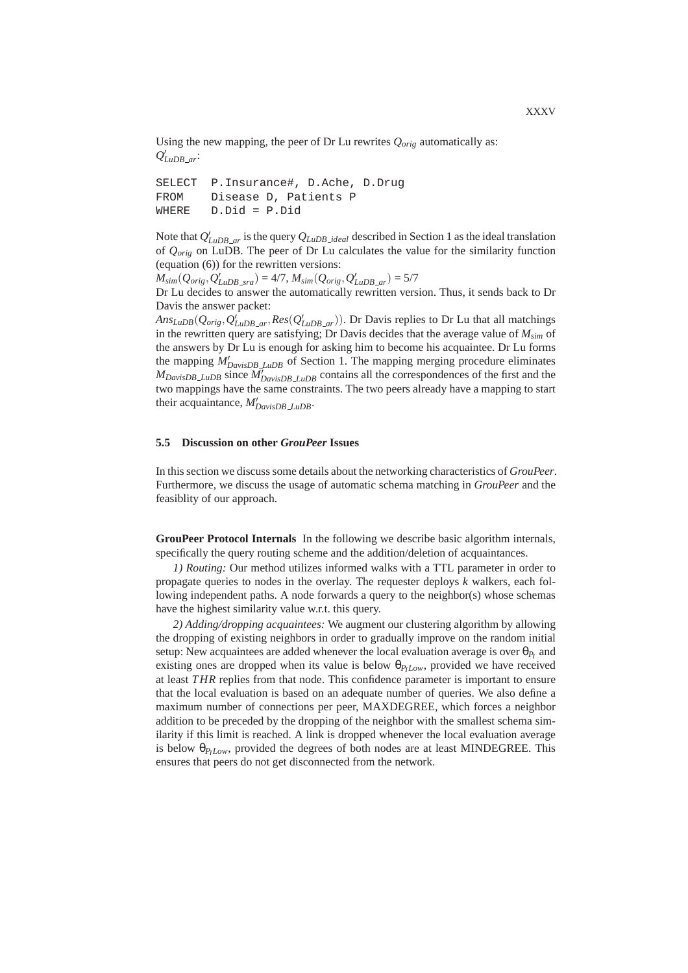Using the new mapping, the peer of Dr Lu rewrites  $Q_{orig}$  automatically as: *Q* ′ *LuDB ar*:

SELECT P.Insurance#, D.Ache, D.Drug FROM Disease D, Patients P WHERE D.Did = P.Did

Note that  $Q'_{\text{L} \mu \text{DB}_{\text{A} \text{or}}}$  is the query  $Q_{\text{L} \mu \text{DB}_{\text{A} \text{of}}}$  described in Section 1 as the ideal translation of *Qorig* on LuDB. The peer of Dr Lu calculates the value for the similarity function (equation (6)) for the rewritten versions:

 $M_{sim}(Q_{orig}, Q'_{LuDB\_sra}) = 4/7, M_{sim}(Q_{orig}, Q'_{LuDB\_ar}) = 5/7$ 

Dr Lu decides to answer the automatically rewritten version. Thus, it sends back to Dr Davis the answer packet:

 $Ans_{\text{L}uDB}(Q_{\text{orig}}, Q'_{\text{L}uDB\_ar}, Res(Q'_{\text{L}uDB\_ar}))$ . Dr Davis replies to Dr Lu that all matchings in the rewritten query are satisfying; Dr Davis decides that the average value of *Msim* of the answers by Dr Lu is enough for asking him to become his acquaintee. Dr Lu forms the mapping  $M'_{DavisDB\_{tubB}}$  of Section 1. The mapping merging procedure eliminates  $M_{DavisDB\_L uDB}$  since  $M'_{DavisDB\_L uDB}$  contains all the correspondences of the first and the two mappings have the same constraints. The two peers already have a mapping to start their acquaintance,  $M'_{DavisDB\_{LuDB}}$ .

## **5.5 Discussion on other** *GrouPeer* **Issues**

In this section we discuss some details about the networking characteristics of *GrouPeer*. Furthermore, we discuss the usage of automatic schema matching in *GrouPeer* and the feasiblity of our approach.

**GrouPeer Protocol Internals** In the following we describe basic algorithm internals, specifically the query routing scheme and the addition/deletion of acquaintances.

*1) Routing:* Our method utilizes informed walks with a TTL parameter in order to propagate queries to nodes in the overlay. The requester deploys *k* walkers, each following independent paths. A node forwards a query to the neighbor(s) whose schemas have the highest similarity value w.r.t. this query.

*2) Adding/dropping acquaintees:* We augment our clustering algorithm by allowing the dropping of existing neighbors in order to gradually improve on the random initial setup: New acquaintees are added whenever the local evaluation average is over  $\theta_{P_I}$  and existing ones are dropped when its value is below  $\theta_{P_lLow}$ , provided we have received at least *T HR* replies from that node. This confidence parameter is important to ensure that the local evaluation is based on an adequate number of queries. We also define a maximum number of connections per peer, MAXDEGREE, which forces a neighbor addition to be preceded by the dropping of the neighbor with the smallest schema similarity if this limit is reached. A link is dropped whenever the local evaluation average is below  $\theta_{PLlow}$ , provided the degrees of both nodes are at least MINDEGREE. This ensures that peers do not get disconnected from the network.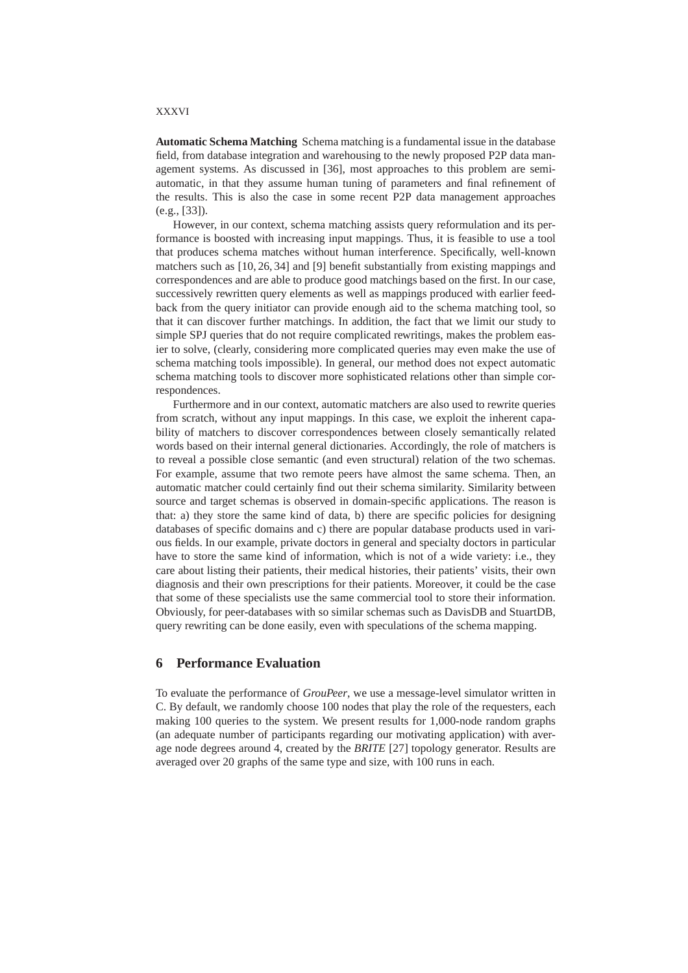### XXXVI

**Automatic Schema Matching** Schema matching is a fundamental issue in the database field, from database integration and warehousing to the newly proposed P2P data management systems. As discussed in [36], most approaches to this problem are semiautomatic, in that they assume human tuning of parameters and final refinement of the results. This is also the case in some recent P2P data management approaches (e.g., [33]).

However, in our context, schema matching assists query reformulation and its performance is boosted with increasing input mappings. Thus, it is feasible to use a tool that produces schema matches without human interference. Specifically, well-known matchers such as [10, 26, 34] and [9] benefit substantially from existing mappings and correspondences and are able to produce good matchings based on the first. In our case, successively rewritten query elements as well as mappings produced with earlier feedback from the query initiator can provide enough aid to the schema matching tool, so that it can discover further matchings. In addition, the fact that we limit our study to simple SPJ queries that do not require complicated rewritings, makes the problem easier to solve, (clearly, considering more complicated queries may even make the use of schema matching tools impossible). In general, our method does not expect automatic schema matching tools to discover more sophisticated relations other than simple correspondences.

Furthermore and in our context, automatic matchers are also used to rewrite queries from scratch, without any input mappings. In this case, we exploit the inherent capability of matchers to discover correspondences between closely semantically related words based on their internal general dictionaries. Accordingly, the role of matchers is to reveal a possible close semantic (and even structural) relation of the two schemas. For example, assume that two remote peers have almost the same schema. Then, an automatic matcher could certainly find out their schema similarity. Similarity between source and target schemas is observed in domain-specific applications. The reason is that: a) they store the same kind of data, b) there are specific policies for designing databases of specific domains and c) there are popular database products used in various fields. In our example, private doctors in general and specialty doctors in particular have to store the same kind of information, which is not of a wide variety: i.e., they care about listing their patients, their medical histories, their patients' visits, their own diagnosis and their own prescriptions for their patients. Moreover, it could be the case that some of these specialists use the same commercial tool to store their information. Obviously, for peer-databases with so similar schemas such as DavisDB and StuartDB, query rewriting can be done easily, even with speculations of the schema mapping.

# **6 Performance Evaluation**

To evaluate the performance of *GrouPeer*, we use a message-level simulator written in C. By default, we randomly choose 100 nodes that play the role of the requesters, each making 100 queries to the system. We present results for 1,000-node random graphs (an adequate number of participants regarding our motivating application) with average node degrees around 4, created by the *BRITE* [27] topology generator. Results are averaged over 20 graphs of the same type and size, with 100 runs in each.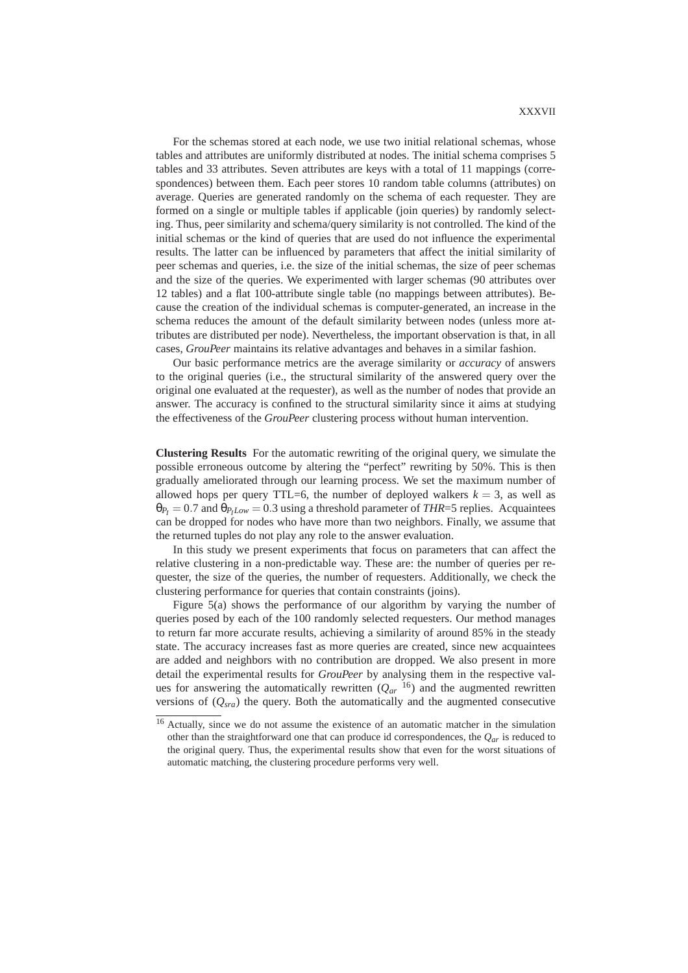For the schemas stored at each node, we use two initial relational schemas, whose tables and attributes are uniformly distributed at nodes. The initial schema comprises 5 tables and 33 attributes. Seven attributes are keys with a total of 11 mappings (correspondences) between them. Each peer stores 10 random table columns (attributes) on average. Queries are generated randomly on the schema of each requester. They are formed on a single or multiple tables if applicable (join queries) by randomly selecting. Thus, peer similarity and schema/query similarity is not controlled. The kind of the initial schemas or the kind of queries that are used do not influence the experimental results. The latter can be influenced by parameters that affect the initial similarity of peer schemas and queries, i.e. the size of the initial schemas, the size of peer schemas and the size of the queries. We experimented with larger schemas (90 attributes over 12 tables) and a flat 100-attribute single table (no mappings between attributes). Because the creation of the individual schemas is computer-generated, an increase in the schema reduces the amount of the default similarity between nodes (unless more attributes are distributed per node). Nevertheless, the important observation is that, in all cases, *GrouPeer* maintains its relative advantages and behaves in a similar fashion.

Our basic performance metrics are the average similarity or *accuracy* of answers to the original queries (i.e., the structural similarity of the answered query over the original one evaluated at the requester), as well as the number of nodes that provide an answer. The accuracy is confined to the structural similarity since it aims at studying the effectiveness of the *GrouPeer* clustering process without human intervention.

**Clustering Results** For the automatic rewriting of the original query, we simulate the possible erroneous outcome by altering the "perfect" rewriting by 50%. This is then gradually ameliorated through our learning process. We set the maximum number of allowed hops per query TTL=6, the number of deployed walkers  $k = 3$ , as well as  $\theta_{P_I} = 0.7$  and  $\theta_{P_I Low} = 0.3$  using a threshold parameter of *THR*=5 replies. Acquaintees can be dropped for nodes who have more than two neighbors. Finally, we assume that the returned tuples do not play any role to the answer evaluation.

In this study we present experiments that focus on parameters that can affect the relative clustering in a non-predictable way. These are: the number of queries per requester, the size of the queries, the number of requesters. Additionally, we check the clustering performance for queries that contain constraints (joins).

Figure 5(a) shows the performance of our algorithm by varying the number of queries posed by each of the 100 randomly selected requesters. Our method manages to return far more accurate results, achieving a similarity of around 85% in the steady state. The accuracy increases fast as more queries are created, since new acquaintees are added and neighbors with no contribution are dropped. We also present in more detail the experimental results for *GrouPeer* by analysing them in the respective values for answering the automatically rewritten  $(Q_{ar}$ <sup>16</sup>) and the augmented rewritten versions of  $(Q<sub>src</sub>)$  the query. Both the automatically and the augmented consecutive

<sup>16</sup> Actually, since we do not assume the existence of an automatic matcher in the simulation other than the straightforward one that can produce id correspondences, the *Qar* is reduced to the original query. Thus, the experimental results show that even for the worst situations of automatic matching, the clustering procedure performs very well.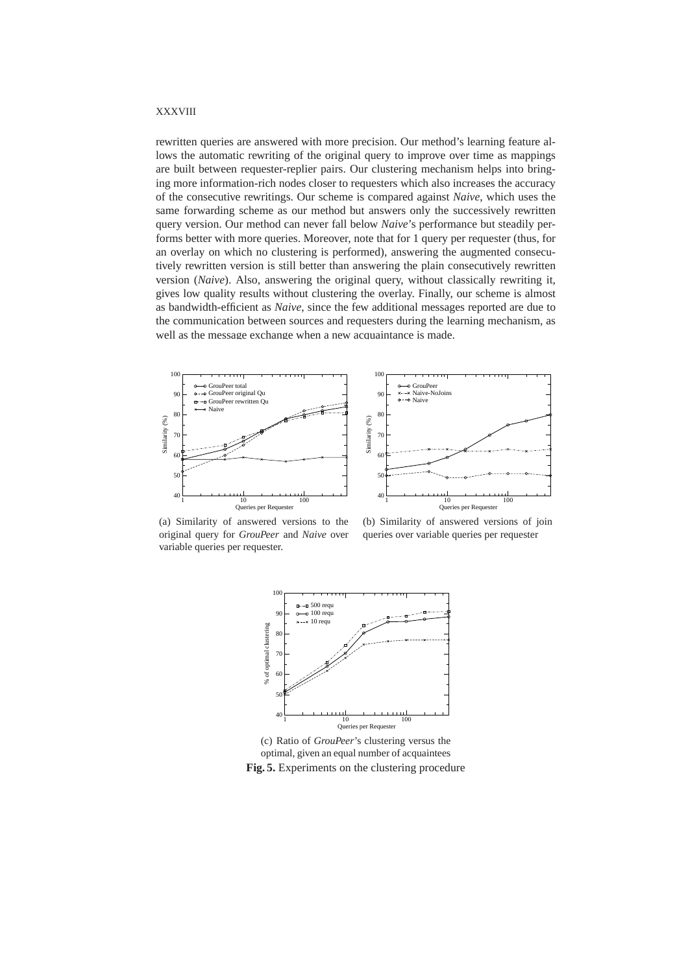### XXXVIII

rewritten queries are answered with more precision. Our method's learning feature allows the automatic rewriting of the original query to improve over time as mappings are built between requester-replier pairs. Our clustering mechanism helps into bringing more information-rich nodes closer to requesters which also increases the accuracy of the consecutive rewritings. Our scheme is compared against *Naive*, which uses the same forwarding scheme as our method but answers only the successively rewritten query version. Our method can never fall below *Naive*'s performance but steadily performs better with more queries. Moreover, note that for 1 query per requester (thus, for an overlay on which no clustering is performed), answering the augmented consecutively rewritten version is still better than answering the plain consecutively rewritten version (*Naive*). Also, answering the original query, without classically rewriting it, gives low quality results without clustering the overlay. Finally, our scheme is almost as bandwidth-efficient as *Naive*, since the few additional messages reported are due to the communication between sources and requesters during the learning mechanism, as well as the message exchange when a new acquaintance is made.





(a) Similarity of answered versions to the original query for *GrouPeer* and *Naive* over variable queries per requester.

(b) Similarity of answered versions of join queries over variable queries per requester





**Fig. 5.** Experiments on the clustering procedure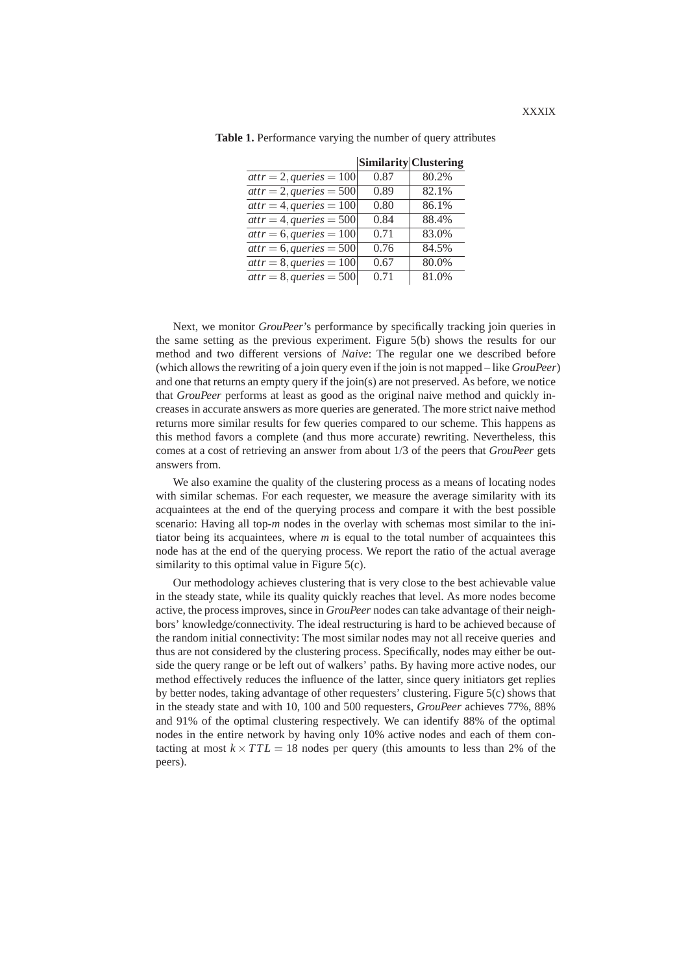**Similarity Clustering**  $attr = 2, queries = 100$  0.87 80.2%  $\textit{attr} = 2, \textit{queries} = 500$  0.89 82.1%  $attr = 4, queries = 100$  0.80 86.1%  $attr = 4, queries = 500 \t 0.84 \t 88.4\%$  $attr = 6, queries = 100$  0.71 83.0%  $\frac{7}{4}$ *attr* = 6, *queries* = 500 0.76 84.5%  $\frac{7}{4}$ *attr* = 8, *queries* = 100 0.67 80.0%  $\frac{attr}{s} = 8, \frac{queries}{s} = 500 \quad 0.71 \quad 81.0\%$ 

**Table 1.** Performance varying the number of query attributes

Next, we monitor *GrouPeer*'s performance by specifically tracking join queries in the same setting as the previous experiment. Figure 5(b) shows the results for our method and two different versions of *Naive*: The regular one we described before (which allows the rewriting of a join query even if the join is not mapped – like *GrouPeer*) and one that returns an empty query if the join(s) are not preserved. As before, we notice that *GrouPeer* performs at least as good as the original naive method and quickly increases in accurate answers as more queries are generated. The more strict naive method returns more similar results for few queries compared to our scheme. This happens as this method favors a complete (and thus more accurate) rewriting. Nevertheless, this comes at a cost of retrieving an answer from about 1/3 of the peers that *GrouPeer* gets answers from.

We also examine the quality of the clustering process as a means of locating nodes with similar schemas. For each requester, we measure the average similarity with its acquaintees at the end of the querying process and compare it with the best possible scenario: Having all top-*m* nodes in the overlay with schemas most similar to the initiator being its acquaintees, where  $m$  is equal to the total number of acquaintees this node has at the end of the querying process. We report the ratio of the actual average similarity to this optimal value in Figure 5(c).

Our methodology achieves clustering that is very close to the best achievable value in the steady state, while its quality quickly reaches that level. As more nodes become active, the process improves, since in *GrouPeer* nodes can take advantage of their neighbors' knowledge/connectivity. The ideal restructuring is hard to be achieved because of the random initial connectivity: The most similar nodes may not all receive queries and thus are not considered by the clustering process. Specifically, nodes may either be outside the query range or be left out of walkers' paths. By having more active nodes, our method effectively reduces the influence of the latter, since query initiators get replies by better nodes, taking advantage of other requesters' clustering. Figure 5(c) shows that in the steady state and with 10, 100 and 500 requesters, *GrouPeer* achieves 77%, 88% and 91% of the optimal clustering respectively. We can identify 88% of the optimal nodes in the entire network by having only 10% active nodes and each of them contacting at most  $k \times TTL = 18$  nodes per query (this amounts to less than 2% of the peers).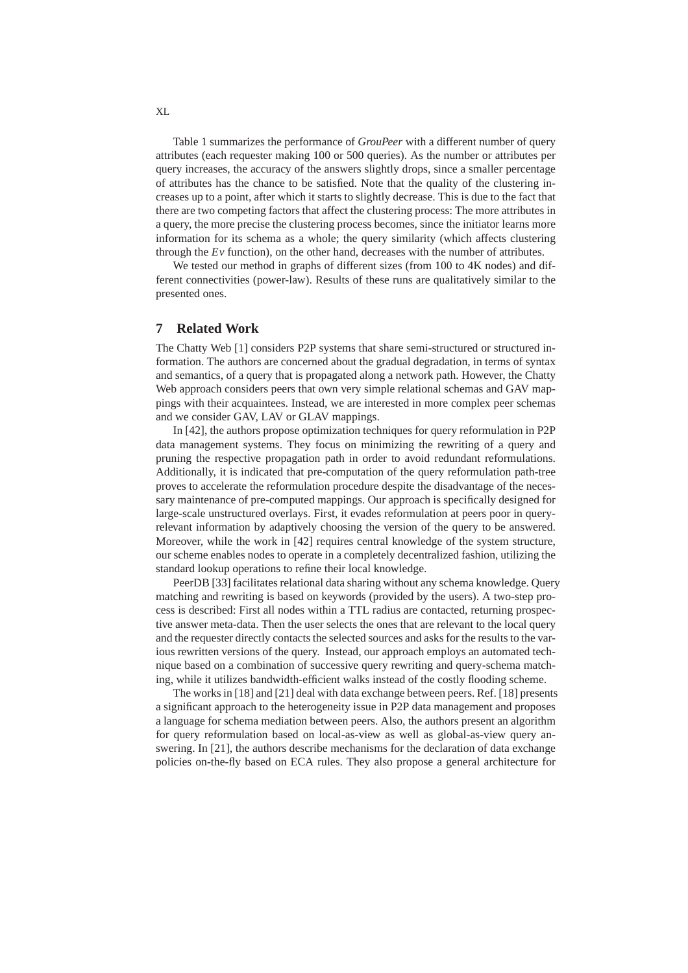Table 1 summarizes the performance of *GrouPeer* with a different number of query attributes (each requester making 100 or 500 queries). As the number or attributes per query increases, the accuracy of the answers slightly drops, since a smaller percentage of attributes has the chance to be satisfied. Note that the quality of the clustering increases up to a point, after which it starts to slightly decrease. This is due to the fact that there are two competing factors that affect the clustering process: The more attributes in a query, the more precise the clustering process becomes, since the initiator learns more information for its schema as a whole; the query similarity (which affects clustering through the  $Ev$  function), on the other hand, decreases with the number of attributes.

We tested our method in graphs of different sizes (from 100 to 4K nodes) and different connectivities (power-law). Results of these runs are qualitatively similar to the presented ones.

## **7 Related Work**

The Chatty Web [1] considers P2P systems that share semi-structured or structured information. The authors are concerned about the gradual degradation, in terms of syntax and semantics, of a query that is propagated along a network path. However, the Chatty Web approach considers peers that own very simple relational schemas and GAV mappings with their acquaintees. Instead, we are interested in more complex peer schemas and we consider GAV, LAV or GLAV mappings.

In [42], the authors propose optimization techniques for query reformulation in P2P data management systems. They focus on minimizing the rewriting of a query and pruning the respective propagation path in order to avoid redundant reformulations. Additionally, it is indicated that pre-computation of the query reformulation path-tree proves to accelerate the reformulation procedure despite the disadvantage of the necessary maintenance of pre-computed mappings. Our approach is specifically designed for large-scale unstructured overlays. First, it evades reformulation at peers poor in queryrelevant information by adaptively choosing the version of the query to be answered. Moreover, while the work in [42] requires central knowledge of the system structure, our scheme enables nodes to operate in a completely decentralized fashion, utilizing the standard lookup operations to refine their local knowledge.

PeerDB [33] facilitates relational data sharing without any schema knowledge. Query matching and rewriting is based on keywords (provided by the users). A two-step process is described: First all nodes within a TTL radius are contacted, returning prospective answer meta-data. Then the user selects the ones that are relevant to the local query and the requester directly contacts the selected sources and asks for the results to the various rewritten versions of the query. Instead, our approach employs an automated technique based on a combination of successive query rewriting and query-schema matching, while it utilizes bandwidth-efficient walks instead of the costly flooding scheme.

The works in [18] and [21] deal with data exchange between peers. Ref. [18] presents a significant approach to the heterogeneity issue in P2P data management and proposes a language for schema mediation between peers. Also, the authors present an algorithm for query reformulation based on local-as-view as well as global-as-view query answering. In [21], the authors describe mechanisms for the declaration of data exchange policies on-the-fly based on ECA rules. They also propose a general architecture for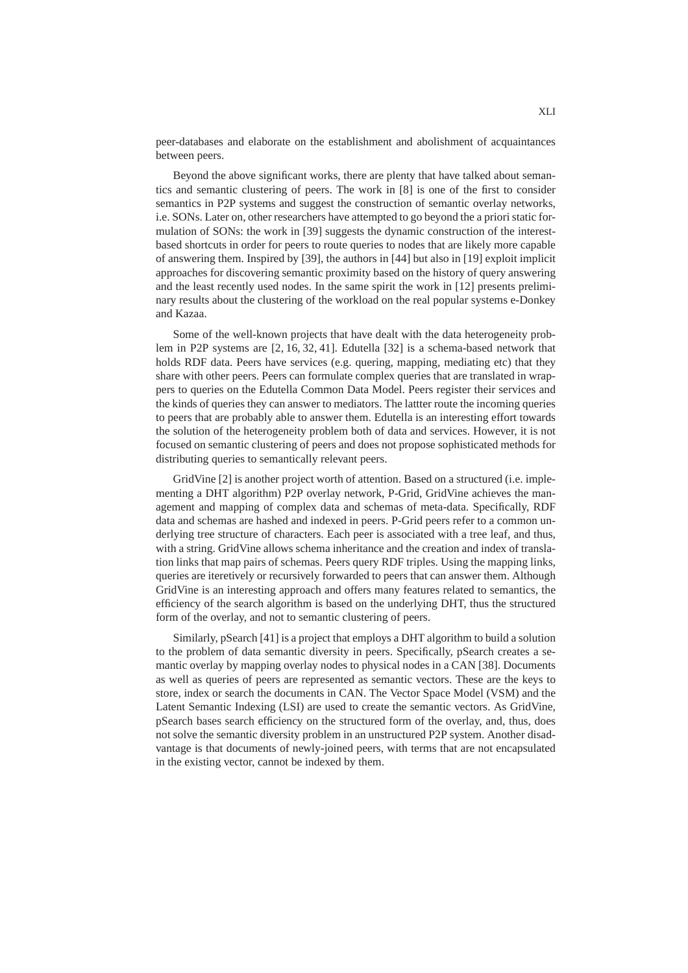peer-databases and elaborate on the establishment and abolishment of acquaintances between peers.

Beyond the above significant works, there are plenty that have talked about semantics and semantic clustering of peers. The work in [8] is one of the first to consider semantics in P2P systems and suggest the construction of semantic overlay networks, i.e. SONs. Later on, other researchers have attempted to go beyond the a priori static formulation of SONs: the work in [39] suggests the dynamic construction of the interestbased shortcuts in order for peers to route queries to nodes that are likely more capable of answering them. Inspired by [39], the authors in [44] but also in [19] exploit implicit approaches for discovering semantic proximity based on the history of query answering and the least recently used nodes. In the same spirit the work in [12] presents preliminary results about the clustering of the workload on the real popular systems e-Donkey and Kazaa.

Some of the well-known projects that have dealt with the data heterogeneity problem in P2P systems are [2, 16, 32, 41]. Edutella [32] is a schema-based network that holds RDF data. Peers have services (e.g. quering, mapping, mediating etc) that they share with other peers. Peers can formulate complex queries that are translated in wrappers to queries on the Edutella Common Data Model. Peers register their services and the kinds of queries they can answer to mediators. The lattter route the incoming queries to peers that are probably able to answer them. Edutella is an interesting effort towards the solution of the heterogeneity problem both of data and services. However, it is not focused on semantic clustering of peers and does not propose sophisticated methods for distributing queries to semantically relevant peers.

GridVine [2] is another project worth of attention. Based on a structured (i.e. implementing a DHT algorithm) P2P overlay network, P-Grid, GridVine achieves the management and mapping of complex data and schemas of meta-data. Specifically, RDF data and schemas are hashed and indexed in peers. P-Grid peers refer to a common underlying tree structure of characters. Each peer is associated with a tree leaf, and thus, with a string. GridVine allows schema inheritance and the creation and index of translation links that map pairs of schemas. Peers query RDF triples. Using the mapping links, queries are iteretively or recursively forwarded to peers that can answer them. Although GridVine is an interesting approach and offers many features related to semantics, the efficiency of the search algorithm is based on the underlying DHT, thus the structured form of the overlay, and not to semantic clustering of peers.

Similarly, pSearch [41] is a project that employs a DHT algorithm to build a solution to the problem of data semantic diversity in peers. Specifically, pSearch creates a semantic overlay by mapping overlay nodes to physical nodes in a CAN [38]. Documents as well as queries of peers are represented as semantic vectors. These are the keys to store, index or search the documents in CAN. The Vector Space Model (VSM) and the Latent Semantic Indexing (LSI) are used to create the semantic vectors. As GridVine, pSearch bases search efficiency on the structured form of the overlay, and, thus, does not solve the semantic diversity problem in an unstructured P2P system. Another disadvantage is that documents of newly-joined peers, with terms that are not encapsulated in the existing vector, cannot be indexed by them.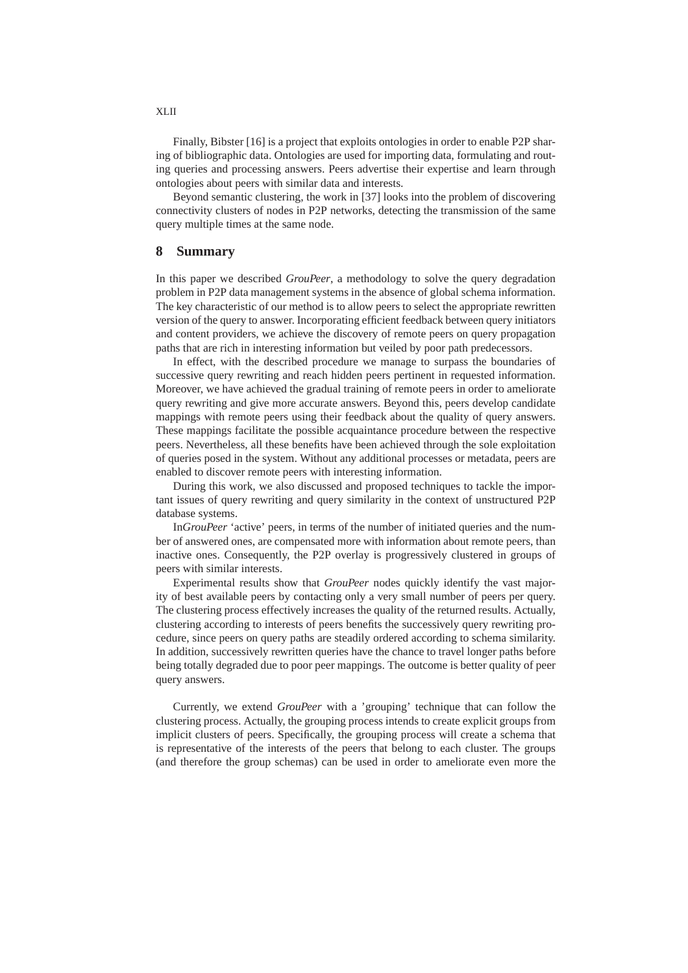Finally, Bibster [16] is a project that exploits ontologies in order to enable P2P sharing of bibliographic data. Ontologies are used for importing data, formulating and routing queries and processing answers. Peers advertise their expertise and learn through ontologies about peers with similar data and interests.

Beyond semantic clustering, the work in [37] looks into the problem of discovering connectivity clusters of nodes in P2P networks, detecting the transmission of the same query multiple times at the same node.

## **8 Summary**

In this paper we described *GrouPeer*, a methodology to solve the query degradation problem in P2P data management systems in the absence of global schema information. The key characteristic of our method is to allow peers to select the appropriate rewritten version of the query to answer. Incorporating efficient feedback between query initiators and content providers, we achieve the discovery of remote peers on query propagation paths that are rich in interesting information but veiled by poor path predecessors.

In effect, with the described procedure we manage to surpass the boundaries of successive query rewriting and reach hidden peers pertinent in requested information. Moreover, we have achieved the gradual training of remote peers in order to ameliorate query rewriting and give more accurate answers. Beyond this, peers develop candidate mappings with remote peers using their feedback about the quality of query answers. These mappings facilitate the possible acquaintance procedure between the respective peers. Nevertheless, all these benefits have been achieved through the sole exploitation of queries posed in the system. Without any additional processes or metadata, peers are enabled to discover remote peers with interesting information.

During this work, we also discussed and proposed techniques to tackle the important issues of query rewriting and query similarity in the context of unstructured P2P database systems.

In*GrouPeer* 'active' peers, in terms of the number of initiated queries and the number of answered ones, are compensated more with information about remote peers, than inactive ones. Consequently, the P2P overlay is progressively clustered in groups of peers with similar interests.

Experimental results show that *GrouPeer* nodes quickly identify the vast majority of best available peers by contacting only a very small number of peers per query. The clustering process effectively increases the quality of the returned results. Actually, clustering according to interests of peers benefits the successively query rewriting procedure, since peers on query paths are steadily ordered according to schema similarity. In addition, successively rewritten queries have the chance to travel longer paths before being totally degraded due to poor peer mappings. The outcome is better quality of peer query answers.

Currently, we extend *GrouPeer* with a 'grouping' technique that can follow the clustering process. Actually, the grouping process intends to create explicit groups from implicit clusters of peers. Specifically, the grouping process will create a schema that is representative of the interests of the peers that belong to each cluster. The groups (and therefore the group schemas) can be used in order to ameliorate even more the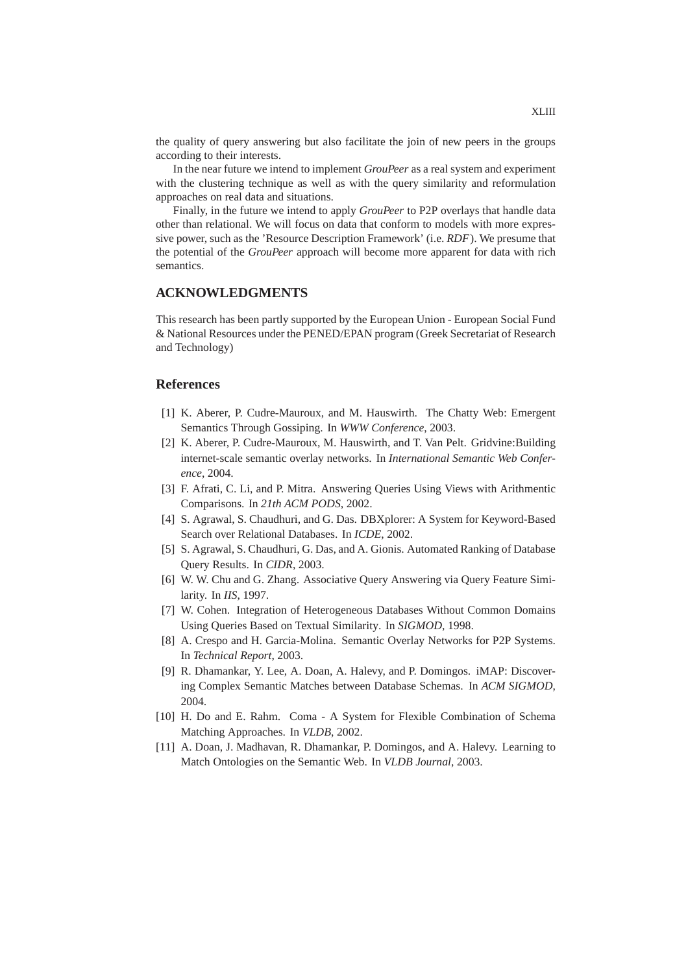the quality of query answering but also facilitate the join of new peers in the groups according to their interests.

In the near future we intend to implement *GrouPeer* as a real system and experiment with the clustering technique as well as with the query similarity and reformulation approaches on real data and situations.

Finally, in the future we intend to apply *GrouPeer* to P2P overlays that handle data other than relational. We will focus on data that conform to models with more expressive power, such as the 'Resource Description Framework' (i.e. *RDF*). We presume that the potential of the *GrouPeer* approach will become more apparent for data with rich semantics.

## **ACKNOWLEDGMENTS**

This research has been partly supported by the European Union - European Social Fund & National Resources under the PENED/EPAN program (Greek Secretariat of Research and Technology)

# **References**

- [1] K. Aberer, P. Cudre-Mauroux, and M. Hauswirth. The Chatty Web: Emergent Semantics Through Gossiping. In *WWW Conference*, 2003.
- [2] K. Aberer, P. Cudre-Mauroux, M. Hauswirth, and T. Van Pelt. Gridvine:Building internet-scale semantic overlay networks. In *International Semantic Web Conference*, 2004.
- [3] F. Afrati, C. Li, and P. Mitra. Answering Queries Using Views with Arithmentic Comparisons. In *21th ACM PODS*, 2002.
- [4] S. Agrawal, S. Chaudhuri, and G. Das. DBXplorer: A System for Keyword-Based Search over Relational Databases. In *ICDE*, 2002.
- [5] S. Agrawal, S. Chaudhuri, G. Das, and A. Gionis. Automated Ranking of Database Query Results. In *CIDR*, 2003.
- [6] W. W. Chu and G. Zhang. Associative Query Answering via Query Feature Similarity. In *IIS*, 1997.
- [7] W. Cohen. Integration of Heterogeneous Databases Without Common Domains Using Queries Based on Textual Similarity. In *SIGMOD*, 1998.
- [8] A. Crespo and H. Garcia-Molina. Semantic Overlay Networks for P2P Systems. In *Technical Report*, 2003.
- [9] R. Dhamankar, Y. Lee, A. Doan, A. Halevy, and P. Domingos. iMAP: Discovering Complex Semantic Matches between Database Schemas. In *ACM SIGMOD*, 2004.
- [10] H. Do and E. Rahm. Coma A System for Flexible Combination of Schema Matching Approaches. In *VLDB*, 2002.
- [11] A. Doan, J. Madhavan, R. Dhamankar, P. Domingos, and A. Halevy. Learning to Match Ontologies on the Semantic Web. In *VLDB Journal*, 2003.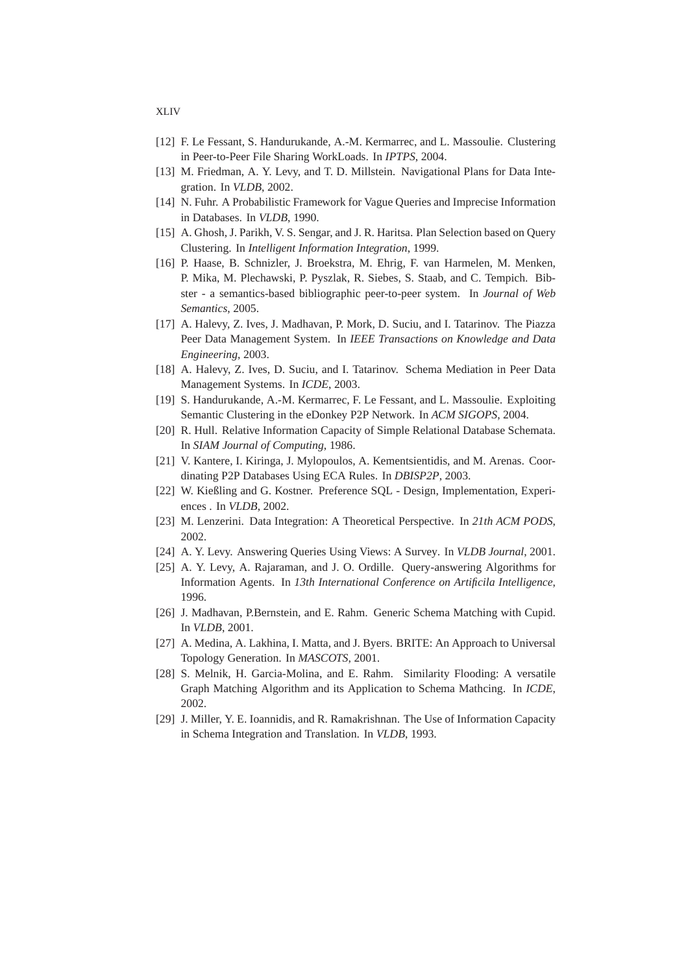- [12] F. Le Fessant, S. Handurukande, A.-M. Kermarrec, and L. Massoulie. Clustering in Peer-to-Peer File Sharing WorkLoads. In *IPTPS*, 2004.
- [13] M. Friedman, A. Y. Levy, and T. D. Millstein. Navigational Plans for Data Integration. In *VLDB*, 2002.
- [14] N. Fuhr. A Probabilistic Framework for Vague Queries and Imprecise Information in Databases. In *VLDB*, 1990.
- [15] A. Ghosh, J. Parikh, V. S. Sengar, and J. R. Haritsa. Plan Selection based on Query Clustering. In *Intelligent Information Integration*, 1999.
- [16] P. Haase, B. Schnizler, J. Broekstra, M. Ehrig, F. van Harmelen, M. Menken, P. Mika, M. Plechawski, P. Pyszlak, R. Siebes, S. Staab, and C. Tempich. Bibster - a semantics-based bibliographic peer-to-peer system. In *Journal of Web Semantics*, 2005.
- [17] A. Halevy, Z. Ives, J. Madhavan, P. Mork, D. Suciu, and I. Tatarinov. The Piazza Peer Data Management System. In *IEEE Transactions on Knowledge and Data Engineering*, 2003.
- [18] A. Halevy, Z. Ives, D. Suciu, and I. Tatarinov. Schema Mediation in Peer Data Management Systems. In *ICDE*, 2003.
- [19] S. Handurukande, A.-M. Kermarrec, F. Le Fessant, and L. Massoulie. Exploiting Semantic Clustering in the eDonkey P2P Network. In *ACM SIGOPS*, 2004.
- [20] R. Hull. Relative Information Capacity of Simple Relational Database Schemata. In *SIAM Journal of Computing*, 1986.
- [21] V. Kantere, I. Kiringa, J. Mylopoulos, A. Kementsientidis, and M. Arenas. Coordinating P2P Databases Using ECA Rules. In *DBISP2P*, 2003.
- [22] W. Kießling and G. Kostner. Preference SQL Design, Implementation, Experiences . In *VLDB*, 2002.
- [23] M. Lenzerini. Data Integration: A Theoretical Perspective. In *21th ACM PODS*, 2002.
- [24] A. Y. Levy. Answering Queries Using Views: A Survey. In *VLDB Journal*, 2001.
- [25] A. Y. Levy, A. Rajaraman, and J. O. Ordille. Query-answering Algorithms for Information Agents. In *13th International Conference on Artificila Intelligence*, 1996.
- [26] J. Madhavan, P.Bernstein, and E. Rahm. Generic Schema Matching with Cupid. In *VLDB*, 2001.
- [27] A. Medina, A. Lakhina, I. Matta, and J. Byers. BRITE: An Approach to Universal Topology Generation. In *MASCOTS*, 2001.
- [28] S. Melnik, H. Garcia-Molina, and E. Rahm. Similarity Flooding: A versatile Graph Matching Algorithm and its Application to Schema Mathcing. In *ICDE*, 2002.
- [29] J. Miller, Y. E. Ioannidis, and R. Ramakrishnan. The Use of Information Capacity in Schema Integration and Translation. In *VLDB*, 1993.

XLIV